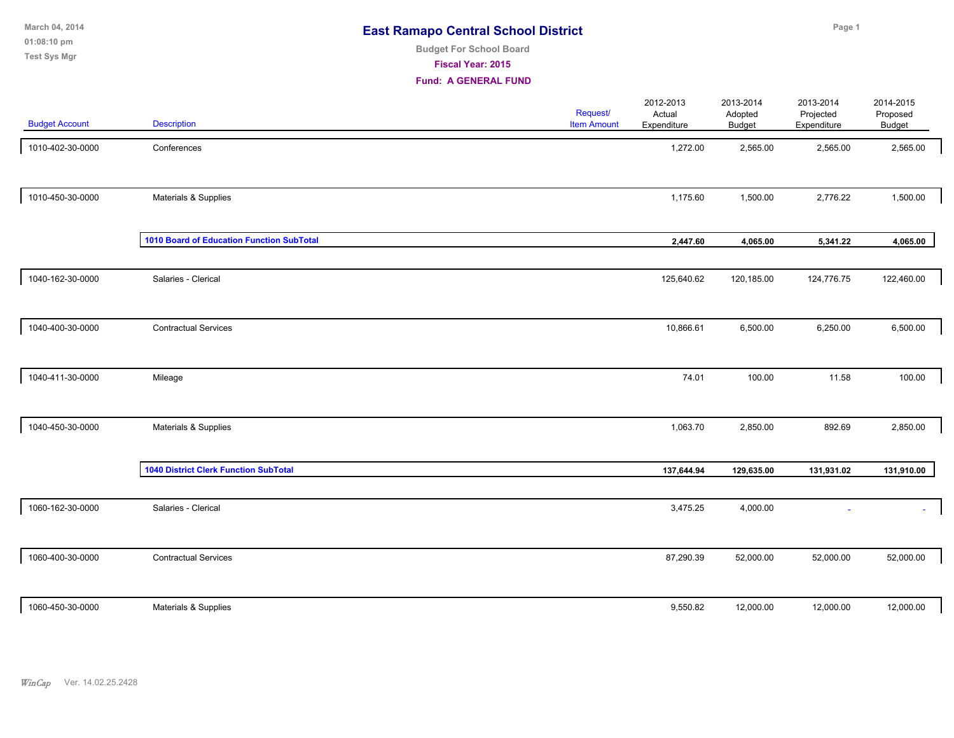**01:08:10 pm March 04, 2014 Test Sys Mgr**

# **Budget For School Board**

**Fiscal Year: 2015**

| <b>Budget Account</b> | <b>Description</b>                           | Request/<br><b>Item Amount</b> | 2012-2013<br>Actual<br>Expenditure | 2013-2014<br>Adopted<br>Budget | 2013-2014<br>Projected<br>Expenditure | 2014-2015<br>Proposed<br>Budget |
|-----------------------|----------------------------------------------|--------------------------------|------------------------------------|--------------------------------|---------------------------------------|---------------------------------|
| 1010-402-30-0000      | Conferences                                  |                                | 1,272.00                           | 2,565.00                       | 2,565.00                              | 2,565.00                        |
| 1010-450-30-0000      | Materials & Supplies                         |                                | 1,175.60                           | 1,500.00                       | 2,776.22                              | 1,500.00                        |
|                       | 1010 Board of Education Function SubTotal    |                                | 2,447.60                           | 4,065.00                       | 5,341.22                              | 4,065.00                        |
| 1040-162-30-0000      | Salaries - Clerical                          |                                | 125,640.62                         | 120,185.00                     | 124,776.75                            | 122,460.00                      |
| 1040-400-30-0000      | <b>Contractual Services</b>                  |                                | 10,866.61                          | 6,500.00                       | 6,250.00                              | 6,500.00                        |
| 1040-411-30-0000      | Mileage                                      |                                | 74.01                              | 100.00                         | 11.58                                 | 100.00                          |
| 1040-450-30-0000      | Materials & Supplies                         |                                | 1,063.70                           | 2,850.00                       | 892.69                                | 2,850.00                        |
|                       | <b>1040 District Clerk Function SubTotal</b> |                                | 137,644.94                         | 129,635.00                     | 131,931.02                            | 131,910.00                      |
| 1060-162-30-0000      | Salaries - Clerical                          |                                | 3,475.25                           | 4,000.00                       |                                       | ÷.                              |
| 1060-400-30-0000      | <b>Contractual Services</b>                  |                                | 87,290.39                          | 52,000.00                      | 52,000.00                             | 52,000.00                       |
| 1060-450-30-0000      | Materials & Supplies                         |                                | 9,550.82                           | 12,000.00                      | 12,000.00                             | 12,000.00                       |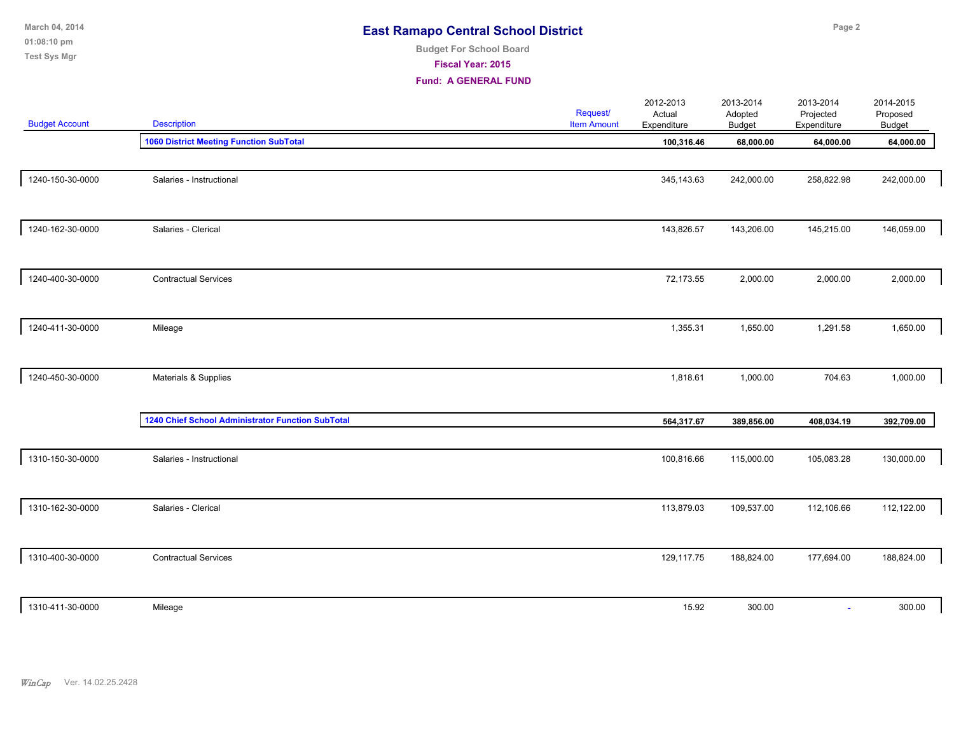| March 04, 2014<br>01:08:10 pm<br><b>Test Sys Mgr</b> |                                                   | <b>East Ramapo Central School District</b><br><b>Budget For School Board</b><br>Fiscal Year: 2015<br><b>Fund: A GENERAL FUND</b> |                                       |                                    | Page 2                         |                                       |                                        |  |
|------------------------------------------------------|---------------------------------------------------|----------------------------------------------------------------------------------------------------------------------------------|---------------------------------------|------------------------------------|--------------------------------|---------------------------------------|----------------------------------------|--|
| <b>Budget Account</b>                                | <b>Description</b>                                |                                                                                                                                  | <b>Request/</b><br><b>Item Amount</b> | 2012-2013<br>Actual<br>Expenditure | 2013-2014<br>Adopted<br>Budget | 2013-2014<br>Projected<br>Expenditure | 2014-2015<br>Proposed<br><b>Budget</b> |  |
|                                                      | <b>1060 District Meeting Function SubTotal</b>    |                                                                                                                                  |                                       | 100,316.46                         | 68,000.00                      | 64,000.00                             | 64,000.00                              |  |
| 1240-150-30-0000                                     | Salaries - Instructional                          |                                                                                                                                  |                                       | 345, 143.63                        | 242,000.00                     | 258,822.98                            | 242,000.00                             |  |
| 1240-162-30-0000                                     | Salaries - Clerical                               |                                                                                                                                  |                                       | 143,826.57                         | 143,206.00                     | 145,215.00                            | 146,059.00                             |  |
| 1240-400-30-0000                                     | <b>Contractual Services</b>                       |                                                                                                                                  |                                       | 72,173.55                          | 2,000.00                       | 2,000.00                              | 2,000.00                               |  |
| 1240-411-30-0000                                     | Mileage                                           |                                                                                                                                  |                                       | 1,355.31                           | 1,650.00                       | 1,291.58                              | 1,650.00                               |  |
| 1240-450-30-0000                                     | Materials & Supplies                              |                                                                                                                                  |                                       | 1,818.61                           | 1,000.00                       | 704.63                                | 1,000.00                               |  |
|                                                      | 1240 Chief School Administrator Function SubTotal |                                                                                                                                  |                                       | 564,317.67                         | 389,856.00                     | 408,034.19                            | 392,709.00                             |  |
| 1310-150-30-0000                                     | Salaries - Instructional                          |                                                                                                                                  |                                       | 100,816.66                         | 115,000.00                     | 105,083.28                            | 130,000.00                             |  |
| 1310-162-30-0000                                     | Salaries - Clerical                               |                                                                                                                                  |                                       | 113,879.03                         | 109,537.00                     | 112,106.66                            | 112,122.00                             |  |
| 1310-400-30-0000                                     | <b>Contractual Services</b>                       |                                                                                                                                  |                                       | 129,117.75                         | 188,824.00                     | 177,694.00                            | 188,824.00                             |  |
| 1310-411-30-0000                                     | Mileage                                           |                                                                                                                                  |                                       | 15.92                              | 300.00                         | $\sim$                                | 300.00                                 |  |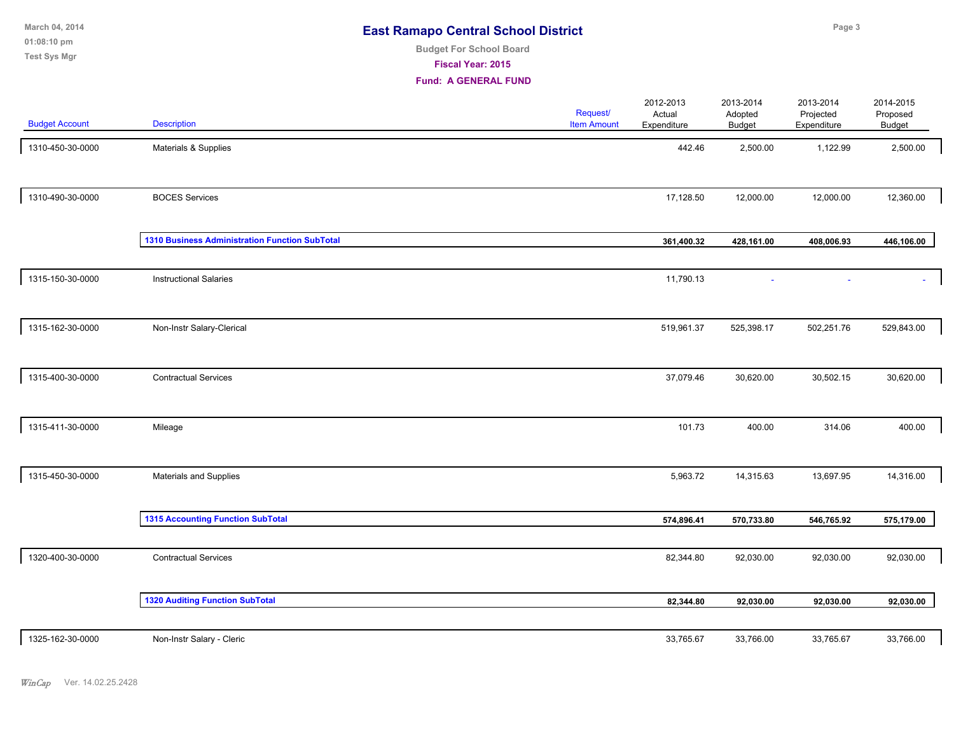**01:08:10 pm March 04, 2014 Test Sys Mgr**

# **Budget For School Board**

**Fiscal Year: 2015**

| <b>Budget Account</b> | Description                                    | Request/<br><b>Item Amount</b> | 2012-2013<br>Actual<br>Expenditure | 2013-2014<br>Adopted<br><b>Budget</b> | 2013-2014<br>Projected<br>Expenditure | 2014-2015<br>Proposed<br><b>Budget</b> |  |
|-----------------------|------------------------------------------------|--------------------------------|------------------------------------|---------------------------------------|---------------------------------------|----------------------------------------|--|
| 1310-450-30-0000      | Materials & Supplies                           |                                | 442.46                             | 2,500.00                              | 1,122.99                              | 2,500.00                               |  |
| 1310-490-30-0000      | <b>BOCES Services</b>                          |                                | 17,128.50                          | 12,000.00                             | 12,000.00                             | 12,360.00                              |  |
|                       | 1310 Business Administration Function SubTotal |                                | 361,400.32                         | 428,161.00                            | 408,006.93                            | 446,106.00                             |  |
| 1315-150-30-0000      | <b>Instructional Salaries</b>                  |                                | 11,790.13                          |                                       |                                       | $\sim$                                 |  |
| 1315-162-30-0000      | Non-Instr Salary-Clerical                      |                                | 519,961.37                         | 525,398.17                            | 502,251.76                            | 529,843.00                             |  |
| 1315-400-30-0000      | <b>Contractual Services</b>                    |                                | 37,079.46                          | 30,620.00                             | 30,502.15                             | 30,620.00                              |  |
| 1315-411-30-0000      | Mileage                                        |                                | 101.73                             | 400.00                                | 314.06                                | 400.00                                 |  |
| 1315-450-30-0000      | Materials and Supplies                         |                                | 5,963.72                           | 14,315.63                             | 13,697.95                             | 14,316.00                              |  |
|                       | <b>1315 Accounting Function SubTotal</b>       |                                | 574,896.41                         | 570,733.80                            | 546,765.92                            | 575,179.00                             |  |
| 1320-400-30-0000      | <b>Contractual Services</b>                    |                                | 82,344.80                          | 92,030.00                             | 92,030.00                             | 92,030.00                              |  |
|                       | <b>1320 Auditing Function SubTotal</b>         |                                | 82,344.80                          | 92,030.00                             | 92,030.00                             | 92,030.00                              |  |
| 1325-162-30-0000      | Non-Instr Salary - Cleric                      |                                | 33,765.67                          | 33,766.00                             | 33,765.67                             | 33,766.00                              |  |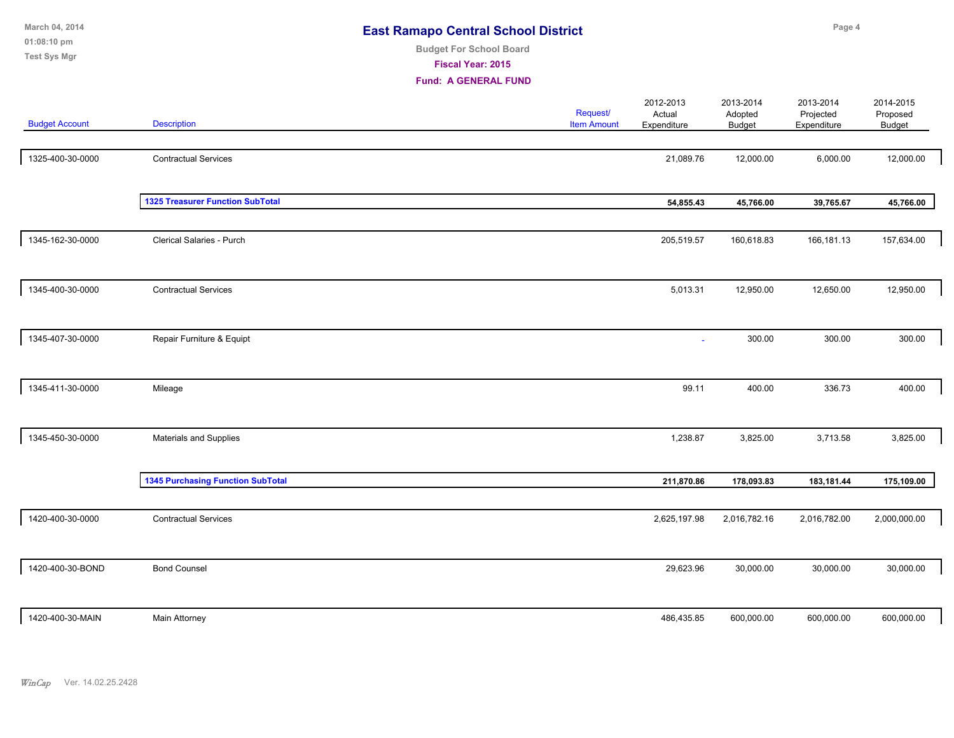| March 04, 2014<br>01:08:10 pm<br><b>Test Sys Mgr</b> |                                          | <b>East Ramapo Central School District</b><br><b>Budget For School Board</b><br><b>Fiscal Year: 2015</b><br><b>Fund: A GENERAL FUND</b> |                                |                                    |                                       | Page 4                                |                                        |  |
|------------------------------------------------------|------------------------------------------|-----------------------------------------------------------------------------------------------------------------------------------------|--------------------------------|------------------------------------|---------------------------------------|---------------------------------------|----------------------------------------|--|
| <b>Budget Account</b>                                | <b>Description</b>                       |                                                                                                                                         | Request/<br><b>Item Amount</b> | 2012-2013<br>Actual<br>Expenditure | 2013-2014<br>Adopted<br><b>Budget</b> | 2013-2014<br>Projected<br>Expenditure | 2014-2015<br>Proposed<br><b>Budget</b> |  |
| 1325-400-30-0000                                     | <b>Contractual Services</b>              |                                                                                                                                         |                                | 21,089.76                          | 12,000.00                             | 6,000.00                              | 12,000.00                              |  |
|                                                      | <b>1325 Treasurer Function SubTotal</b>  |                                                                                                                                         |                                | 54,855.43                          | 45,766.00                             | 39,765.67                             | 45,766.00                              |  |
| 1345-162-30-0000                                     | Clerical Salaries - Purch                |                                                                                                                                         |                                | 205,519.57                         | 160,618.83                            | 166,181.13                            | 157,634.00                             |  |
| 1345-400-30-0000                                     | <b>Contractual Services</b>              |                                                                                                                                         |                                | 5,013.31                           | 12,950.00                             | 12,650.00                             | 12,950.00                              |  |
| 1345-407-30-0000                                     | Repair Furniture & Equipt                |                                                                                                                                         |                                | $\sim$                             | 300.00                                | 300.00                                | 300.00                                 |  |
| 1345-411-30-0000                                     | Mileage                                  |                                                                                                                                         |                                | 99.11                              | 400.00                                | 336.73                                | 400.00                                 |  |
| 1345-450-30-0000                                     | Materials and Supplies                   |                                                                                                                                         |                                | 1,238.87                           | 3,825.00                              | 3,713.58                              | 3,825.00                               |  |
|                                                      | <b>1345 Purchasing Function SubTotal</b> |                                                                                                                                         |                                | 211,870.86                         | 178,093.83                            | 183,181.44                            | 175,109.00                             |  |
| 1420-400-30-0000                                     | <b>Contractual Services</b>              |                                                                                                                                         |                                | 2,625,197.98                       | 2,016,782.16                          | 2,016,782.00                          | 2,000,000.00                           |  |
| 1420-400-30-BOND                                     | <b>Bond Counsel</b>                      |                                                                                                                                         |                                | 29,623.96                          | 30,000.00                             | 30,000.00                             | 30,000.00                              |  |
| 1420-400-30-MAIN                                     | <b>Main Attorney</b>                     |                                                                                                                                         |                                | 486,435.85                         | 600,000.00                            | 600,000.00                            | 600,000.00                             |  |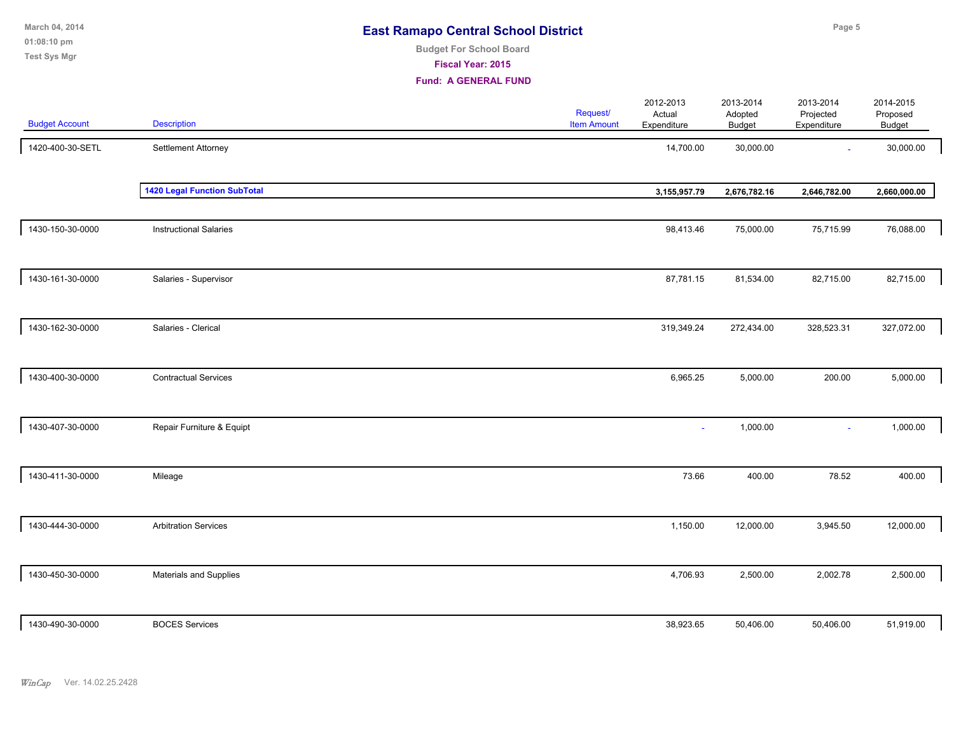| March 04, 2014<br>01:08:10 pm<br><b>Test Sys Mgr</b> |                                     | <b>East Ramapo Central School District</b><br><b>Budget For School Board</b><br>Fiscal Year: 2015<br><b>Fund: A GENERAL FUND</b> |                                |                                    |                                       | Page 5                                |                                        |  |
|------------------------------------------------------|-------------------------------------|----------------------------------------------------------------------------------------------------------------------------------|--------------------------------|------------------------------------|---------------------------------------|---------------------------------------|----------------------------------------|--|
| <b>Budget Account</b>                                | <b>Description</b>                  |                                                                                                                                  | Request/<br><b>Item Amount</b> | 2012-2013<br>Actual<br>Expenditure | 2013-2014<br>Adopted<br><b>Budget</b> | 2013-2014<br>Projected<br>Expenditure | 2014-2015<br>Proposed<br><b>Budget</b> |  |
| 1420-400-30-SETL                                     | Settlement Attorney                 |                                                                                                                                  |                                | 14,700.00                          | 30,000.00                             |                                       | 30,000.00                              |  |
|                                                      | <b>1420 Legal Function SubTotal</b> |                                                                                                                                  |                                | 3,155,957.79                       | 2,676,782.16                          | 2,646,782.00                          | 2,660,000.00                           |  |
| 1430-150-30-0000                                     | <b>Instructional Salaries</b>       |                                                                                                                                  |                                | 98,413.46                          | 75,000.00                             | 75,715.99                             | 76,088.00                              |  |
| 1430-161-30-0000                                     | Salaries - Supervisor               |                                                                                                                                  |                                | 87,781.15                          | 81,534.00                             | 82,715.00                             | 82,715.00                              |  |
| 1430-162-30-0000                                     | Salaries - Clerical                 |                                                                                                                                  |                                | 319,349.24                         | 272,434.00                            | 328,523.31                            | 327,072.00                             |  |
| 1430-400-30-0000                                     | <b>Contractual Services</b>         |                                                                                                                                  |                                | 6,965.25                           | 5,000.00                              | 200.00                                | 5,000.00                               |  |
| 1430-407-30-0000                                     | Repair Furniture & Equipt           |                                                                                                                                  |                                |                                    | 1,000.00                              | $\sim$                                | 1,000.00                               |  |
| 1430-411-30-0000                                     | Mileage                             |                                                                                                                                  |                                | 73.66                              | 400.00                                | 78.52                                 | 400.00                                 |  |
| 1430-444-30-0000                                     | <b>Arbitration Services</b>         |                                                                                                                                  |                                | 1,150.00                           | 12,000.00                             | 3,945.50                              | 12,000.00                              |  |
| 1430-450-30-0000                                     | Materials and Supplies              |                                                                                                                                  |                                | 4,706.93                           | 2,500.00                              | 2,002.78                              | 2,500.00                               |  |
| 1430-490-30-0000                                     | <b>BOCES Services</b>               |                                                                                                                                  |                                | 38,923.65                          | 50,406.00                             | 50,406.00                             | 51,919.00                              |  |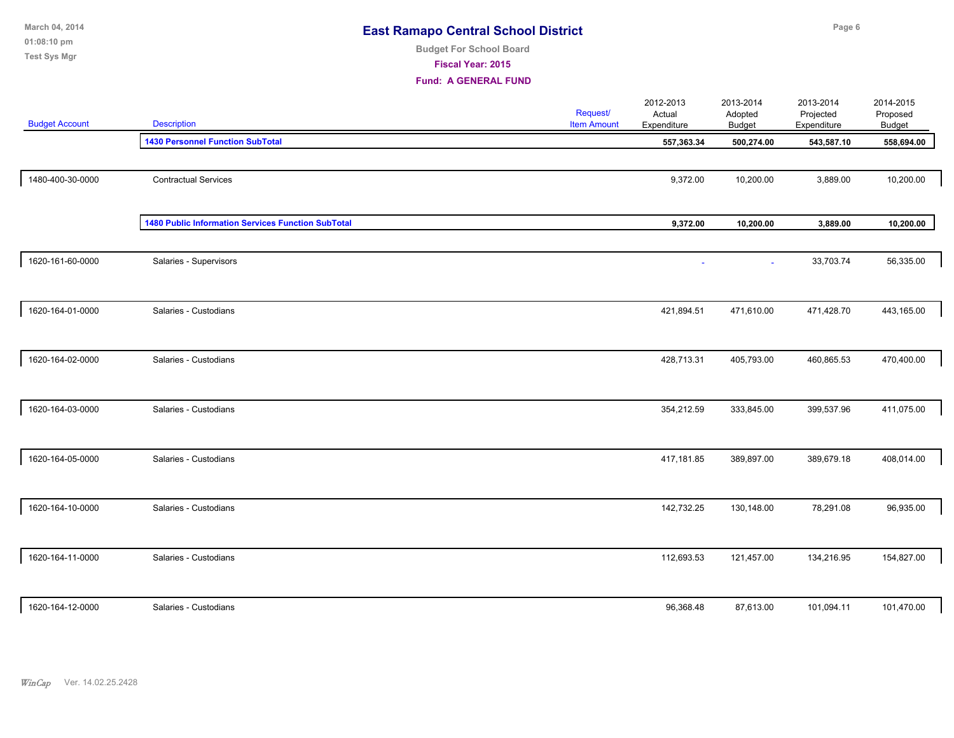| March 04, 2014<br>01:08:10 pm<br><b>Test Sys Mgr</b> |                                                    | <b>East Ramapo Central School District</b><br><b>Budget For School Board</b><br>Fiscal Year: 2015<br><b>Fund: A GENERAL FUND</b> |                                |                                    | Page 6                                |                                       |                                        |  |  |
|------------------------------------------------------|----------------------------------------------------|----------------------------------------------------------------------------------------------------------------------------------|--------------------------------|------------------------------------|---------------------------------------|---------------------------------------|----------------------------------------|--|--|
| <b>Budget Account</b>                                | <b>Description</b>                                 |                                                                                                                                  | Request/<br><b>Item Amount</b> | 2012-2013<br>Actual<br>Expenditure | 2013-2014<br>Adopted<br><b>Budget</b> | 2013-2014<br>Projected<br>Expenditure | 2014-2015<br>Proposed<br><b>Budget</b> |  |  |
|                                                      | <b>1430 Personnel Function SubTotal</b>            |                                                                                                                                  |                                | 557,363.34                         | 500,274.00                            | 543,587.10                            | 558,694.00                             |  |  |
| 1480-400-30-0000                                     | <b>Contractual Services</b>                        |                                                                                                                                  |                                | 9,372.00                           | 10,200.00                             | 3,889.00                              | 10,200.00                              |  |  |
|                                                      | 1480 Public Information Services Function SubTotal |                                                                                                                                  |                                | 9,372.00                           | 10,200.00                             | 3,889.00                              | 10,200.00                              |  |  |
| 1620-161-60-0000                                     | Salaries - Supervisors                             |                                                                                                                                  |                                |                                    | ÷,                                    | 33,703.74                             | 56,335.00                              |  |  |
| 1620-164-01-0000                                     | Salaries - Custodians                              |                                                                                                                                  |                                | 421,894.51                         | 471,610.00                            | 471,428.70                            | 443,165.00                             |  |  |
| 1620-164-02-0000                                     | Salaries - Custodians                              |                                                                                                                                  |                                | 428,713.31                         | 405,793.00                            | 460,865.53                            | 470,400.00                             |  |  |
| 1620-164-03-0000                                     | Salaries - Custodians                              |                                                                                                                                  |                                | 354,212.59                         | 333,845.00                            | 399,537.96                            | 411,075.00                             |  |  |
| 1620-164-05-0000                                     | Salaries - Custodians                              |                                                                                                                                  |                                | 417,181.85                         | 389,897.00                            | 389,679.18                            | 408,014.00                             |  |  |
| 1620-164-10-0000                                     | Salaries - Custodians                              |                                                                                                                                  |                                | 142,732.25                         | 130,148.00                            | 78,291.08                             | 96,935.00                              |  |  |
| 1620-164-11-0000                                     | Salaries - Custodians                              |                                                                                                                                  |                                | 112,693.53                         | 121,457.00                            | 134,216.95                            | 154,827.00                             |  |  |
| 1620-164-12-0000                                     | Salaries - Custodians                              |                                                                                                                                  |                                | 96,368.48                          | 87,613.00                             | 101,094.11                            | 101,470.00                             |  |  |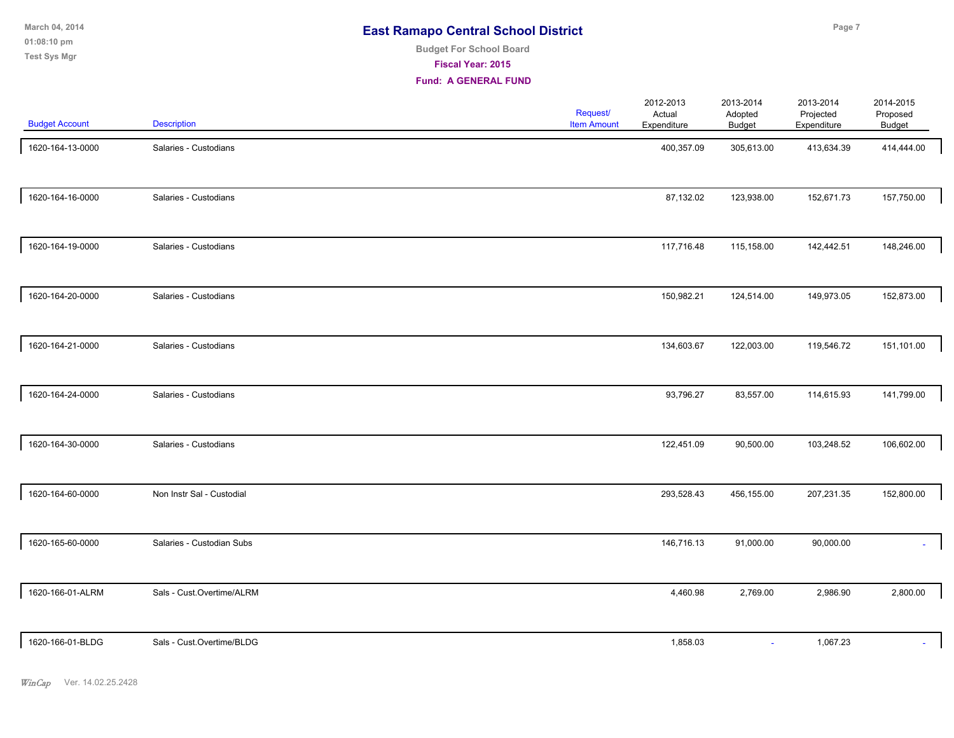**01:08:10 pm March 04, 2014 Test Sys Mgr**

# **Budget For School Board**

**Fiscal Year: 2015**

| <b>Budget Account</b> | Description               | <b>Request/</b><br><b>Item Amount</b> | 2012-2013<br>Actual<br>Expenditure | 2013-2014<br>Adopted<br><b>Budget</b> | 2013-2014<br>Projected<br>Expenditure | 2014-2015<br>Proposed<br>Budget |
|-----------------------|---------------------------|---------------------------------------|------------------------------------|---------------------------------------|---------------------------------------|---------------------------------|
| 1620-164-13-0000      | Salaries - Custodians     |                                       | 400,357.09                         | 305,613.00                            | 413,634.39                            | 414,444.00                      |
| 1620-164-16-0000      | Salaries - Custodians     |                                       | 87,132.02                          | 123,938.00                            | 152,671.73                            | 157,750.00                      |
| 1620-164-19-0000      | Salaries - Custodians     |                                       | 117,716.48                         | 115,158.00                            | 142,442.51                            | 148,246.00                      |
| 1620-164-20-0000      | Salaries - Custodians     |                                       | 150,982.21                         | 124,514.00                            | 149,973.05                            | 152,873.00                      |
| 1620-164-21-0000      | Salaries - Custodians     |                                       | 134,603.67                         | 122,003.00                            | 119,546.72                            | 151,101.00                      |
| 1620-164-24-0000      | Salaries - Custodians     |                                       | 93,796.27                          | 83,557.00                             | 114,615.93                            | 141,799.00                      |
| 1620-164-30-0000      | Salaries - Custodians     |                                       | 122,451.09                         | 90,500.00                             | 103,248.52                            | 106,602.00                      |
| 1620-164-60-0000      | Non Instr Sal - Custodial |                                       | 293,528.43                         | 456,155.00                            | 207,231.35                            | 152,800.00                      |
| 1620-165-60-0000      | Salaries - Custodian Subs |                                       | 146,716.13                         | 91,000.00                             | 90,000.00                             | ÷.                              |
| 1620-166-01-ALRM      | Sals - Cust.Overtime/ALRM |                                       | 4,460.98                           | 2,769.00                              | 2,986.90                              | 2,800.00                        |
| 1620-166-01-BLDG      | Sals - Cust.Overtime/BLDG |                                       | 1,858.03                           | $\omega$                              | 1,067.23                              | ÷.                              |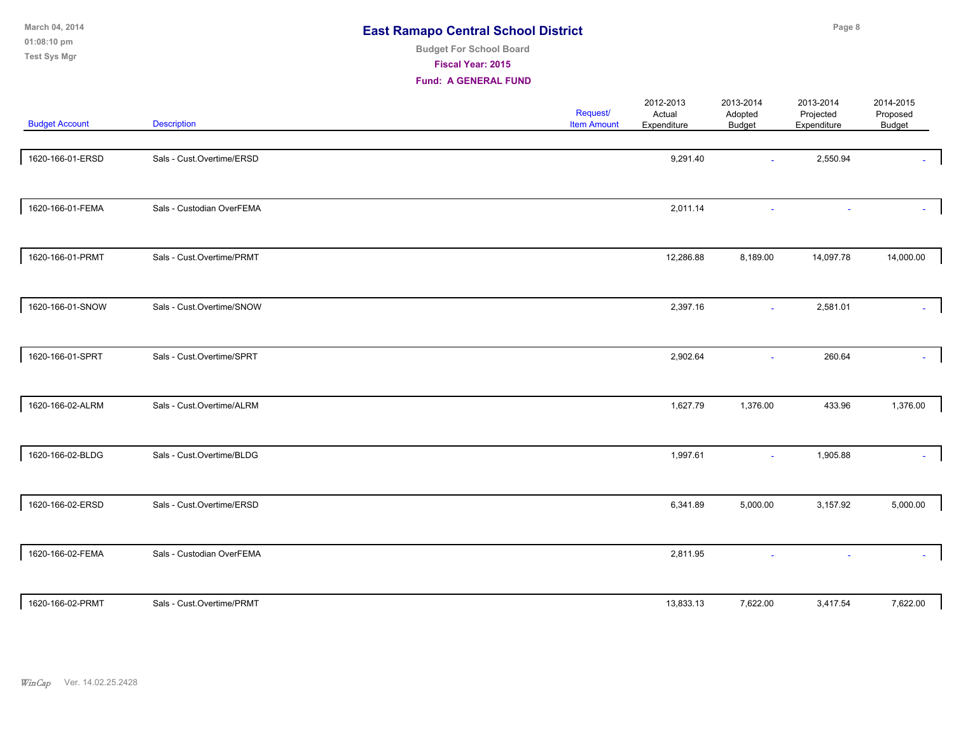| March 04, 2014<br>01:08:10 pm<br><b>Test Sys Mgr</b> |                           | <b>East Ramapo Central School District</b><br><b>Budget For School Board</b><br>Fiscal Year: 2015<br><b>Fund: A GENERAL FUND</b> |                                |                                    | Page 8                                |                                       |                                 |  |
|------------------------------------------------------|---------------------------|----------------------------------------------------------------------------------------------------------------------------------|--------------------------------|------------------------------------|---------------------------------------|---------------------------------------|---------------------------------|--|
| <b>Budget Account</b>                                | <b>Description</b>        |                                                                                                                                  | Request/<br><b>Item Amount</b> | 2012-2013<br>Actual<br>Expenditure | 2013-2014<br>Adopted<br><b>Budget</b> | 2013-2014<br>Projected<br>Expenditure | 2014-2015<br>Proposed<br>Budget |  |
| 1620-166-01-ERSD                                     | Sals - Cust.Overtime/ERSD |                                                                                                                                  |                                | 9,291.40                           |                                       | 2,550.94                              |                                 |  |
| 1620-166-01-FEMA                                     | Sals - Custodian OverFEMA |                                                                                                                                  |                                | 2,011.14                           | ä                                     |                                       |                                 |  |
| 1620-166-01-PRMT                                     | Sals - Cust.Overtime/PRMT |                                                                                                                                  |                                | 12,286.88                          | 8,189.00                              | 14,097.78                             | 14,000.00                       |  |
| 1620-166-01-SNOW                                     | Sals - Cust.Overtime/SNOW |                                                                                                                                  |                                | 2,397.16                           | ÷.                                    | 2,581.01                              |                                 |  |
| 1620-166-01-SPRT                                     | Sals - Cust.Overtime/SPRT |                                                                                                                                  |                                | 2,902.64                           |                                       | 260.64                                |                                 |  |
| 1620-166-02-ALRM                                     | Sals - Cust.Overtime/ALRM |                                                                                                                                  |                                | 1,627.79                           | 1,376.00                              | 433.96                                | 1,376.00                        |  |
| 1620-166-02-BLDG                                     | Sals - Cust.Overtime/BLDG |                                                                                                                                  |                                | 1,997.61                           | $\blacksquare$                        | 1,905.88                              |                                 |  |
| 1620-166-02-ERSD                                     | Sals - Cust.Overtime/ERSD |                                                                                                                                  |                                | 6,341.89                           | 5,000.00                              | 3,157.92                              | 5,000.00                        |  |
| 1620-166-02-FEMA                                     | Sals - Custodian OverFEMA |                                                                                                                                  |                                | 2,811.95                           |                                       |                                       |                                 |  |
| 1620-166-02-PRMT                                     | Sals - Cust.Overtime/PRMT |                                                                                                                                  |                                | 13,833.13                          | 7,622.00                              | 3,417.54                              | 7,622.00                        |  |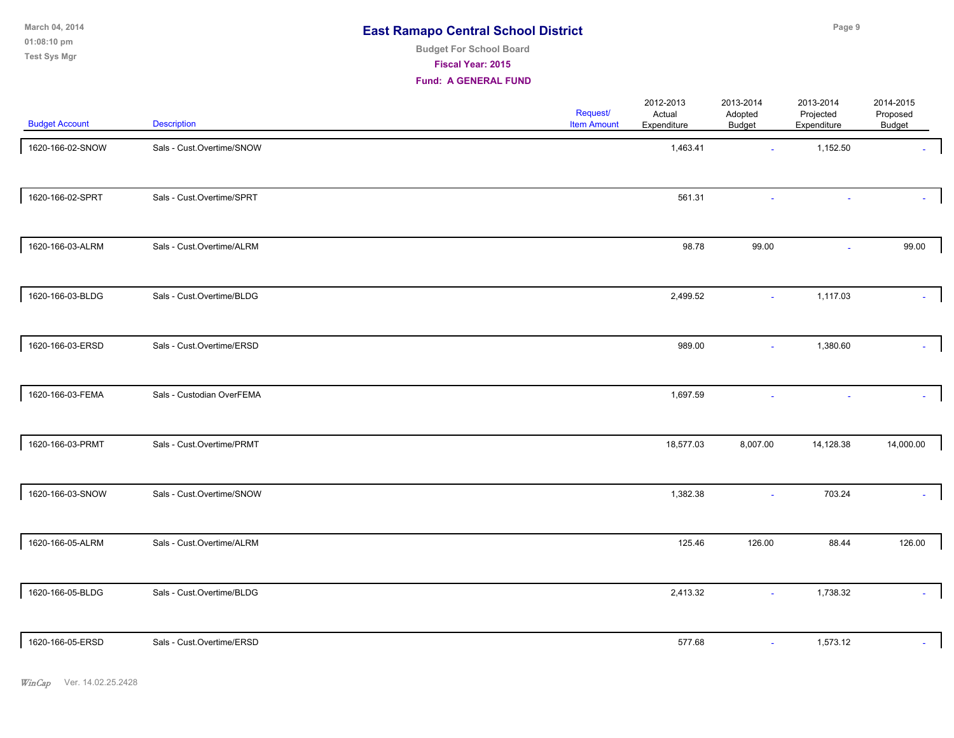**01:08:10 pm March 04, 2014 Test Sys Mgr**

# **Budget For School Board**

**Fiscal Year: 2015**

| <b>Budget Account</b> | <b>Description</b>        | <b>Request/</b><br><b>Item Amount</b> | 2012-2013<br>Actual<br>Expenditure | 2013-2014<br>Adopted<br>Budget | 2013-2014<br>Projected<br>Expenditure | 2014-2015<br>Proposed<br>Budget |
|-----------------------|---------------------------|---------------------------------------|------------------------------------|--------------------------------|---------------------------------------|---------------------------------|
| 1620-166-02-SNOW      | Sals - Cust.Overtime/SNOW |                                       | 1,463.41                           | $\mathbf{r}$                   | 1,152.50                              |                                 |
| 1620-166-02-SPRT      | Sals - Cust.Overtime/SPRT |                                       | 561.31                             |                                |                                       |                                 |
| 1620-166-03-ALRM      | Sals - Cust.Overtime/ALRM |                                       | 98.78                              | 99.00                          | $\sim$                                | 99.00                           |
| 1620-166-03-BLDG      | Sals - Cust.Overtime/BLDG |                                       | 2,499.52                           | $\sim$                         | 1,117.03                              |                                 |
| 1620-166-03-ERSD      | Sals - Cust.Overtime/ERSD |                                       | 989.00                             | ÷.                             | 1,380.60                              |                                 |
| 1620-166-03-FEMA      | Sals - Custodian OverFEMA |                                       | 1,697.59                           |                                |                                       |                                 |
| 1620-166-03-PRMT      | Sals - Cust.Overtime/PRMT |                                       | 18,577.03                          | 8,007.00                       | 14,128.38                             | 14,000.00                       |
| 1620-166-03-SNOW      | Sals - Cust.Overtime/SNOW |                                       | 1,382.38                           | $\sim$                         | 703.24                                |                                 |
| 1620-166-05-ALRM      | Sals - Cust.Overtime/ALRM |                                       | 125.46                             | 126.00                         | 88.44                                 | 126.00                          |
| 1620-166-05-BLDG      | Sals - Cust.Overtime/BLDG |                                       | 2,413.32                           | $\sim$                         | 1,738.32                              |                                 |
| 1620-166-05-ERSD      | Sals - Cust.Overtime/ERSD |                                       | 577.68                             | $\omega$                       | 1,573.12                              |                                 |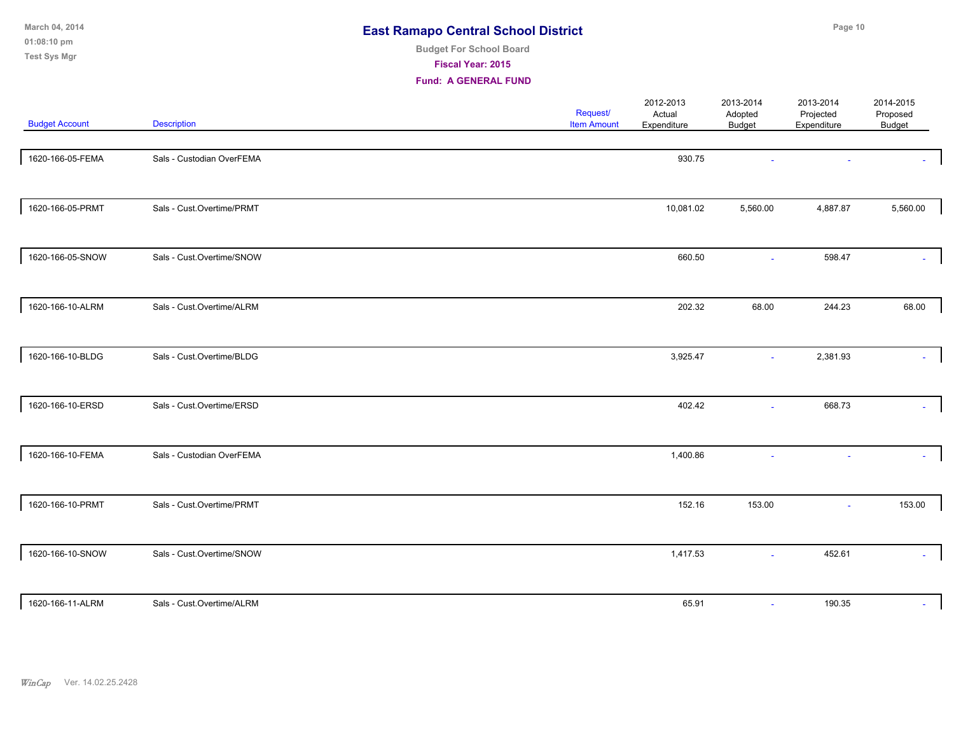| March 04, 2014<br>01:08:10 pm<br><b>Test Sys Mgr</b> |                           | <b>East Ramapo Central School District</b><br><b>Budget For School Board</b><br>Fiscal Year: 2015<br><b>Fund: A GENERAL FUND</b> |                                |                                    | Page 10                               |                                       |                                 |  |
|------------------------------------------------------|---------------------------|----------------------------------------------------------------------------------------------------------------------------------|--------------------------------|------------------------------------|---------------------------------------|---------------------------------------|---------------------------------|--|
| <b>Budget Account</b>                                | <b>Description</b>        |                                                                                                                                  | Request/<br><b>Item Amount</b> | 2012-2013<br>Actual<br>Expenditure | 2013-2014<br>Adopted<br><b>Budget</b> | 2013-2014<br>Projected<br>Expenditure | 2014-2015<br>Proposed<br>Budget |  |
| 1620-166-05-FEMA                                     | Sals - Custodian OverFEMA |                                                                                                                                  |                                | 930.75                             |                                       |                                       |                                 |  |
| 1620-166-05-PRMT                                     | Sals - Cust.Overtime/PRMT |                                                                                                                                  |                                | 10,081.02                          | 5,560.00                              | 4,887.87                              | 5,560.00                        |  |
| 1620-166-05-SNOW                                     | Sals - Cust.Overtime/SNOW |                                                                                                                                  |                                | 660.50                             | ä,                                    | 598.47                                |                                 |  |
| 1620-166-10-ALRM                                     | Sals - Cust.Overtime/ALRM |                                                                                                                                  |                                | 202.32                             | 68.00                                 | 244.23                                | 68.00                           |  |
| 1620-166-10-BLDG                                     | Sals - Cust.Overtime/BLDG |                                                                                                                                  |                                | 3,925.47                           | $\sim$                                | 2,381.93                              |                                 |  |
| 1620-166-10-ERSD                                     | Sals - Cust.Overtime/ERSD |                                                                                                                                  |                                | 402.42                             | ä,                                    | 668.73                                |                                 |  |
| 1620-166-10-FEMA                                     | Sals - Custodian OverFEMA |                                                                                                                                  |                                | 1,400.86                           |                                       |                                       |                                 |  |
| 1620-166-10-PRMT                                     | Sals - Cust.Overtime/PRMT |                                                                                                                                  |                                | 152.16                             | 153.00                                | ÷.                                    | 153.00                          |  |
| 1620-166-10-SNOW                                     | Sals - Cust.Overtime/SNOW |                                                                                                                                  |                                | 1,417.53                           | ä,                                    | 452.61                                |                                 |  |
| 1620-166-11-ALRM                                     | Sals - Cust.Overtime/ALRM |                                                                                                                                  |                                | 65.91                              | $\sim$                                | 190.35                                |                                 |  |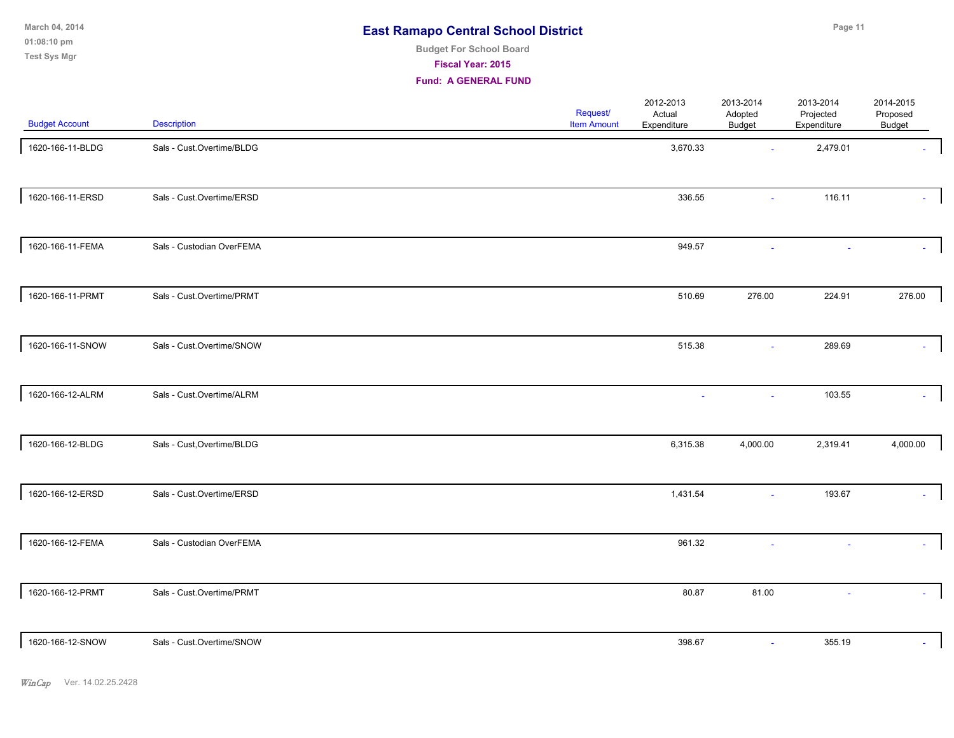**01:08:10 pm March 04, 2014 Test Sys Mgr**

# **Budget For School Board**

**Fiscal Year: 2015**

| <b>Budget Account</b> | <b>Description</b>         | <b>Request/</b><br><b>Item Amount</b> | 2012-2013<br>Actual<br>Expenditure | 2013-2014<br>Adopted<br>Budget | 2013-2014<br>Projected<br>Expenditure | 2014-2015<br>Proposed<br>Budget |
|-----------------------|----------------------------|---------------------------------------|------------------------------------|--------------------------------|---------------------------------------|---------------------------------|
| 1620-166-11-BLDG      | Sals - Cust.Overtime/BLDG  |                                       | 3,670.33                           | $\mathbf{r}$                   | 2,479.01                              |                                 |
| 1620-166-11-ERSD      | Sals - Cust.Overtime/ERSD  |                                       | 336.55                             | $\sim$                         | 116.11                                |                                 |
| 1620-166-11-FEMA      | Sals - Custodian OverFEMA  |                                       | 949.57                             |                                |                                       |                                 |
| 1620-166-11-PRMT      | Sals - Cust.Overtime/PRMT  |                                       | 510.69                             | 276.00                         | 224.91                                | 276.00                          |
| 1620-166-11-SNOW      | Sals - Cust.Overtime/SNOW  |                                       | 515.38                             | ÷.                             | 289.69                                |                                 |
| 1620-166-12-ALRM      | Sals - Cust.Overtime/ALRM  |                                       | $\mathcal{L}_{\mathcal{A}}$        | $\mathbf{r}$                   | 103.55                                |                                 |
| 1620-166-12-BLDG      | Sals - Cust, Overtime/BLDG |                                       | 6,315.38                           | 4,000.00                       | 2,319.41                              | 4,000.00                        |
| 1620-166-12-ERSD      | Sals - Cust.Overtime/ERSD  |                                       | 1,431.54                           | $\sim$                         | 193.67                                |                                 |
| 1620-166-12-FEMA      | Sals - Custodian OverFEMA  |                                       | 961.32                             |                                |                                       |                                 |
| 1620-166-12-PRMT      | Sals - Cust.Overtime/PRMT  |                                       | 80.87                              | 81.00                          |                                       |                                 |
| 1620-166-12-SNOW      | Sals - Cust.Overtime/SNOW  |                                       | 398.67                             | $\sim$                         | 355.19                                |                                 |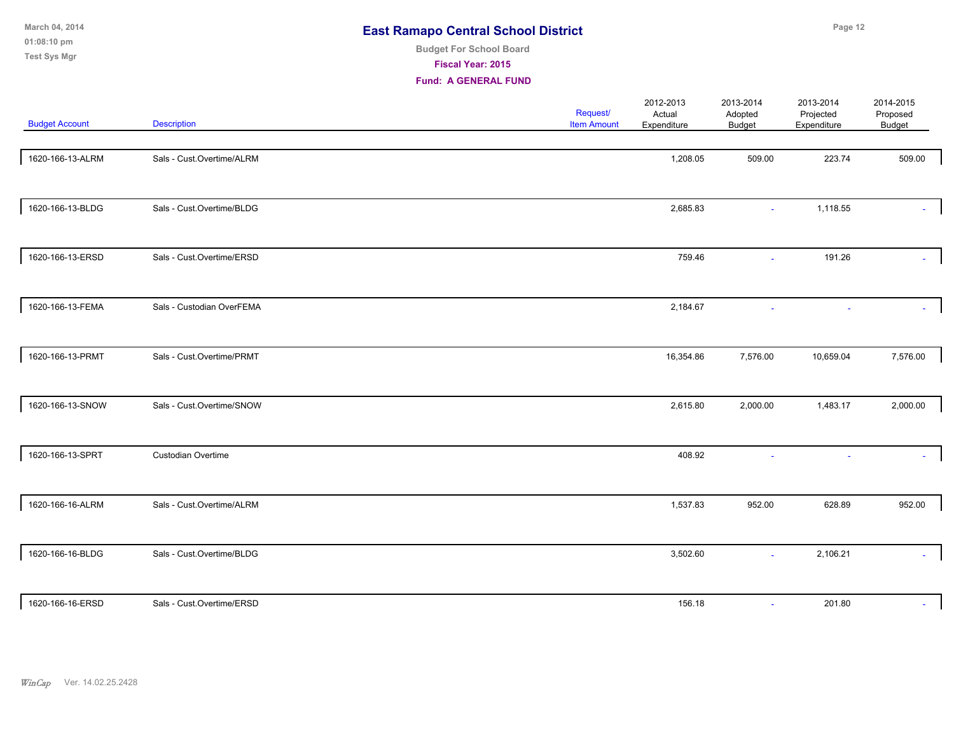| March 04, 2014<br>01:08:10 pm<br><b>Test Sys Mgr</b> |                           | <b>East Ramapo Central School District</b><br><b>Budget For School Board</b><br>Fiscal Year: 2015<br><b>Fund: A GENERAL FUND</b> |                                |                                    |                                | Page 12                               |                                 |  |  |
|------------------------------------------------------|---------------------------|----------------------------------------------------------------------------------------------------------------------------------|--------------------------------|------------------------------------|--------------------------------|---------------------------------------|---------------------------------|--|--|
| <b>Budget Account</b>                                | <b>Description</b>        |                                                                                                                                  | Request/<br><b>Item Amount</b> | 2012-2013<br>Actual<br>Expenditure | 2013-2014<br>Adopted<br>Budget | 2013-2014<br>Projected<br>Expenditure | 2014-2015<br>Proposed<br>Budget |  |  |
| 1620-166-13-ALRM                                     | Sals - Cust.Overtime/ALRM |                                                                                                                                  |                                | 1,208.05                           | 509.00                         | 223.74                                | 509.00                          |  |  |
| 1620-166-13-BLDG                                     | Sals - Cust.Overtime/BLDG |                                                                                                                                  |                                | 2,685.83                           |                                | 1,118.55                              |                                 |  |  |
| 1620-166-13-ERSD                                     | Sals - Cust.Overtime/ERSD |                                                                                                                                  |                                | 759.46                             | $\sim$                         | 191.26                                |                                 |  |  |
| 1620-166-13-FEMA                                     | Sals - Custodian OverFEMA |                                                                                                                                  |                                | 2,184.67                           |                                |                                       |                                 |  |  |
| 1620-166-13-PRMT                                     | Sals - Cust.Overtime/PRMT |                                                                                                                                  |                                | 16,354.86                          | 7,576.00                       | 10,659.04                             | 7,576.00                        |  |  |
| 1620-166-13-SNOW                                     | Sals - Cust.Overtime/SNOW |                                                                                                                                  |                                | 2,615.80                           | 2,000.00                       | 1,483.17                              | 2,000.00                        |  |  |
| 1620-166-13-SPRT                                     | Custodian Overtime        |                                                                                                                                  |                                | 408.92                             |                                |                                       |                                 |  |  |
| 1620-166-16-ALRM                                     | Sals - Cust.Overtime/ALRM |                                                                                                                                  |                                | 1,537.83                           | 952.00                         | 628.89                                | 952.00                          |  |  |

| 1620-166-16-BLDG | Sals - Cust.Overtime/BLDG | 3,502.60 | 2,106.21 |  |
|------------------|---------------------------|----------|----------|--|
| 1620-166-16-ERSD | Sals - Cust.Overtime/ERSD | 156.18   | 201.80   |  |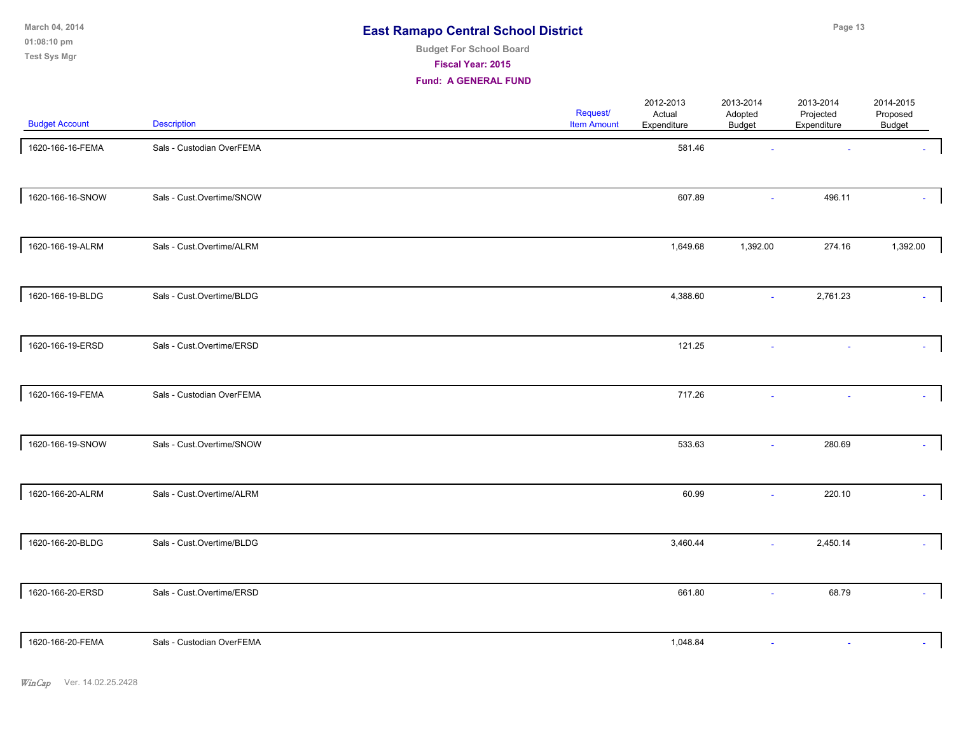**01:08:10 pm March 04, 2014 Test Sys Mgr**

# **Budget For School Board**

**Fiscal Year: 2015**

| <b>Budget Account</b> | <b>Description</b>        | Request/<br><b>Item Amount</b> | 2012-2013<br>Actual<br>Expenditure | 2013-2014<br>Adopted<br>Budget | 2013-2014<br>Projected<br>Expenditure | 2014-2015<br>Proposed<br>Budget |
|-----------------------|---------------------------|--------------------------------|------------------------------------|--------------------------------|---------------------------------------|---------------------------------|
| 1620-166-16-FEMA      | Sals - Custodian OverFEMA |                                | 581.46                             |                                |                                       |                                 |
| 1620-166-16-SNOW      | Sals - Cust.Overtime/SNOW |                                | 607.89                             |                                | 496.11                                |                                 |
| 1620-166-19-ALRM      | Sals - Cust.Overtime/ALRM |                                | 1,649.68                           | 1,392.00                       | 274.16                                | 1,392.00                        |
| 1620-166-19-BLDG      | Sals - Cust.Overtime/BLDG |                                | 4,388.60                           | $\omega$                       | 2,761.23                              |                                 |
| 1620-166-19-ERSD      | Sals - Cust.Overtime/ERSD |                                | 121.25                             |                                |                                       |                                 |
| 1620-166-19-FEMA      | Sals - Custodian OverFEMA |                                | 717.26                             |                                |                                       |                                 |
| 1620-166-19-SNOW      | Sals - Cust.Overtime/SNOW |                                | 533.63                             | $\sim$                         | 280.69                                |                                 |
| 1620-166-20-ALRM      | Sals - Cust.Overtime/ALRM |                                | 60.99                              |                                | 220.10                                |                                 |
| 1620-166-20-BLDG      | Sals - Cust.Overtime/BLDG |                                | 3,460.44                           | $\sim$                         | 2,450.14                              |                                 |
| 1620-166-20-ERSD      | Sals - Cust.Overtime/ERSD |                                | 661.80                             | ٠                              | 68.79                                 | $\sim$                          |
| 1620-166-20-FEMA      | Sals - Custodian OverFEMA |                                | 1,048.84                           | ÷,                             | $\sim$                                |                                 |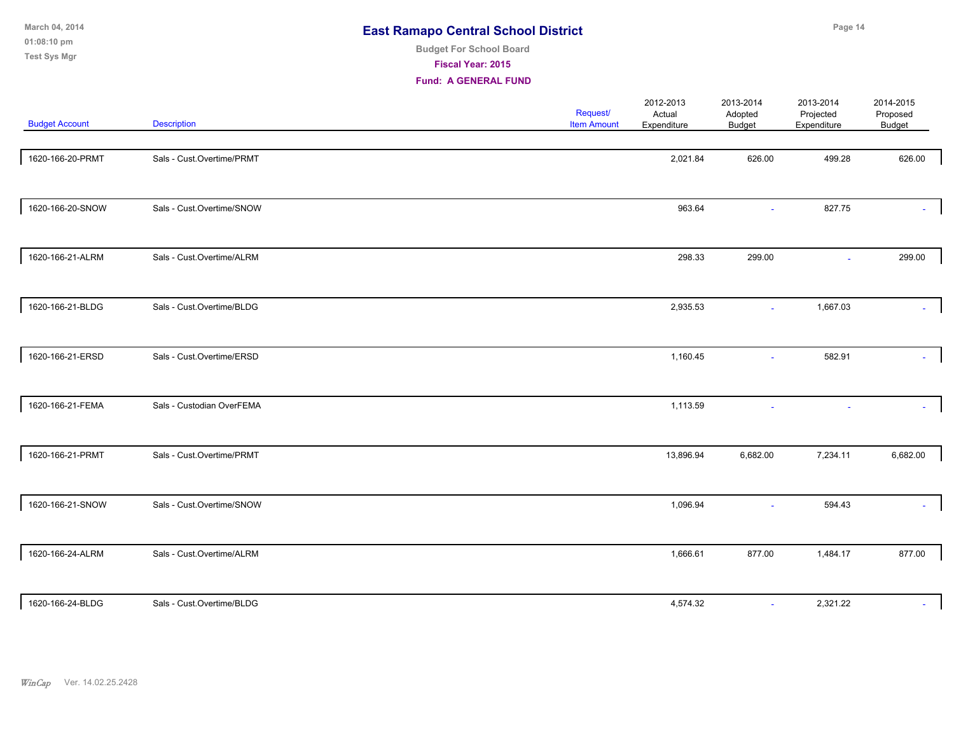| March 04, 2014<br>01:08:10 pm<br><b>Test Sys Mgr</b> |                           | <b>East Ramapo Central School District</b><br><b>Budget For School Board</b><br><b>Fiscal Year: 2015</b><br><b>Fund: A GENERAL FUND</b> |                                |                                    |                                       | Page 14                               |                                 |
|------------------------------------------------------|---------------------------|-----------------------------------------------------------------------------------------------------------------------------------------|--------------------------------|------------------------------------|---------------------------------------|---------------------------------------|---------------------------------|
| <b>Budget Account</b>                                | <b>Description</b>        |                                                                                                                                         | Request/<br><b>Item Amount</b> | 2012-2013<br>Actual<br>Expenditure | 2013-2014<br>Adopted<br><b>Budget</b> | 2013-2014<br>Projected<br>Expenditure | 2014-2015<br>Proposed<br>Budget |
| 1620-166-20-PRMT                                     | Sals - Cust.Overtime/PRMT |                                                                                                                                         |                                | 2,021.84                           | 626.00                                | 499.28                                | 626.00                          |
| 1620-166-20-SNOW                                     | Sals - Cust.Overtime/SNOW |                                                                                                                                         |                                | 963.64                             |                                       | 827.75                                |                                 |
| 1620-166-21-ALRM                                     | Sals - Cust.Overtime/ALRM |                                                                                                                                         |                                | 298.33                             | 299.00                                |                                       | 299.00                          |
| 1620-166-21-BLDG                                     | Sals - Cust.Overtime/BLDG |                                                                                                                                         |                                | 2,935.53                           | $\sim$                                | 1,667.03                              |                                 |
| 1620-166-21-ERSD                                     | Sals - Cust.Overtime/ERSD |                                                                                                                                         |                                | 1,160.45                           | $\sim$                                | 582.91                                |                                 |
| 1620-166-21-FEMA                                     | Sals - Custodian OverFEMA |                                                                                                                                         |                                | 1,113.59                           |                                       |                                       |                                 |
| 1620-166-21-PRMT                                     | Sals - Cust.Overtime/PRMT |                                                                                                                                         |                                | 13,896.94                          | 6,682.00                              | 7,234.11                              | 6,682.00                        |

1620-166-21-SNOW Sals - Cust.Overtime/SNOW 1,096.94 594.43 - 594.43 1620-166-24-ALRM Sals - Cust.Overtime/ALRM 1,666.61 877.00 1,484.17 877.00 1620-166-24-BLDG Sals - Cust.Overtime/BLDG 2,321.22 4,574.32 4,574.32 2,321.22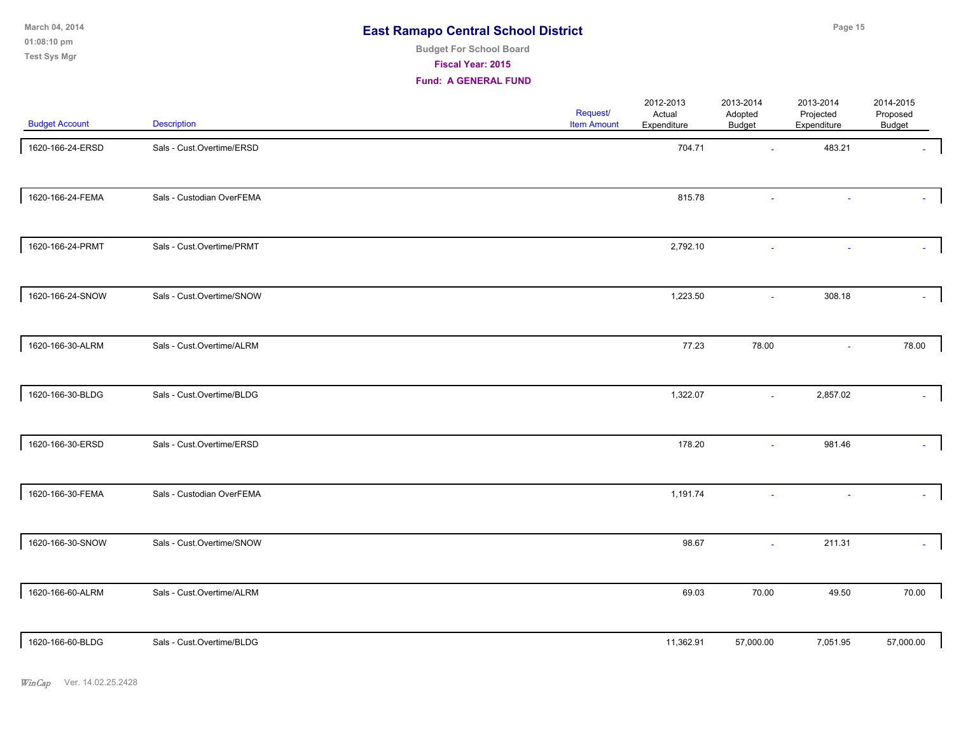**01:08:10 pm March 04, 2014 Test Sys Mgr**

# **Budget For School Board**

**Fiscal Year: 2015**

| <b>Budget Account</b> | <b>Description</b>        | <b>Request/</b><br><b>Item Amount</b> | 2012-2013<br>Actual<br>Expenditure | 2013-2014<br>Adopted<br>Budget | 2013-2014<br>Projected<br>Expenditure | 2014-2015<br>Proposed<br>Budget |
|-----------------------|---------------------------|---------------------------------------|------------------------------------|--------------------------------|---------------------------------------|---------------------------------|
| 1620-166-24-ERSD      | Sals - Cust.Overtime/ERSD |                                       | 704.71                             | ÷.                             | 483.21                                |                                 |
| 1620-166-24-FEMA      | Sals - Custodian OverFEMA |                                       | 815.78                             |                                |                                       |                                 |
| 1620-166-24-PRMT      | Sals - Cust.Overtime/PRMT |                                       | 2,792.10                           |                                |                                       |                                 |
| 1620-166-24-SNOW      | Sals - Cust.Overtime/SNOW |                                       | 1,223.50                           | $\mathbf{r}$                   | 308.18                                |                                 |
| 1620-166-30-ALRM      | Sals - Cust.Overtime/ALRM |                                       | 77.23                              | 78.00                          | $\sim$                                | 78.00                           |
| 1620-166-30-BLDG      | Sals - Cust.Overtime/BLDG |                                       | 1,322.07                           | $\sim$                         | 2,857.02                              |                                 |
| 1620-166-30-ERSD      | Sals - Cust.Overtime/ERSD |                                       | 178.20                             | $\blacksquare$                 | 981.46                                | ÷.                              |
| 1620-166-30-FEMA      | Sals - Custodian OverFEMA |                                       | 1,191.74                           | $\sim$                         |                                       |                                 |
| 1620-166-30-SNOW      | Sals - Cust.Overtime/SNOW |                                       | 98.67                              | ÷,                             | 211.31                                |                                 |
| 1620-166-60-ALRM      | Sals - Cust.Overtime/ALRM |                                       | 69.03                              | 70.00                          | 49.50                                 | 70.00                           |
| 1620-166-60-BLDG      | Sals - Cust.Overtime/BLDG |                                       | 11,362.91                          | 57,000.00                      | 7,051.95                              | 57,000.00                       |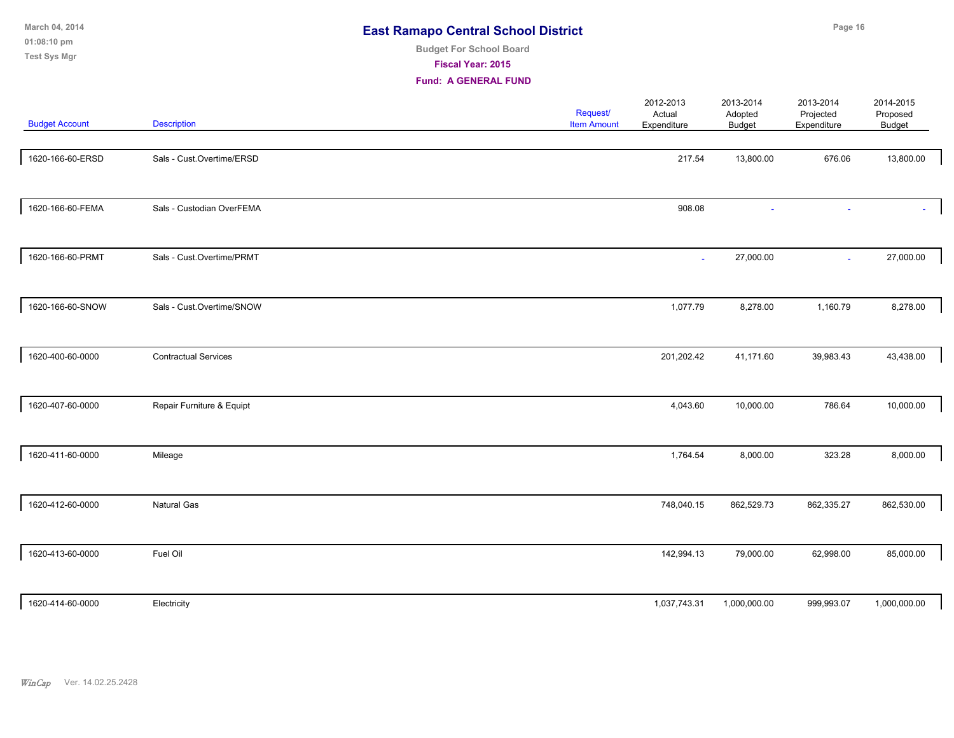| March 04, 2014<br>01:08:10 pm<br><b>Test Sys Mgr</b> |                             | <b>East Ramapo Central School District</b><br><b>Budget For School Board</b><br>Fiscal Year: 2015<br><b>Fund: A GENERAL FUND</b> |                                |                                    | Page 16                               |                                       |                                 |  |
|------------------------------------------------------|-----------------------------|----------------------------------------------------------------------------------------------------------------------------------|--------------------------------|------------------------------------|---------------------------------------|---------------------------------------|---------------------------------|--|
| <b>Budget Account</b>                                | <b>Description</b>          |                                                                                                                                  | Request/<br><b>Item Amount</b> | 2012-2013<br>Actual<br>Expenditure | 2013-2014<br>Adopted<br><b>Budget</b> | 2013-2014<br>Projected<br>Expenditure | 2014-2015<br>Proposed<br>Budget |  |
| 1620-166-60-ERSD                                     | Sals - Cust.Overtime/ERSD   |                                                                                                                                  |                                | 217.54                             | 13,800.00                             | 676.06                                | 13,800.00                       |  |
| 1620-166-60-FEMA                                     | Sals - Custodian OverFEMA   |                                                                                                                                  |                                | 908.08                             |                                       |                                       |                                 |  |
| 1620-166-60-PRMT                                     | Sals - Cust.Overtime/PRMT   |                                                                                                                                  |                                | ä,                                 | 27,000.00                             | ÷.                                    | 27,000.00                       |  |
| 1620-166-60-SNOW                                     | Sals - Cust.Overtime/SNOW   |                                                                                                                                  |                                | 1,077.79                           | 8,278.00                              | 1,160.79                              | 8,278.00                        |  |
| 1620-400-60-0000                                     | <b>Contractual Services</b> |                                                                                                                                  |                                | 201,202.42                         | 41,171.60                             | 39,983.43                             | 43,438.00                       |  |
| 1620-407-60-0000                                     | Repair Furniture & Equipt   |                                                                                                                                  |                                | 4,043.60                           | 10,000.00                             | 786.64                                | 10,000.00                       |  |
| 1620-411-60-0000                                     | Mileage                     |                                                                                                                                  |                                | 1,764.54                           | 8,000.00                              | 323.28                                | 8,000.00                        |  |
| 1620-412-60-0000                                     | <b>Natural Gas</b>          |                                                                                                                                  |                                | 748,040.15                         | 862,529.73                            | 862,335.27                            | 862,530.00                      |  |
| 1620-413-60-0000                                     | Fuel Oil                    |                                                                                                                                  |                                | 142,994.13                         | 79,000.00                             | 62,998.00                             | 85,000.00                       |  |
| 1620-414-60-0000                                     | Electricity                 |                                                                                                                                  |                                | 1,037,743.31                       | 1,000,000.00                          | 999,993.07                            | 1,000,000.00                    |  |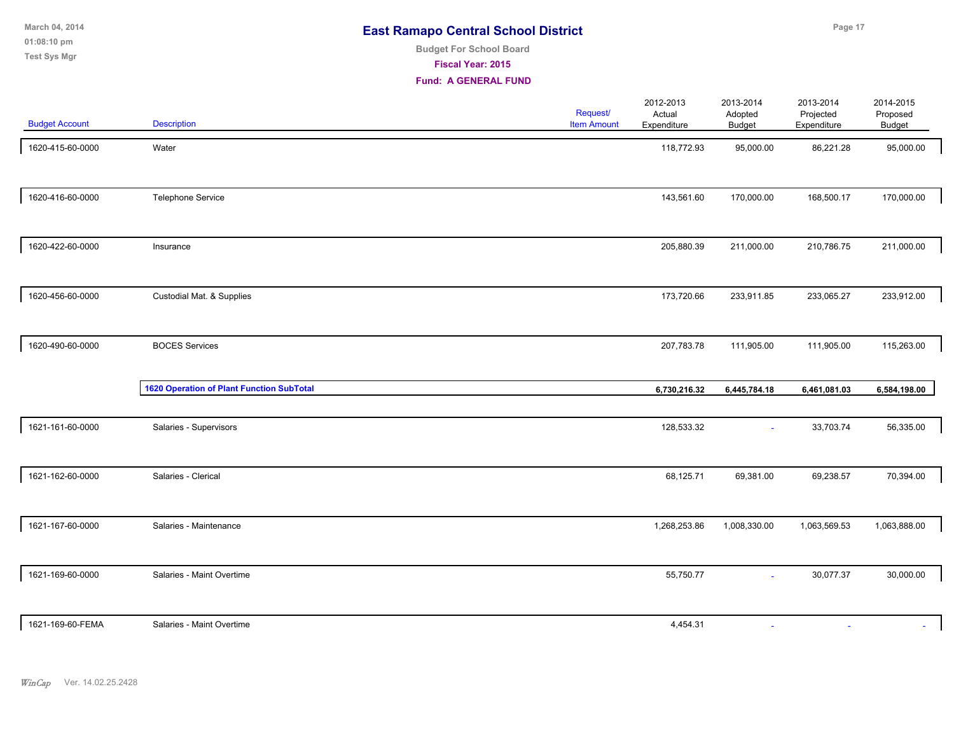|  | <b>East Ramapo Central School District</b> |  |
|--|--------------------------------------------|--|
|--|--------------------------------------------|--|

**01:08:10 pm March 04, 2014 Test Sys Mgr**

### **Budget For School Board**

**Fiscal Year: 2015**

| <b>Budget Account</b> | <b>Description</b>                               | Request/<br><b>Item Amount</b> | 2012-2013<br>Actual<br>Expenditure | 2013-2014<br>Adopted<br><b>Budget</b> | 2013-2014<br>Projected<br>Expenditure | 2014-2015<br>Proposed<br>Budget |  |
|-----------------------|--------------------------------------------------|--------------------------------|------------------------------------|---------------------------------------|---------------------------------------|---------------------------------|--|
| 1620-415-60-0000      | Water                                            |                                | 118,772.93                         | 95,000.00                             | 86,221.28                             | 95,000.00                       |  |
| 1620-416-60-0000      | Telephone Service                                |                                | 143,561.60                         | 170,000.00                            | 168,500.17                            | 170,000.00                      |  |
| 1620-422-60-0000      | Insurance                                        |                                | 205,880.39                         | 211,000.00                            | 210,786.75                            | 211,000.00                      |  |
| 1620-456-60-0000      | Custodial Mat. & Supplies                        |                                | 173,720.66                         | 233,911.85                            | 233,065.27                            | 233,912.00                      |  |
| 1620-490-60-0000      | <b>BOCES Services</b>                            |                                | 207,783.78                         | 111,905.00                            | 111,905.00                            | 115,263.00                      |  |
|                       | <b>1620 Operation of Plant Function SubTotal</b> |                                | 6,730,216.32                       | 6,445,784.18                          | 6,461,081.03                          | 6,584,198.00                    |  |
| 1621-161-60-0000      | Salaries - Supervisors                           |                                | 128,533.32                         | $\omega$                              | 33,703.74                             | 56,335.00                       |  |
| 1621-162-60-0000      | Salaries - Clerical                              |                                | 68,125.71                          | 69,381.00                             | 69,238.57                             | 70,394.00                       |  |
| 1621-167-60-0000      | Salaries - Maintenance                           |                                | 1,268,253.86                       | 1,008,330.00                          | 1,063,569.53                          | 1,063,888.00                    |  |
| 1621-169-60-0000      | Salaries - Maint Overtime                        |                                | 55,750.77                          | $\sim$                                | 30,077.37                             | 30,000.00                       |  |
| 1621-169-60-FEMA      | Salaries - Maint Overtime                        |                                | 4,454.31                           | $\sim$                                |                                       |                                 |  |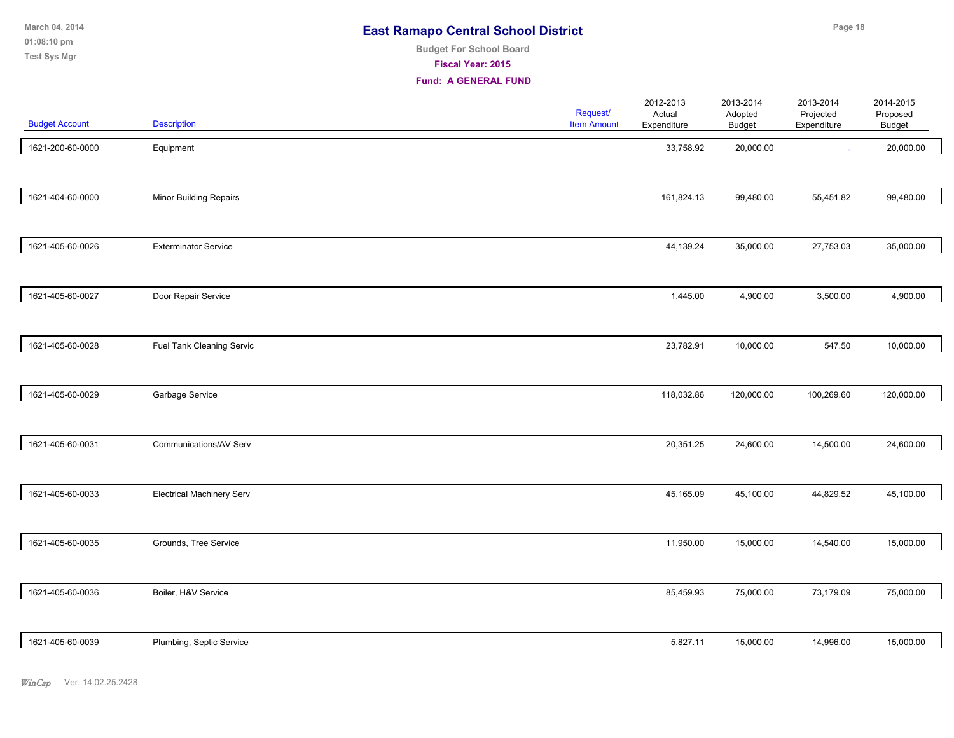**01:08:10 pm March 04, 2014 Test Sys Mgr**

# **Budget For School Board**

**Fiscal Year: 2015**

| <b>Budget Account</b> | <b>Description</b>               | Request/<br><b>Item Amount</b> | 2012-2013<br>Actual<br>Expenditure | 2013-2014<br>Adopted<br><b>Budget</b> | 2013-2014<br>Projected<br>Expenditure | 2014-2015<br>Proposed<br>Budget |  |
|-----------------------|----------------------------------|--------------------------------|------------------------------------|---------------------------------------|---------------------------------------|---------------------------------|--|
| 1621-200-60-0000      | Equipment                        |                                | 33,758.92                          | 20,000.00                             | $\sim$                                | 20,000.00                       |  |
| 1621-404-60-0000      | Minor Building Repairs           |                                | 161,824.13                         | 99,480.00                             | 55,451.82                             | 99,480.00                       |  |
| 1621-405-60-0026      | <b>Exterminator Service</b>      |                                | 44,139.24                          | 35,000.00                             | 27,753.03                             | 35,000.00                       |  |
| 1621-405-60-0027      | Door Repair Service              |                                | 1,445.00                           | 4,900.00                              | 3,500.00                              | 4,900.00                        |  |
| 1621-405-60-0028      | Fuel Tank Cleaning Servic        |                                | 23,782.91                          | 10,000.00                             | 547.50                                | 10,000.00                       |  |
| 1621-405-60-0029      | Garbage Service                  |                                | 118,032.86                         | 120,000.00                            | 100,269.60                            | 120,000.00                      |  |
| 1621-405-60-0031      | Communications/AV Serv           |                                | 20,351.25                          | 24,600.00                             | 14,500.00                             | 24,600.00                       |  |
| 1621-405-60-0033      | <b>Electrical Machinery Serv</b> |                                | 45,165.09                          | 45,100.00                             | 44,829.52                             | 45,100.00                       |  |
| 1621-405-60-0035      | Grounds, Tree Service            |                                | 11,950.00                          | 15,000.00                             | 14,540.00                             | 15,000.00                       |  |
| 1621-405-60-0036      | Boiler, H&V Service              |                                | 85,459.93                          | 75,000.00                             | 73,179.09                             | 75,000.00                       |  |
| 1621-405-60-0039      | Plumbing, Septic Service         |                                | 5,827.11                           | 15,000.00                             | 14,996.00                             | 15,000.00                       |  |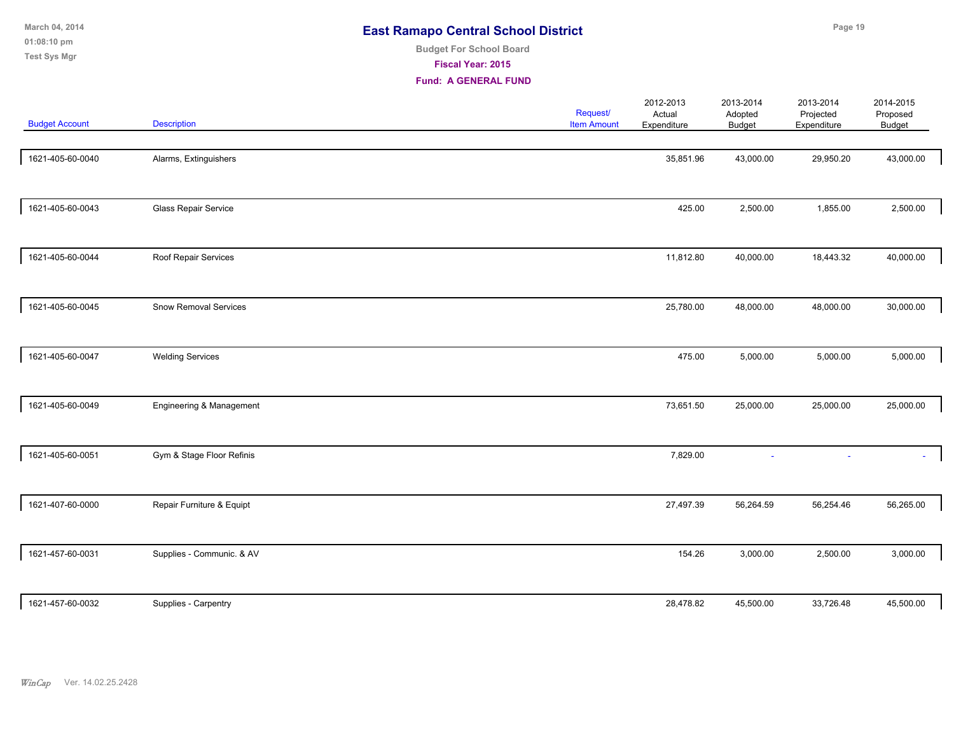| March 04, 2014<br>01:08:10 pm<br><b>Test Sys Mgr</b> |                              | <b>East Ramapo Central School District</b><br><b>Budget For School Board</b><br>Fiscal Year: 2015<br><b>Fund: A GENERAL FUND</b> |                                |                                    |                                       | Page 19                               |                                 |  |
|------------------------------------------------------|------------------------------|----------------------------------------------------------------------------------------------------------------------------------|--------------------------------|------------------------------------|---------------------------------------|---------------------------------------|---------------------------------|--|
| <b>Budget Account</b>                                | <b>Description</b>           |                                                                                                                                  | Request/<br><b>Item Amount</b> | 2012-2013<br>Actual<br>Expenditure | 2013-2014<br>Adopted<br><b>Budget</b> | 2013-2014<br>Projected<br>Expenditure | 2014-2015<br>Proposed<br>Budget |  |
| 1621-405-60-0040                                     | Alarms, Extinguishers        |                                                                                                                                  |                                | 35,851.96                          | 43,000.00                             | 29,950.20                             | 43,000.00                       |  |
| 1621-405-60-0043                                     | Glass Repair Service         |                                                                                                                                  |                                | 425.00                             | 2,500.00                              | 1,855.00                              | 2,500.00                        |  |
| 1621-405-60-0044                                     | Roof Repair Services         |                                                                                                                                  |                                | 11,812.80                          | 40,000.00                             | 18,443.32                             | 40,000.00                       |  |
| 1621-405-60-0045                                     | <b>Snow Removal Services</b> |                                                                                                                                  |                                | 25,780.00                          | 48,000.00                             | 48,000.00                             | 30,000.00                       |  |
| 1621-405-60-0047                                     | <b>Welding Services</b>      |                                                                                                                                  |                                | 475.00                             | 5,000.00                              | 5,000.00                              | 5,000.00                        |  |
| 1621-405-60-0049                                     | Engineering & Management     |                                                                                                                                  |                                | 73,651.50                          | 25,000.00                             | 25,000.00                             | 25,000.00                       |  |
| 1621-405-60-0051                                     | Gym & Stage Floor Refinis    |                                                                                                                                  |                                | 7,829.00                           |                                       |                                       |                                 |  |
| 1621-407-60-0000                                     | Repair Furniture & Equipt    |                                                                                                                                  |                                | 27,497.39                          | 56,264.59                             | 56,254.46                             | 56,265.00                       |  |
| 1621-457-60-0031                                     | Supplies - Communic. & AV    |                                                                                                                                  |                                | 154.26                             | 3,000.00                              | 2,500.00                              | 3,000.00                        |  |

1621-457-60-0032 Supplies - Carpentry 28,478.82 45,500.00 33,726.48 45,500.00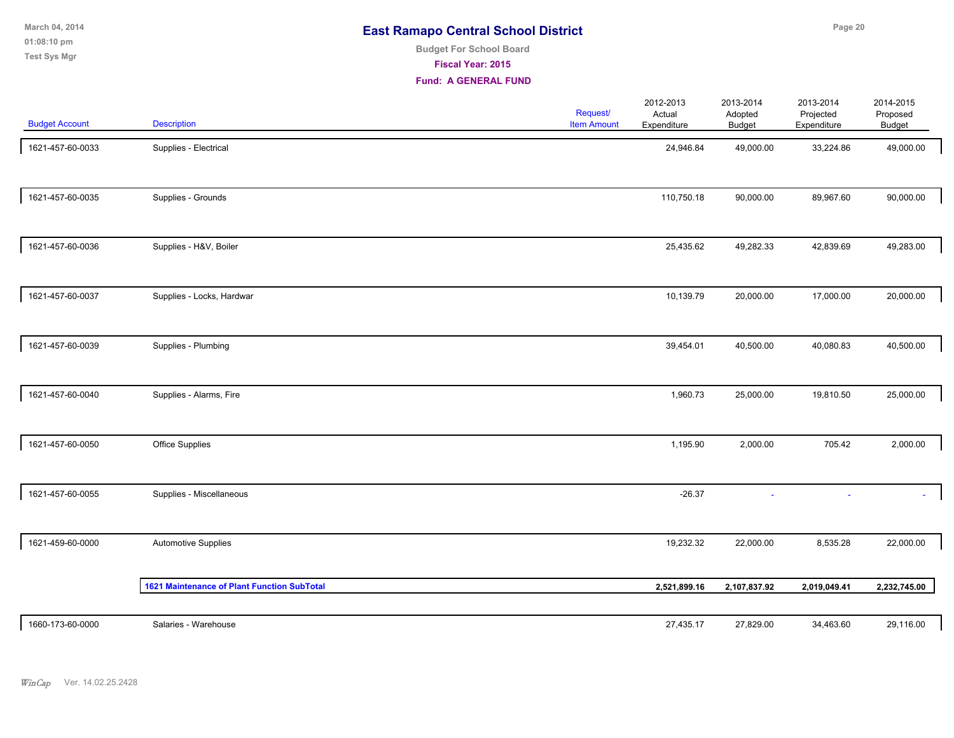**01:08:10 pm March 04, 2014 Test Sys Mgr**

# **Budget For School Board**

**Fiscal Year: 2015**

| <b>Budget Account</b> | <b>Description</b>                          | <b>Request/</b><br><b>Item Amount</b> | 2012-2013<br>Actual<br>Expenditure | 2013-2014<br>Adopted<br><b>Budget</b> | 2013-2014<br>Projected<br>Expenditure | 2014-2015<br>Proposed<br>Budget |  |
|-----------------------|---------------------------------------------|---------------------------------------|------------------------------------|---------------------------------------|---------------------------------------|---------------------------------|--|
| 1621-457-60-0033      | Supplies - Electrical                       |                                       | 24,946.84                          | 49,000.00                             | 33,224.86                             | 49,000.00                       |  |
| 1621-457-60-0035      | Supplies - Grounds                          |                                       | 110,750.18                         | 90,000.00                             | 89,967.60                             | 90,000.00                       |  |
| 1621-457-60-0036      | Supplies - H&V, Boiler                      |                                       | 25,435.62                          | 49,282.33                             | 42,839.69                             | 49,283.00                       |  |
| 1621-457-60-0037      | Supplies - Locks, Hardwar                   |                                       | 10,139.79                          | 20,000.00                             | 17,000.00                             | 20,000.00                       |  |
| 1621-457-60-0039      | Supplies - Plumbing                         |                                       | 39,454.01                          | 40,500.00                             | 40,080.83                             | 40,500.00                       |  |
| 1621-457-60-0040      | Supplies - Alarms, Fire                     |                                       | 1,960.73                           | 25,000.00                             | 19,810.50                             | 25,000.00                       |  |
| 1621-457-60-0050      | Office Supplies                             |                                       | 1,195.90                           | 2,000.00                              | 705.42                                | 2,000.00                        |  |
| 1621-457-60-0055      | Supplies - Miscellaneous                    |                                       | $-26.37$                           | $\sim$                                |                                       |                                 |  |
| 1621-459-60-0000      | <b>Automotive Supplies</b>                  |                                       | 19,232.32                          | 22,000.00                             | 8,535.28                              | 22,000.00                       |  |
|                       | 1621 Maintenance of Plant Function SubTotal |                                       | 2,521,899.16                       | 2,107,837.92                          | 2,019,049.41                          | 2,232,745.00                    |  |
| 1660-173-60-0000      | Salaries - Warehouse                        |                                       | 27,435.17                          | 27,829.00                             | 34,463.60                             | 29,116.00                       |  |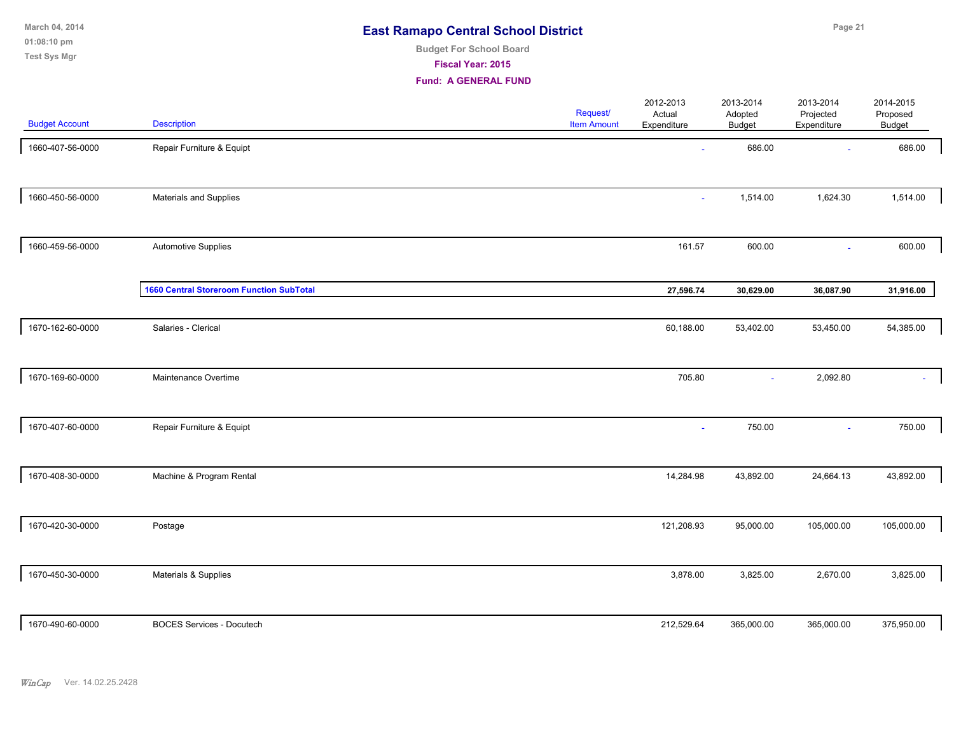| March 04, 2014        | <b>East Ramapo Central School District</b> | Page 21 |
|-----------------------|--------------------------------------------|---------|
| $01:08:10 \text{ pm}$ |                                            |         |
| Test Sys Mgr          | <b>Budget For School Board</b>             |         |
|                       |                                            |         |
|                       | <b>Fiscal Year: 2015</b>                   |         |
|                       | <b>Fund: A GENERAL FUND</b>                |         |

| <b>Budget Account</b> | <b>Description</b>                              | Request/<br><b>Item Amount</b> | 2012-2013<br>Actual<br>Expenditure | 2013-2014<br>Adopted<br><b>Budget</b> | 2013-2014<br>Projected<br>Expenditure | 2014-2015<br>Proposed<br>Budget |  |
|-----------------------|-------------------------------------------------|--------------------------------|------------------------------------|---------------------------------------|---------------------------------------|---------------------------------|--|
| 1660-407-56-0000      | Repair Furniture & Equipt                       |                                | $\omega$                           | 686.00                                | $\sim$                                | 686.00                          |  |
| 1660-450-56-0000      | Materials and Supplies                          |                                | ÷.                                 | 1,514.00                              | 1,624.30                              | 1,514.00                        |  |
| 1660-459-56-0000      | <b>Automotive Supplies</b>                      |                                | 161.57                             | 600.00                                | $\sim$                                | 600.00                          |  |
|                       | <b>1660 Central Storeroom Function SubTotal</b> |                                | 27,596.74                          | 30,629.00                             | 36,087.90                             | 31,916.00                       |  |
| 1670-162-60-0000      | Salaries - Clerical                             |                                | 60,188.00                          | 53,402.00                             | 53,450.00                             | 54,385.00                       |  |
| 1670-169-60-0000      | Maintenance Overtime                            |                                | 705.80                             | $\sim$                                | 2,092.80                              | $\mathbf{r}$                    |  |
| 1670-407-60-0000      | Repair Furniture & Equipt                       |                                | ٠                                  | 750.00                                | $\sim$                                | 750.00                          |  |
| 1670-408-30-0000      | Machine & Program Rental                        |                                | 14,284.98                          | 43,892.00                             | 24,664.13                             | 43,892.00                       |  |
| 1670-420-30-0000      | Postage                                         |                                | 121,208.93                         | 95,000.00                             | 105,000.00                            | 105,000.00                      |  |
| 1670-450-30-0000      | Materials & Supplies                            |                                | 3,878.00                           | 3,825.00                              | 2,670.00                              | 3,825.00                        |  |
| 1670-490-60-0000      | <b>BOCES Services - Docutech</b>                |                                | 212,529.64                         | 365,000.00                            | 365,000.00                            | 375,950.00                      |  |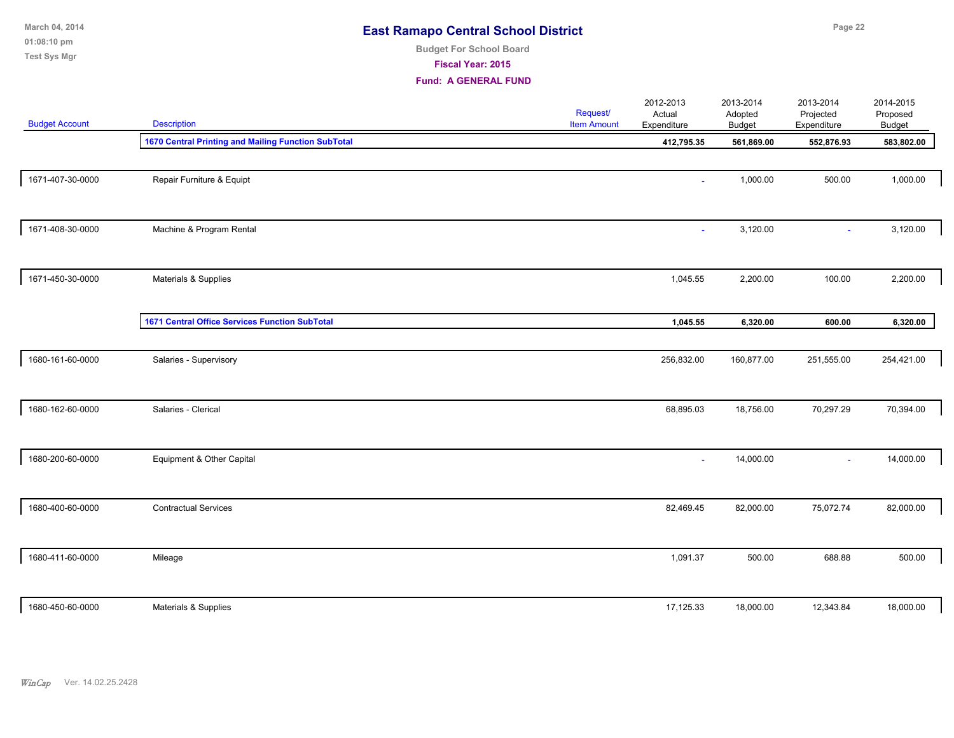| March 04, 2014<br>01:08:10 pm<br><b>Test Sys Mgr</b> | <b>East Ramapo Central School District</b><br><b>Budget For School Board</b><br>Fiscal Year: 2015<br><b>Fund: A GENERAL FUND</b> |  |                                       |                                    | Page 22                               |                                       |                                        |  |  |
|------------------------------------------------------|----------------------------------------------------------------------------------------------------------------------------------|--|---------------------------------------|------------------------------------|---------------------------------------|---------------------------------------|----------------------------------------|--|--|
| <b>Budget Account</b>                                | <b>Description</b>                                                                                                               |  | <b>Request/</b><br><b>Item Amount</b> | 2012-2013<br>Actual<br>Expenditure | 2013-2014<br>Adopted<br><b>Budget</b> | 2013-2014<br>Projected<br>Expenditure | 2014-2015<br>Proposed<br><b>Budget</b> |  |  |
|                                                      | 1670 Central Printing and Mailing Function SubTotal                                                                              |  |                                       | 412,795.35                         | 561,869.00                            | 552,876.93                            | 583,802.00                             |  |  |
| 1671-407-30-0000                                     | Repair Furniture & Equipt                                                                                                        |  |                                       | $\overline{\phantom{a}}$           | 1,000.00                              | 500.00                                | 1,000.00                               |  |  |
| 1671-408-30-0000                                     | Machine & Program Rental                                                                                                         |  |                                       | $\mathbf{r}$                       | 3,120.00                              | $\omega$                              | 3,120.00                               |  |  |
| 1671-450-30-0000                                     | Materials & Supplies                                                                                                             |  |                                       | 1,045.55                           | 2,200.00                              | 100.00                                | 2,200.00                               |  |  |
|                                                      | <b>1671 Central Office Services Function SubTotal</b>                                                                            |  |                                       | 1,045.55                           | 6,320.00                              | 600.00                                | 6,320.00                               |  |  |
| 1680-161-60-0000                                     | Salaries - Supervisory                                                                                                           |  |                                       | 256,832.00                         | 160,877.00                            | 251,555.00                            | 254,421.00                             |  |  |
| 1680-162-60-0000                                     | Salaries - Clerical                                                                                                              |  |                                       | 68,895.03                          | 18,756.00                             | 70,297.29                             | 70,394.00                              |  |  |
| 1680-200-60-0000                                     | Equipment & Other Capital                                                                                                        |  |                                       | $\sim$                             | 14,000.00                             | $\sim$                                | 14,000.00                              |  |  |
| 1680-400-60-0000                                     | <b>Contractual Services</b>                                                                                                      |  |                                       | 82,469.45                          | 82,000.00                             | 75,072.74                             | 82,000.00                              |  |  |
| 1680-411-60-0000                                     | Mileage                                                                                                                          |  |                                       | 1,091.37                           | 500.00                                | 688.88                                | 500.00                                 |  |  |
| 1680-450-60-0000                                     | Materials & Supplies                                                                                                             |  |                                       | 17,125.33                          | 18,000.00                             | 12,343.84                             | 18,000.00                              |  |  |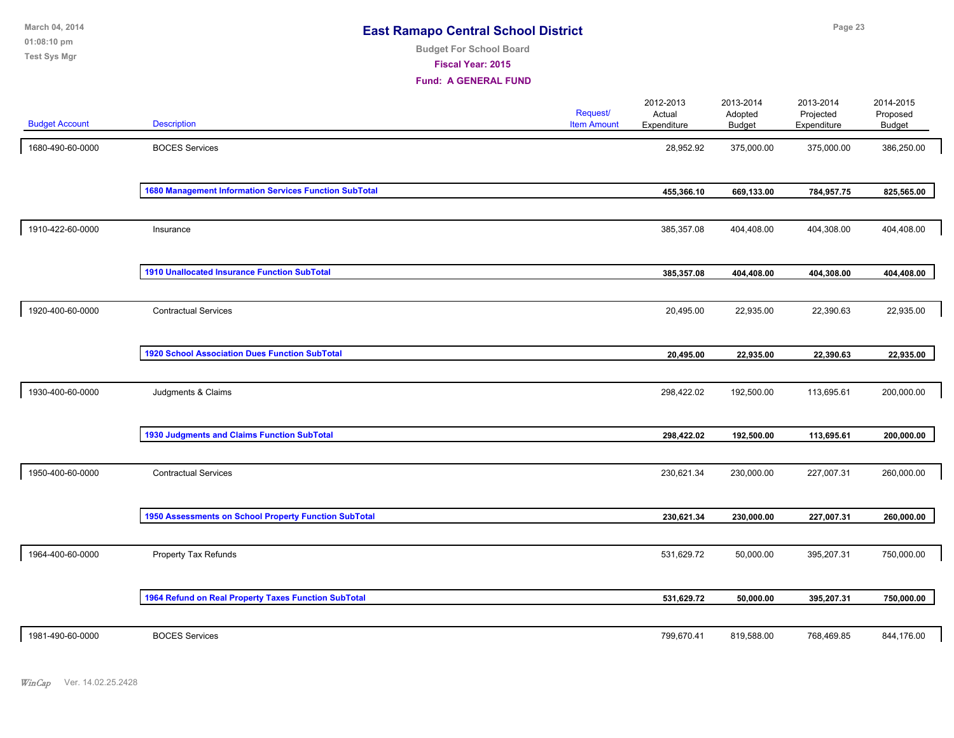| March 04, 2014<br>01:08:10 pm<br><b>Test Sys Mgr</b> |                                                        | <b>East Ramapo Central School District</b><br><b>Budget For School Board</b><br>Fiscal Year: 2015<br><b>Fund: A GENERAL FUND</b> |                                       |                                    |                                       | Page 23                               |                                 |  |
|------------------------------------------------------|--------------------------------------------------------|----------------------------------------------------------------------------------------------------------------------------------|---------------------------------------|------------------------------------|---------------------------------------|---------------------------------------|---------------------------------|--|
| <b>Budget Account</b>                                | <b>Description</b>                                     |                                                                                                                                  | <b>Request/</b><br><b>Item Amount</b> | 2012-2013<br>Actual<br>Expenditure | 2013-2014<br>Adopted<br><b>Budget</b> | 2013-2014<br>Projected<br>Expenditure | 2014-2015<br>Proposed<br>Budget |  |
| 1680-490-60-0000                                     | <b>BOCES Services</b>                                  |                                                                                                                                  |                                       | 28,952.92                          | 375,000.00                            | 375,000.00                            | 386,250.00                      |  |
|                                                      | 1680 Management Information Services Function SubTotal |                                                                                                                                  |                                       | 455,366.10                         | 669,133.00                            | 784,957.75                            | 825,565.00                      |  |
| 1910-422-60-0000                                     | Insurance                                              |                                                                                                                                  |                                       | 385,357.08                         | 404,408.00                            | 404,308.00                            | 404,408.00                      |  |
|                                                      | 1910 Unallocated Insurance Function SubTotal           |                                                                                                                                  |                                       | 385,357.08                         | 404,408.00                            | 404,308.00                            | 404,408.00                      |  |
| 1920-400-60-0000                                     | <b>Contractual Services</b>                            |                                                                                                                                  |                                       | 20,495.00                          | 22,935.00                             | 22,390.63                             | 22,935.00                       |  |
|                                                      | <b>1920 School Association Dues Function SubTotal</b>  |                                                                                                                                  |                                       | 20,495.00                          | 22,935.00                             | 22,390.63                             | 22,935.00                       |  |
| 1930-400-60-0000                                     | Judgments & Claims                                     |                                                                                                                                  |                                       | 298,422.02                         | 192,500.00                            | 113,695.61                            | 200,000.00                      |  |
|                                                      | <b>1930 Judgments and Claims Function SubTotal</b>     |                                                                                                                                  |                                       | 298,422.02                         | 192,500.00                            | 113,695.61                            | 200,000.00                      |  |
| 1950-400-60-0000                                     | <b>Contractual Services</b>                            |                                                                                                                                  |                                       | 230,621.34                         | 230,000.00                            | 227,007.31                            | 260,000.00                      |  |
|                                                      | 1950 Assessments on School Property Function SubTotal  |                                                                                                                                  |                                       | 230,621.34                         | 230,000.00                            | 227,007.31                            | 260,000.00                      |  |
| 1964-400-60-0000                                     | Property Tax Refunds                                   |                                                                                                                                  |                                       | 531,629.72                         | 50,000.00                             | 395,207.31                            | 750,000.00                      |  |
|                                                      | 1964 Refund on Real Property Taxes Function SubTotal   |                                                                                                                                  |                                       | 531,629.72                         | 50,000.00                             | 395,207.31                            | 750,000.00                      |  |
| 1981-490-60-0000                                     | <b>BOCES Services</b>                                  |                                                                                                                                  |                                       | 799,670.41                         | 819,588.00                            | 768,469.85                            | 844,176.00                      |  |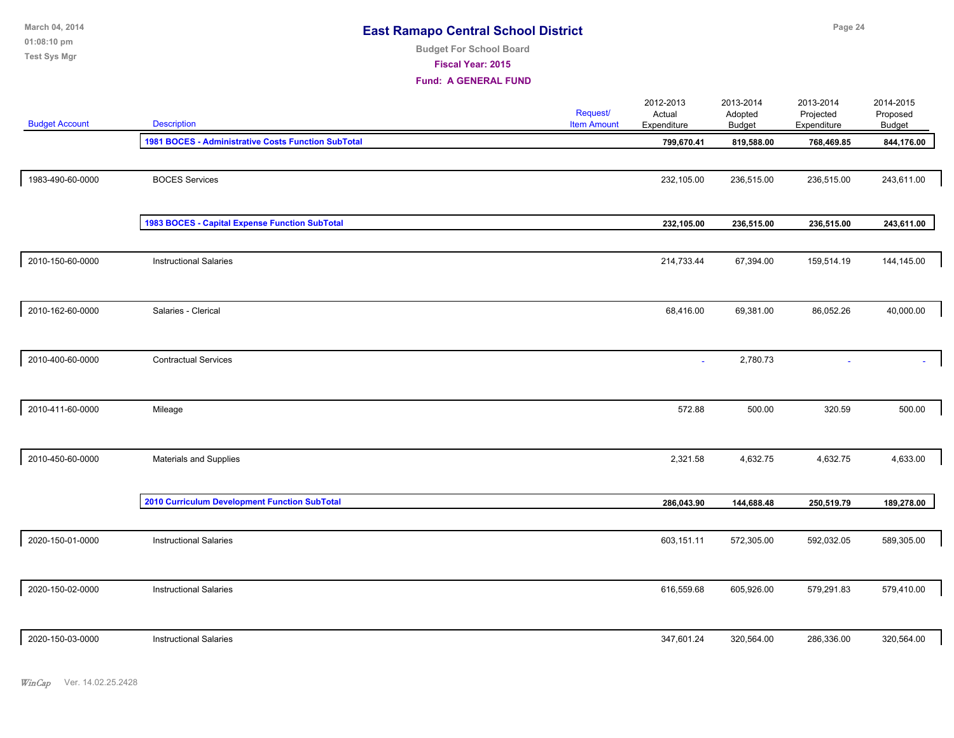| March 04, 2014<br>01:08:10 pm |                                                     | <b>East Ramapo Central School District</b><br><b>Budget For School Board</b> |                                       |                                    |                                       | Page 24                               |                                        |  |  |  |
|-------------------------------|-----------------------------------------------------|------------------------------------------------------------------------------|---------------------------------------|------------------------------------|---------------------------------------|---------------------------------------|----------------------------------------|--|--|--|
| Test Sys Mgr                  |                                                     | Fiscal Year: 2015<br><b>Fund: A GENERAL FUND</b>                             |                                       |                                    |                                       |                                       |                                        |  |  |  |
| <b>Budget Account</b>         | <b>Description</b>                                  |                                                                              | <b>Request/</b><br><b>Item Amount</b> | 2012-2013<br>Actual<br>Expenditure | 2013-2014<br>Adopted<br><b>Budget</b> | 2013-2014<br>Projected<br>Expenditure | 2014-2015<br>Proposed<br><b>Budget</b> |  |  |  |
|                               | 1981 BOCES - Administrative Costs Function SubTotal |                                                                              |                                       | 799,670.41                         | 819,588.00                            | 768,469.85                            | 844,176.00                             |  |  |  |
| 1983-490-60-0000              | <b>BOCES</b> Services                               |                                                                              |                                       | 232,105.00                         | 236,515.00                            | 236,515.00                            | 243,611.00                             |  |  |  |
|                               | 1983 BOCES - Capital Expense Function SubTotal      |                                                                              |                                       | 232,105.00                         | 236,515.00                            | 236,515.00                            | 243,611.00                             |  |  |  |
| 2010-150-60-0000              | <b>Instructional Salaries</b>                       |                                                                              |                                       | 214,733.44                         | 67,394.00                             | 159,514.19                            | 144,145.00                             |  |  |  |
| 2010-162-60-0000              | Salaries - Clerical                                 |                                                                              |                                       | 68,416.00                          | 69,381.00                             | 86,052.26                             | 40,000.00                              |  |  |  |
| 2010-400-60-0000              | <b>Contractual Services</b>                         |                                                                              |                                       |                                    | 2,780.73                              |                                       |                                        |  |  |  |
| 2010-411-60-0000              | Mileage                                             |                                                                              |                                       | 572.88                             | 500.00                                | 320.59                                | 500.00                                 |  |  |  |
| 2010-450-60-0000              | Materials and Supplies                              |                                                                              |                                       | 2,321.58                           | 4,632.75                              | 4,632.75                              | 4,633.00                               |  |  |  |
|                               | 2010 Curriculum Development Function SubTotal       |                                                                              |                                       | 286,043.90                         | 144,688.48                            | 250,519.79                            | 189,278.00                             |  |  |  |
| 2020-150-01-0000              | <b>Instructional Salaries</b>                       |                                                                              |                                       | 603,151.11                         | 572,305.00                            | 592,032.05                            | 589,305.00                             |  |  |  |
| 2020-150-02-0000              | <b>Instructional Salaries</b>                       |                                                                              |                                       | 616,559.68                         | 605,926.00                            | 579,291.83                            | 579,410.00                             |  |  |  |
| 2020-150-03-0000              | <b>Instructional Salaries</b>                       |                                                                              |                                       | 347,601.24                         | 320,564.00                            | 286,336.00                            | 320,564.00                             |  |  |  |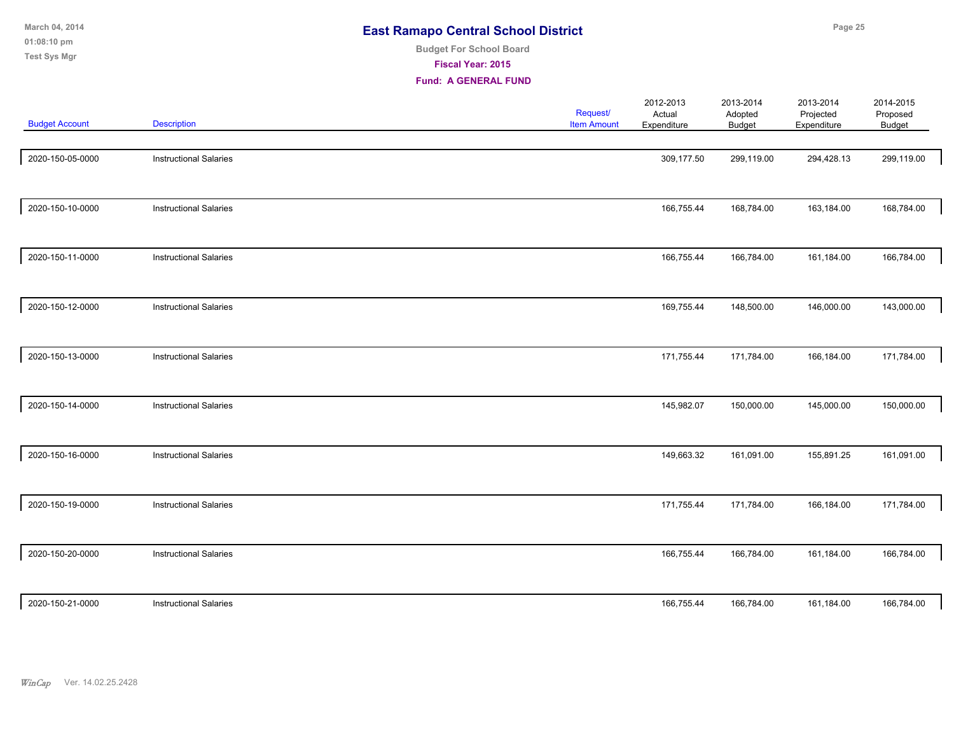| March 04, 2014<br>01:08:10 pm<br><b>Test Sys Mgr</b> |                               | <b>Budget For School Board</b><br>Fiscal Year: 2015<br><b>Fund: A GENERAL FUND</b> | <b>East Ramapo Central School District</b> |                                    |                                | Page 25                               |                                 |  |  |
|------------------------------------------------------|-------------------------------|------------------------------------------------------------------------------------|--------------------------------------------|------------------------------------|--------------------------------|---------------------------------------|---------------------------------|--|--|
| <b>Budget Account</b>                                | <b>Description</b>            |                                                                                    | Request/<br><b>Item Amount</b>             | 2012-2013<br>Actual<br>Expenditure | 2013-2014<br>Adopted<br>Budget | 2013-2014<br>Projected<br>Expenditure | 2014-2015<br>Proposed<br>Budget |  |  |
| 2020-150-05-0000                                     | <b>Instructional Salaries</b> |                                                                                    |                                            | 309,177.50                         | 299,119.00                     | 294,428.13                            | 299,119.00                      |  |  |
| 2020-150-10-0000                                     | <b>Instructional Salaries</b> |                                                                                    |                                            | 166,755.44                         | 168,784.00                     | 163,184.00                            | 168,784.00                      |  |  |
| 2020-150-11-0000                                     | <b>Instructional Salaries</b> |                                                                                    |                                            | 166,755.44                         | 166,784.00                     | 161,184.00                            | 166,784.00                      |  |  |
| 2020-150-12-0000                                     | <b>Instructional Salaries</b> |                                                                                    |                                            | 169,755.44                         | 148,500.00                     | 146,000.00                            | 143,000.00                      |  |  |
| 2020-150-13-0000                                     | <b>Instructional Salaries</b> |                                                                                    |                                            | 171,755.44                         | 171,784.00                     | 166,184.00                            | 171,784.00                      |  |  |
| 2020-150-14-0000                                     | <b>Instructional Salaries</b> |                                                                                    |                                            | 145,982.07                         | 150,000.00                     | 145,000.00                            | 150,000.00                      |  |  |
| 2020-150-16-0000                                     | <b>Instructional Salaries</b> |                                                                                    |                                            | 149,663.32                         | 161,091.00                     | 155,891.25                            | 161,091.00                      |  |  |
| 2020-150-19-0000                                     | <b>Instructional Salaries</b> |                                                                                    |                                            | 171,755.44                         | 171,784.00                     | 166,184.00                            | 171,784.00                      |  |  |
| 2020-150-20-0000                                     | <b>Instructional Salaries</b> |                                                                                    |                                            | 166,755.44                         | 166,784.00                     | 161,184.00                            | 166,784.00                      |  |  |
| 2020-150-21-0000                                     | <b>Instructional Salaries</b> |                                                                                    |                                            | 166,755.44                         | 166,784.00                     | 161,184.00                            | 166,784.00                      |  |  |

*WinCap* Ver. 14.02.25.2428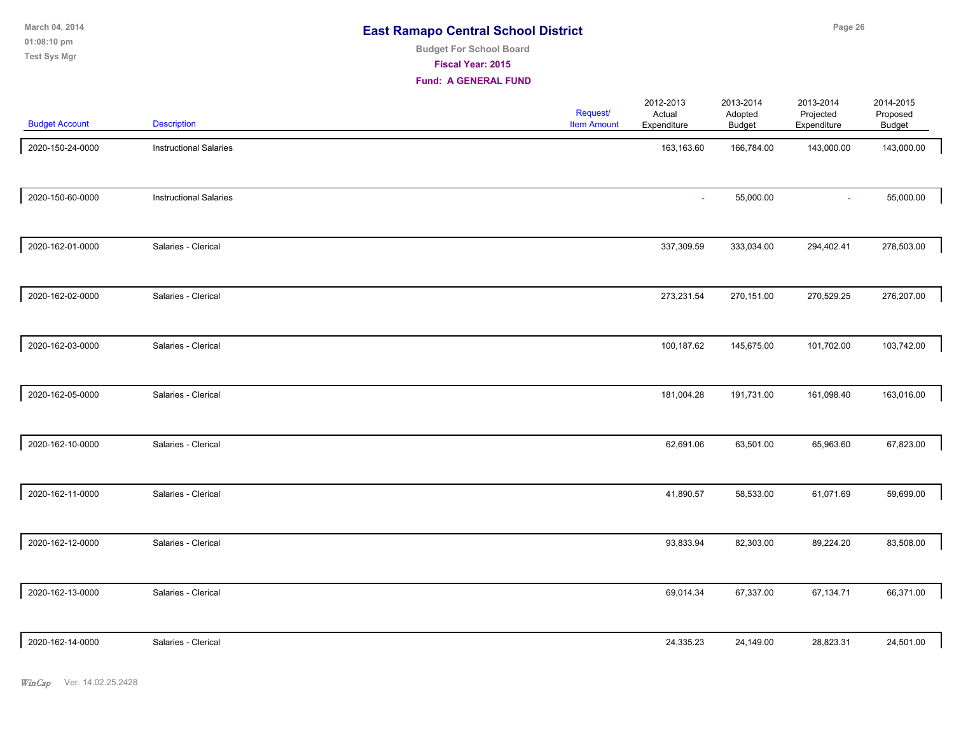| March 04, 2014<br>01:08:10 pm | <b>East Ramapo Central School District</b>          | Page 26 |
|-------------------------------|-----------------------------------------------------|---------|
| Test Sys Mgr                  | <b>Budget For School Board</b><br>Fiscal Year: 2015 |         |
|                               | <b>Fund: A GENERAL FUND</b>                         |         |

| <b>Budget Account</b> | Description                   | Request/<br><b>Item Amount</b> | 2012-2013<br>Actual<br>Expenditure | 2013-2014<br>Adopted<br><b>Budget</b> | 2013-2014<br>Projected<br>Expenditure | 2014-2015<br>Proposed<br>Budget |
|-----------------------|-------------------------------|--------------------------------|------------------------------------|---------------------------------------|---------------------------------------|---------------------------------|
| 2020-150-24-0000      | <b>Instructional Salaries</b> |                                | 163,163.60                         | 166,784.00                            | 143,000.00                            | 143,000.00                      |
| 2020-150-60-0000      | <b>Instructional Salaries</b> |                                |                                    | 55,000.00                             | $\omega$                              | 55,000.00                       |
| 2020-162-01-0000      | Salaries - Clerical           |                                | 337,309.59                         | 333,034.00                            | 294,402.41                            | 278,503.00                      |
| 2020-162-02-0000      | Salaries - Clerical           |                                | 273,231.54                         | 270,151.00                            | 270,529.25                            | 276,207.00                      |
| 2020-162-03-0000      | Salaries - Clerical           |                                | 100,187.62                         | 145,675.00                            | 101,702.00                            | 103,742.00                      |
| 2020-162-05-0000      | Salaries - Clerical           |                                | 181,004.28                         | 191,731.00                            | 161,098.40                            | 163,016.00                      |
| 2020-162-10-0000      | Salaries - Clerical           |                                | 62,691.06                          | 63,501.00                             | 65,963.60                             | 67,823.00                       |
| 2020-162-11-0000      | Salaries - Clerical           |                                | 41,890.57                          | 58,533.00                             | 61,071.69                             | 59,699.00                       |
| 2020-162-12-0000      | Salaries - Clerical           |                                | 93,833.94                          | 82,303.00                             | 89,224.20                             | 83,508.00                       |
| 2020-162-13-0000      | Salaries - Clerical           |                                | 69,014.34                          | 67,337.00                             | 67,134.71                             | 66,371.00                       |
| 2020-162-14-0000      | Salaries - Clerical           |                                | 24,335.23                          | 24,149.00                             | 28,823.31                             | 24,501.00                       |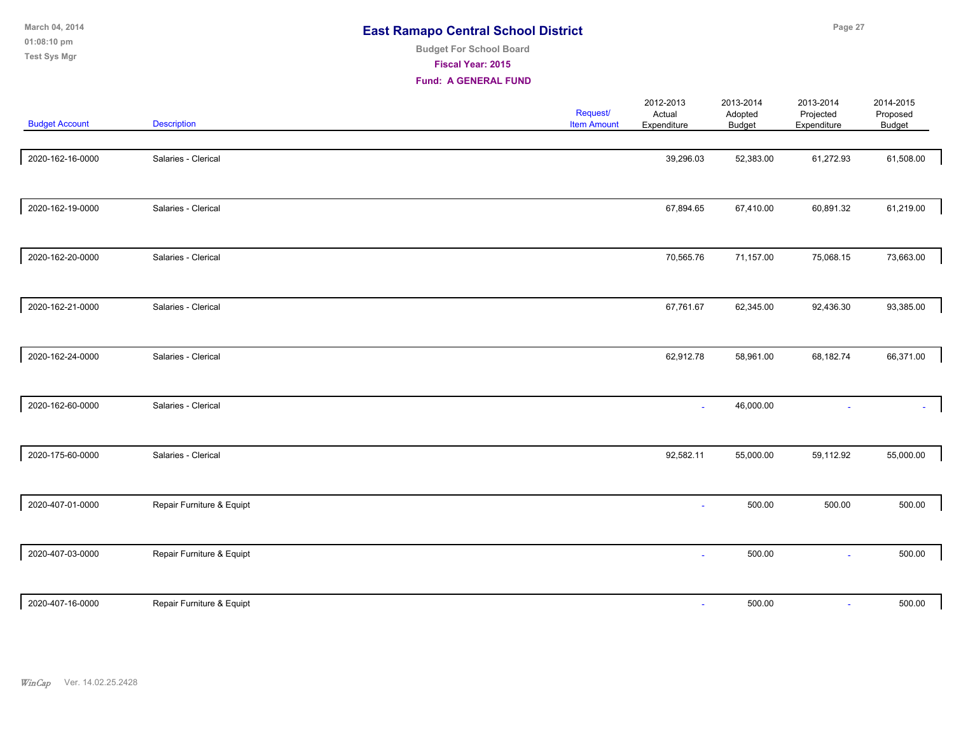| March 04, 2014<br>01:08:10 pm<br><b>Test Sys Mgr</b> |                           | <b>Budget For School Board</b><br>Fiscal Year: 2015<br><b>Fund: A GENERAL FUND</b> | <b>East Ramapo Central School District</b> |                                    |                                | Page 27                               |                                 |  |  |
|------------------------------------------------------|---------------------------|------------------------------------------------------------------------------------|--------------------------------------------|------------------------------------|--------------------------------|---------------------------------------|---------------------------------|--|--|
| <b>Budget Account</b>                                | <b>Description</b>        |                                                                                    | Request/<br><b>Item Amount</b>             | 2012-2013<br>Actual<br>Expenditure | 2013-2014<br>Adopted<br>Budget | 2013-2014<br>Projected<br>Expenditure | 2014-2015<br>Proposed<br>Budget |  |  |
| 2020-162-16-0000                                     | Salaries - Clerical       |                                                                                    |                                            | 39,296.03                          | 52,383.00                      | 61,272.93                             | 61,508.00                       |  |  |
| 2020-162-19-0000                                     | Salaries - Clerical       |                                                                                    |                                            | 67,894.65                          | 67,410.00                      | 60,891.32                             | 61,219.00                       |  |  |
| 2020-162-20-0000                                     | Salaries - Clerical       |                                                                                    |                                            | 70,565.76                          | 71,157.00                      | 75,068.15                             | 73,663.00                       |  |  |
| 2020-162-21-0000                                     | Salaries - Clerical       |                                                                                    |                                            | 67,761.67                          | 62,345.00                      | 92,436.30                             | 93,385.00                       |  |  |
| 2020-162-24-0000                                     | Salaries - Clerical       |                                                                                    |                                            | 62,912.78                          | 58,961.00                      | 68,182.74                             | 66,371.00                       |  |  |
| 2020-162-60-0000                                     | Salaries - Clerical       |                                                                                    |                                            | ä,                                 | 46,000.00                      |                                       |                                 |  |  |
| 2020-175-60-0000                                     | Salaries - Clerical       |                                                                                    |                                            | 92,582.11                          | 55,000.00                      | 59,112.92                             | 55,000.00                       |  |  |
| 2020-407-01-0000                                     | Repair Furniture & Equipt |                                                                                    |                                            | $\sim$                             | 500.00                         | 500.00                                | 500.00                          |  |  |
| 2020-407-03-0000                                     | Repair Furniture & Equipt |                                                                                    |                                            |                                    | 500.00                         | ÷.                                    | 500.00                          |  |  |
|                                                      |                           |                                                                                    |                                            |                                    |                                |                                       |                                 |  |  |

2020-407-16-0000 Repair Furniture & Equipt - 500.00 - 500.00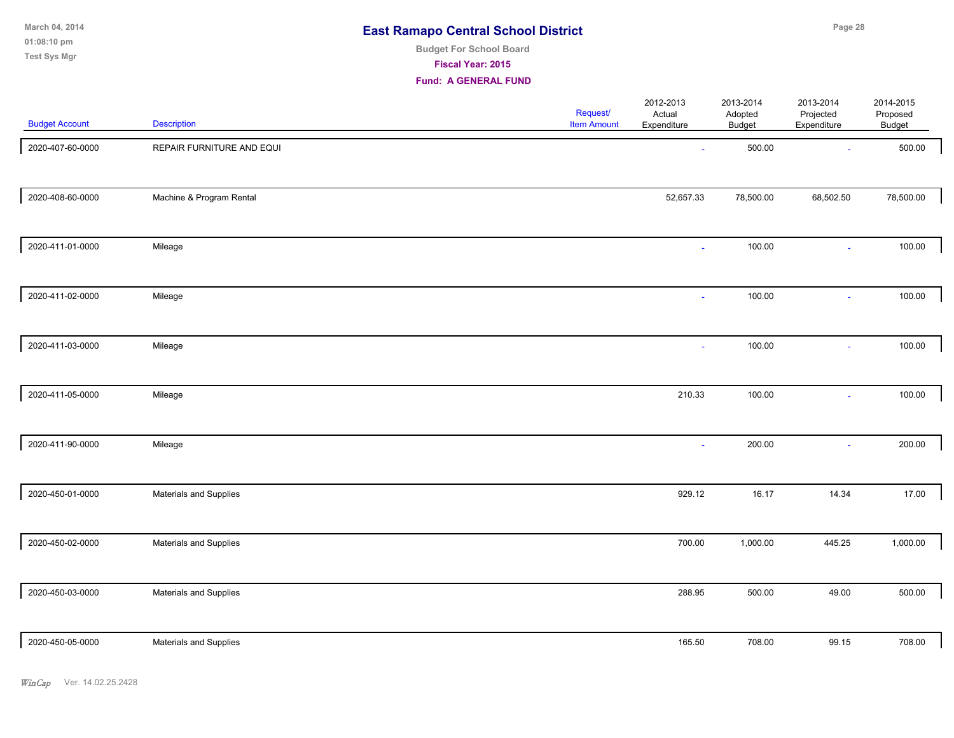| 2020-407-60-0000 | REPAIR FURNITURE AND EQUI | $\sim$    | 500.00    | $\sim$    | 500.00    |
|------------------|---------------------------|-----------|-----------|-----------|-----------|
| 2020-408-60-0000 | Machine & Program Rental  | 52,657.33 | 78,500.00 | 68,502.50 | 78,500.00 |
| 2020-411-01-0000 | Mileage                   | $\sim$    | 100.00    | $\sim$    | 100.00    |
| 2020-411-02-0000 | Mileage                   | $\sim$    | 100.00    | $\sim$    | 100.00    |
| 2020-411-03-0000 | Mileage                   |           | 100.00    | $\sim$    | 100.00    |
| 2020-411-05-0000 | Mileage                   | 210.33    | 100.00    | $\sim$    | 100.00    |
| 2020-411-90-0000 | Mileage                   | $\sim$    | 200.00    | $\sim$    | 200.00    |
| 2020-450-01-0000 | Materials and Supplies    | 929.12    | 16.17     | 14.34     | 17.00     |
| 2020-450-02-0000 | Materials and Supplies    | 700.00    | 1,000.00  | 445.25    | 1,000.00  |
| 2020-450-03-0000 | Materials and Supplies    | 288.95    | 500.00    | 49.00     | 500.00    |
| 2020-450-05-0000 | Materials and Supplies    | 165.50    | 708.00    | 99.15     | 708.00    |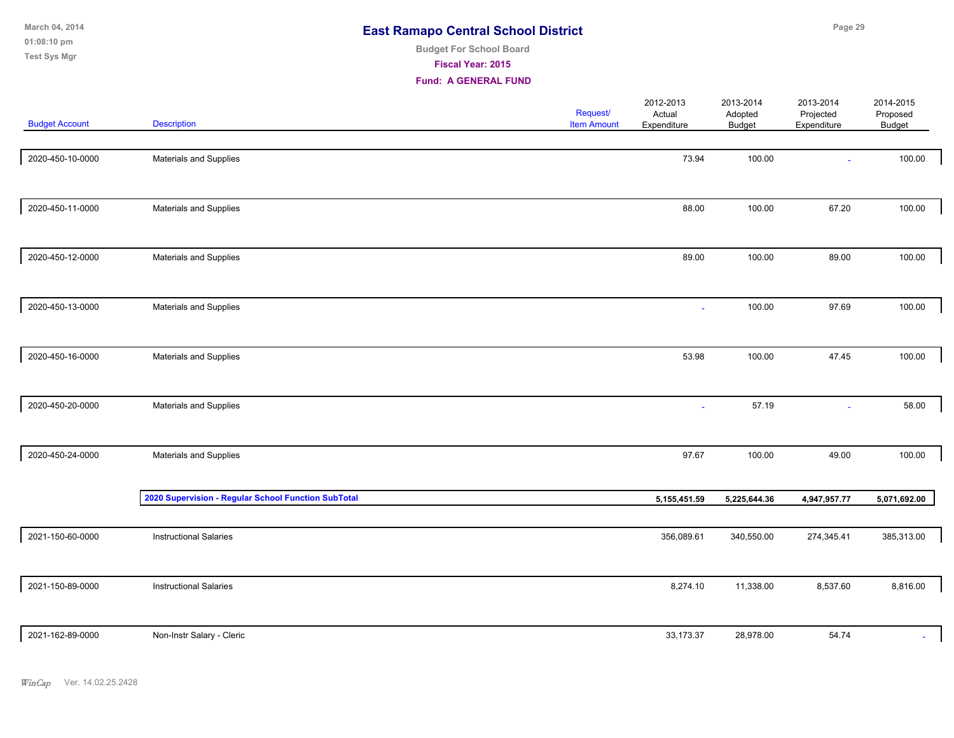| March 04, 2014<br>01:08:10 pm<br><b>Test Sys Mgr</b> |                                                     | <b>East Ramapo Central School District</b><br><b>Budget For School Board</b><br>Fiscal Year: 2015<br><b>Fund: A GENERAL FUND</b> |                                |                                    | Page 29                        |                                       |                                 |  |  |
|------------------------------------------------------|-----------------------------------------------------|----------------------------------------------------------------------------------------------------------------------------------|--------------------------------|------------------------------------|--------------------------------|---------------------------------------|---------------------------------|--|--|
| <b>Budget Account</b>                                | <b>Description</b>                                  |                                                                                                                                  | Request/<br><b>Item Amount</b> | 2012-2013<br>Actual<br>Expenditure | 2013-2014<br>Adopted<br>Budget | 2013-2014<br>Projected<br>Expenditure | 2014-2015<br>Proposed<br>Budget |  |  |
| 2020-450-10-0000                                     | Materials and Supplies                              |                                                                                                                                  |                                | 73.94                              | 100.00                         | ٠                                     | 100.00                          |  |  |
| 2020-450-11-0000                                     | Materials and Supplies                              |                                                                                                                                  |                                | 88.00                              | 100.00                         | 67.20                                 | 100.00                          |  |  |
| 2020-450-12-0000                                     | Materials and Supplies                              |                                                                                                                                  |                                | 89.00                              | 100.00                         | 89.00                                 | 100.00                          |  |  |
| 2020-450-13-0000                                     | Materials and Supplies                              |                                                                                                                                  |                                |                                    | 100.00                         | 97.69                                 | 100.00                          |  |  |
| 2020-450-16-0000                                     | Materials and Supplies                              |                                                                                                                                  |                                | 53.98                              | 100.00                         | 47.45                                 | 100.00                          |  |  |
| 2020-450-20-0000                                     | Materials and Supplies                              |                                                                                                                                  |                                | $\sim$                             | 57.19                          | $\sim$                                | 58.00                           |  |  |
| 2020-450-24-0000                                     | Materials and Supplies                              |                                                                                                                                  |                                | 97.67                              | 100.00                         | 49.00                                 | 100.00                          |  |  |
|                                                      | 2020 Supervision - Regular School Function SubTotal |                                                                                                                                  |                                | 5,155,451.59                       | 5,225,644.36                   | 4,947,957.77                          | 5,071,692.00                    |  |  |
| 2021-150-60-0000                                     | <b>Instructional Salaries</b>                       |                                                                                                                                  |                                | 356,089.61                         | 340,550.00                     | 274,345.41                            | 385,313.00                      |  |  |

| 2021-150-89-0000 | <b>Instructional Salaries</b> | 8,274.10  | 11,338.00 | 8,537.60 | 8,816.00 |
|------------------|-------------------------------|-----------|-----------|----------|----------|
| 2021-162-89-0000 | Non-Instr Salary - Cleric     | 33,173.37 | 28,978.00 | 54.74    |          |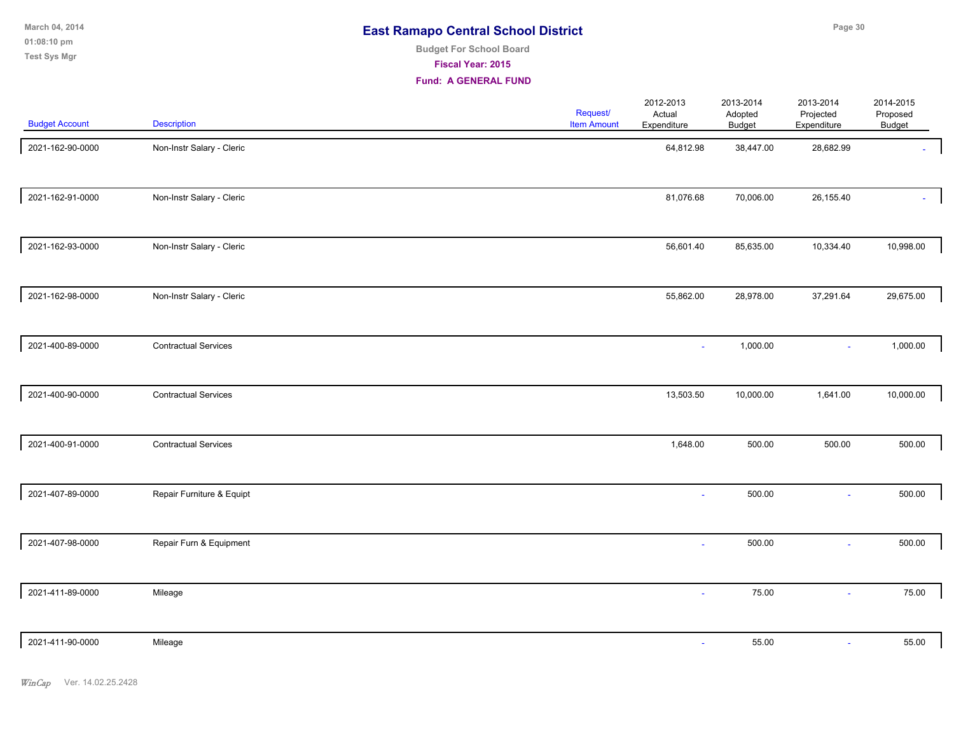**01:08:10 pm March 04, 2014 Test Sys Mgr**

# **Budget For School Board**

**Fiscal Year: 2015**

| <b>Budget Account</b> | Description                 | Request/<br><b>Item Amount</b> | 2012-2013<br>Actual<br>Expenditure | 2013-2014<br>Adopted<br><b>Budget</b> | 2013-2014<br>Projected<br>Expenditure | 2014-2015<br>Proposed<br>Budget |  |
|-----------------------|-----------------------------|--------------------------------|------------------------------------|---------------------------------------|---------------------------------------|---------------------------------|--|
| 2021-162-90-0000      | Non-Instr Salary - Cleric   |                                | 64,812.98                          | 38,447.00                             | 28,682.99                             |                                 |  |
| 2021-162-91-0000      | Non-Instr Salary - Cleric   |                                | 81,076.68                          | 70,006.00                             | 26,155.40                             |                                 |  |
| 2021-162-93-0000      | Non-Instr Salary - Cleric   |                                | 56,601.40                          | 85,635.00                             | 10,334.40                             | 10,998.00                       |  |
| 2021-162-98-0000      | Non-Instr Salary - Cleric   |                                | 55,862.00                          | 28,978.00                             | 37,291.64                             | 29,675.00                       |  |
| 2021-400-89-0000      | <b>Contractual Services</b> |                                |                                    | 1,000.00                              | $\sim$                                | 1,000.00                        |  |
| 2021-400-90-0000      | <b>Contractual Services</b> |                                | 13,503.50                          | 10,000.00                             | 1,641.00                              | 10,000.00                       |  |
| 2021-400-91-0000      | <b>Contractual Services</b> |                                | 1,648.00                           | 500.00                                | 500.00                                | 500.00                          |  |
| 2021-407-89-0000      | Repair Furniture & Equipt   |                                |                                    | 500.00                                | in 1                                  | 500.00                          |  |
| 2021-407-98-0000      | Repair Furn & Equipment     |                                | $\sim$                             | 500.00                                | $\sim$                                | 500.00                          |  |
| 2021-411-89-0000      | Mileage                     |                                | $\sim$                             | 75.00                                 | $\sim$                                | 75.00                           |  |
| 2021-411-90-0000      | Mileage                     |                                | $\sim$                             | 55.00                                 | $\omega$                              | 55.00                           |  |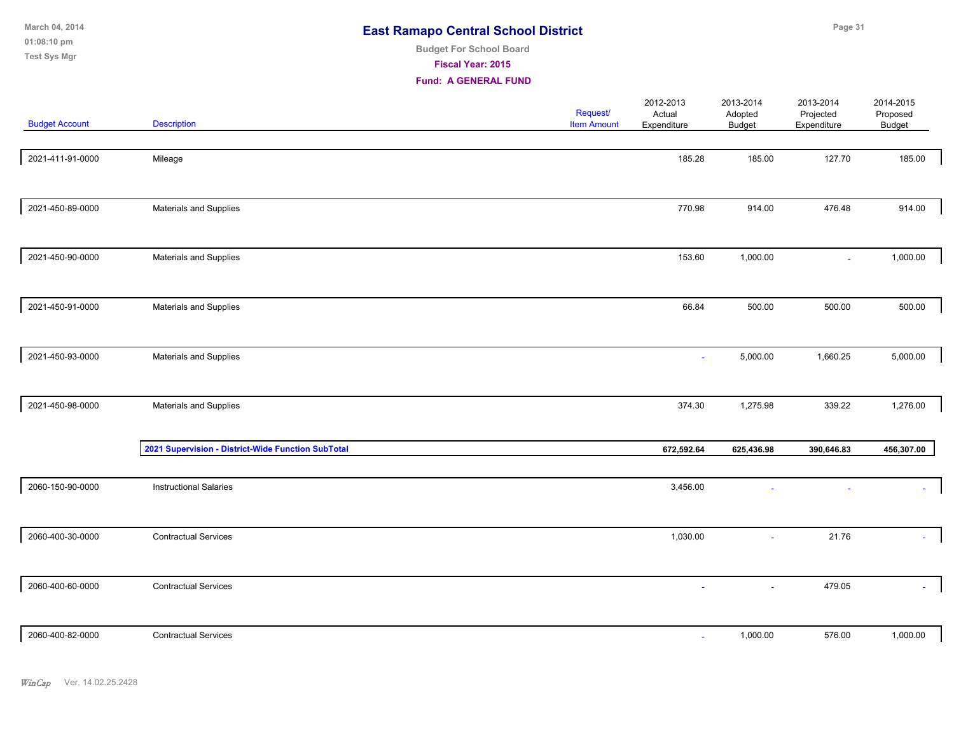| March 04, 2014<br>01:08:10 pm<br>Test Sys Mgr |                                                    | <b>East Ramapo Central School District</b><br><b>Budget For School Board</b><br>Fiscal Year: 2015<br><b>Fund: A GENERAL FUND</b> |                                |                                    |                                | Page 31                                                 |                                 |
|-----------------------------------------------|----------------------------------------------------|----------------------------------------------------------------------------------------------------------------------------------|--------------------------------|------------------------------------|--------------------------------|---------------------------------------------------------|---------------------------------|
| <b>Budget Account</b>                         | <b>Description</b>                                 |                                                                                                                                  | Request/<br><b>Item Amount</b> | 2012-2013<br>Actual<br>Expenditure | 2013-2014<br>Adopted<br>Budget | 2013-2014<br>Projected<br>Expenditure                   | 2014-2015<br>Proposed<br>Budget |
| 2021-411-91-0000                              | Mileage                                            |                                                                                                                                  |                                | 185.28                             | 185.00                         | 127.70                                                  | 185.00                          |
| 2021-450-89-0000                              | Materials and Supplies                             |                                                                                                                                  |                                | 770.98                             | 914.00                         | 476.48                                                  | 914.00                          |
| 2021-450-90-0000                              | Materials and Supplies                             |                                                                                                                                  |                                | 153.60                             | 1,000.00                       | $\omega$                                                | 1,000.00                        |
| 2021-450-91-0000                              | Materials and Supplies                             |                                                                                                                                  |                                | 66.84                              | 500.00                         | 500.00                                                  | 500.00                          |
| 2021-450-93-0000                              | Materials and Supplies                             |                                                                                                                                  |                                | $\sim$                             | 5,000.00                       | 1,660.25                                                | 5,000.00                        |
| 2021-450-98-0000                              | Materials and Supplies                             |                                                                                                                                  |                                | 374.30                             | 1,275.98                       | 339.22<br>390,646.83<br>21.76<br>ä,<br>479.05<br>$\sim$ | 1,276.00                        |
|                                               | 2021 Supervision - District-Wide Function SubTotal |                                                                                                                                  |                                | 672,592.64                         | 625,436.98                     |                                                         | 456,307.00                      |
| 2060-150-90-0000                              | <b>Instructional Salaries</b>                      |                                                                                                                                  |                                | 3,456.00                           |                                |                                                         |                                 |
| 2060-400-30-0000                              | <b>Contractual Services</b>                        |                                                                                                                                  |                                | 1,030.00                           |                                |                                                         |                                 |
| 2060-400-60-0000                              | <b>Contractual Services</b>                        |                                                                                                                                  |                                | $\sim$                             |                                |                                                         | $\sim$                          |

|  | 0-400-82-0000<br>206'<br>. | <b>Contractual Services</b> |  | ,000.00<br>the contract of the contract of the | $-$ - $\sim$<br>576.00<br>- - - - - | ,000.00 |
|--|----------------------------|-----------------------------|--|------------------------------------------------|-------------------------------------|---------|
|--|----------------------------|-----------------------------|--|------------------------------------------------|-------------------------------------|---------|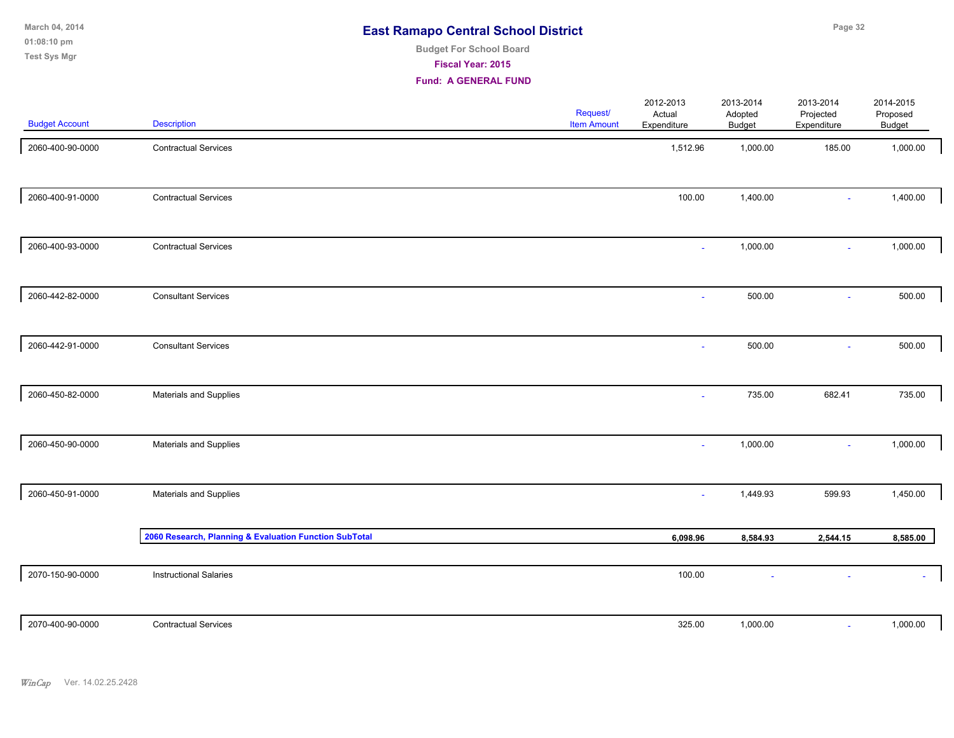**01:08:10 pm March 04, 2014 Test Sys Mgr**

# **Budget For School Board**

**Fiscal Year: 2015**

| <b>Budget Account</b> | <b>Description</b>                                     | Request/<br><b>Item Amount</b> | 2012-2013<br>Actual<br>Expenditure | 2013-2014<br>Adopted<br>Budget | 2013-2014<br>Projected<br>Expenditure | 2014-2015<br>Proposed<br>Budget |
|-----------------------|--------------------------------------------------------|--------------------------------|------------------------------------|--------------------------------|---------------------------------------|---------------------------------|
| 2060-400-90-0000      | <b>Contractual Services</b>                            |                                | 1,512.96                           | 1,000.00                       | 185.00                                | 1,000.00                        |
| 2060-400-91-0000      | <b>Contractual Services</b>                            |                                | 100.00                             | 1,400.00                       | $\sim$                                | 1,400.00                        |
| 2060-400-93-0000      | <b>Contractual Services</b>                            |                                | $\blacksquare$                     | 1,000.00                       | $\sim$                                | 1,000.00                        |
| 2060-442-82-0000      | <b>Consultant Services</b>                             |                                | $\sim$                             | 500.00                         | $\sim$                                | 500.00                          |
| 2060-442-91-0000      | <b>Consultant Services</b>                             |                                | $\sim$                             | 500.00                         | $\sim$                                | 500.00                          |
| 2060-450-82-0000      | Materials and Supplies                                 |                                | $\sim$                             | 735.00                         | 682.41                                | 735.00                          |
| 2060-450-90-0000      | <b>Materials and Supplies</b>                          |                                | $\sim$                             | 1,000.00                       | $\sim$                                | 1,000.00                        |
| 2060-450-91-0000      | Materials and Supplies                                 |                                | $\sim$                             | 1,449.93                       | 599.93                                | 1,450.00                        |
|                       | 2060 Research, Planning & Evaluation Function SubTotal |                                | 6,098.96                           | 8,584.93                       | 2,544.15                              | 8,585.00                        |
| 2070-150-90-0000      | <b>Instructional Salaries</b>                          |                                | 100.00                             |                                |                                       |                                 |
| 2070-400-90-0000      | <b>Contractual Services</b>                            |                                | 325.00                             | 1,000.00                       | $\sim$                                | 1,000.00                        |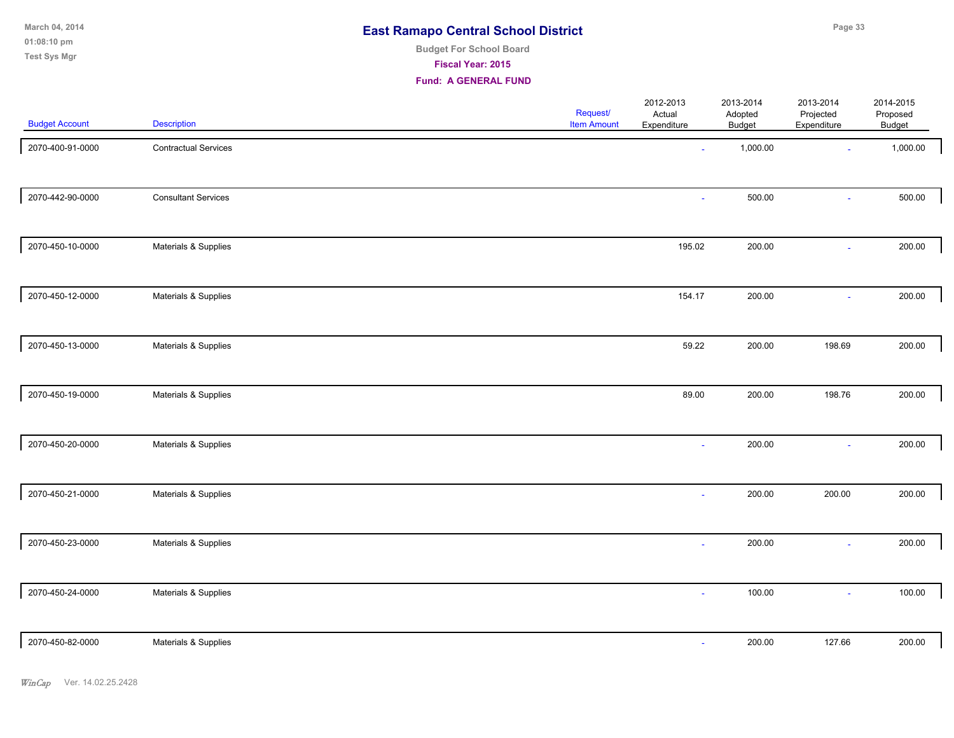| March 04, 2014 | <b>East Ramapo Central School District</b> |
|----------------|--------------------------------------------|
| $01:08:10$ pm  |                                            |
| __ _ _ _       | <b>Budget For School Board</b>             |

**Fiscal Year: 2015**

**Fund: A GENERAL FUND**

| <b>Budget Account</b> | <b>Description</b>          | Request/<br><b>Item Amount</b> | 2012-2013<br>Actual<br>Expenditure | 2013-2014<br>Adopted<br><b>Budget</b> | 2013-2014<br>Projected<br>Expenditure | 2014-2015<br>Proposed<br>Budget |  |
|-----------------------|-----------------------------|--------------------------------|------------------------------------|---------------------------------------|---------------------------------------|---------------------------------|--|
| 2070-400-91-0000      | <b>Contractual Services</b> |                                | $\sim$                             | 1,000.00                              | $\sim$                                | 1,000.00                        |  |
| 2070-442-90-0000      | <b>Consultant Services</b>  |                                | ä,                                 | 500.00                                | $\sim$                                | 500.00                          |  |
| 2070-450-10-0000      | Materials & Supplies        |                                | 195.02                             | 200.00                                | $\sim$                                | 200.00                          |  |
| 2070-450-12-0000      | Materials & Supplies        |                                | 154.17                             | 200.00                                | $\sim$                                | 200.00                          |  |
| 2070-450-13-0000      | Materials & Supplies        |                                | 59.22                              | 200.00                                | 198.69                                | 200.00                          |  |
| 2070-450-19-0000      | Materials & Supplies        |                                | 89.00                              | 200.00                                | 198.76                                | 200.00                          |  |
| 2070-450-20-0000      | Materials & Supplies        |                                | $\mathbf{r}$                       | 200.00                                | $\sim$                                | 200.00                          |  |
| 2070-450-21-0000      | Materials & Supplies        |                                | ÷                                  | 200.00                                | 200.00                                | 200.00                          |  |
| 2070-450-23-0000      | Materials & Supplies        |                                | $\blacksquare$                     | 200.00                                | $\sim$                                | 200.00                          |  |
| 2070-450-24-0000      | Materials & Supplies        |                                | $\sim$                             | 100.00                                | $\sim$                                | 100.00                          |  |
| 2070-450-82-0000      | Materials & Supplies        |                                | $\sim$                             | 200.00                                | 127.66                                | 200.00                          |  |

**Test Sys Mgr**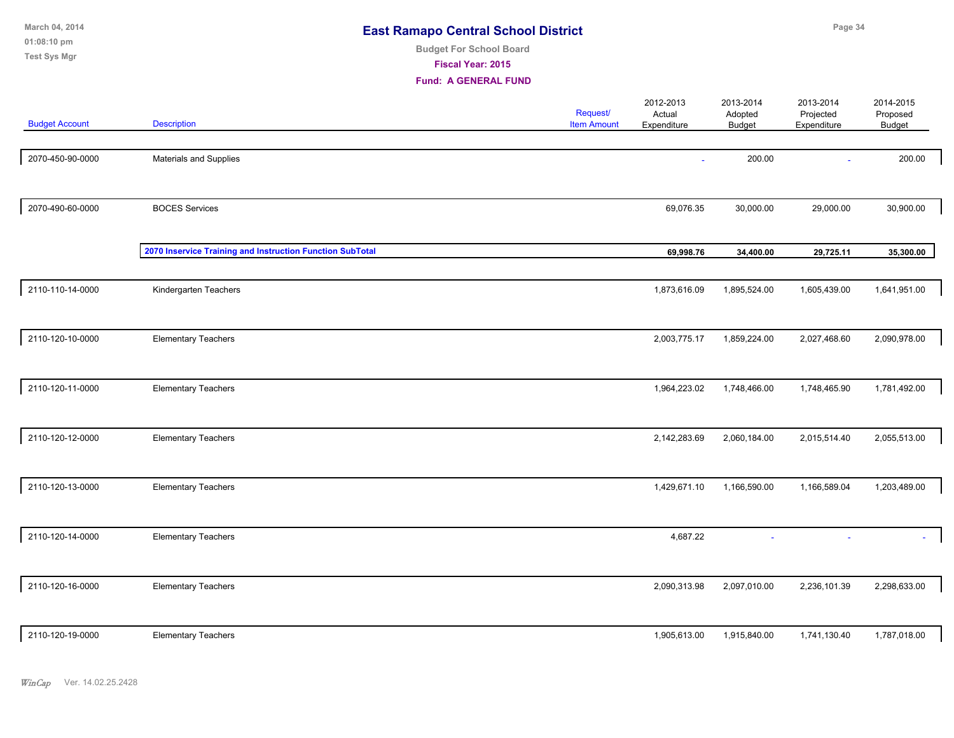| March 04, 2014<br>01:08:10 pm<br>Test Sys Mgr | <b>East Ramapo Central School District</b>                | Page 34                     |                                       |                                    |                                       |                                       |                                        |  |
|-----------------------------------------------|-----------------------------------------------------------|-----------------------------|---------------------------------------|------------------------------------|---------------------------------------|---------------------------------------|----------------------------------------|--|
| <b>Budget Account</b>                         | <b>Description</b>                                        | <b>Fund: A GENERAL FUND</b> | <b>Request/</b><br><b>Item Amount</b> | 2012-2013<br>Actual<br>Expenditure | 2013-2014<br>Adopted<br><b>Budget</b> | 2013-2014<br>Projected<br>Expenditure | 2014-2015<br>Proposed<br><b>Budget</b> |  |
| 2070-450-90-0000                              | Materials and Supplies                                    |                             |                                       |                                    | 200.00                                |                                       | 200.00                                 |  |
| 2070-490-60-0000                              | <b>BOCES Services</b>                                     |                             |                                       | 69,076.35                          | 30,000.00                             | 29,000.00                             | 30,900.00                              |  |
|                                               | 2070 Inservice Training and Instruction Function SubTotal |                             |                                       | 69,998.76                          | 34,400.00                             | 29,725.11                             | 35,300.00                              |  |
| 2110-110-14-0000                              | Kindergarten Teachers                                     |                             |                                       | 1,873,616.09                       | 1,895,524.00                          | 1,605,439.00                          | 1,641,951.00                           |  |
| 2110-120-10-0000                              | <b>Elementary Teachers</b>                                |                             |                                       | 2,003,775.17                       | 1,859,224.00                          | 2,027,468.60                          | 2,090,978.00                           |  |
| 2110-120-11-0000                              | <b>Elementary Teachers</b>                                |                             |                                       | 1,964,223.02                       | 1,748,466.00                          | 1,748,465.90                          | 1,781,492.00                           |  |
| 2110-120-12-0000                              | <b>Elementary Teachers</b>                                |                             |                                       | 2,142,283.69                       | 2,060,184.00                          | 2,015,514.40                          | 2,055,513.00                           |  |
| 2110-120-13-0000                              | <b>Elementary Teachers</b>                                |                             |                                       | 1,429,671.10                       | 1,166,590.00                          | 1,166,589.04                          | 1,203,489.00                           |  |
| 2110-120-14-0000                              | <b>Elementary Teachers</b>                                |                             |                                       | 4,687.22                           |                                       |                                       |                                        |  |
| 2110-120-16-0000                              | <b>Elementary Teachers</b>                                |                             |                                       | 2,090,313.98                       | 2,097,010.00                          | 2,236,101.39                          | 2,298,633.00                           |  |
| 2110-120-19-0000                              | <b>Elementary Teachers</b>                                |                             |                                       | 1,905,613.00                       | 1,915,840.00                          | 1,741,130.40                          | 1,787,018.00                           |  |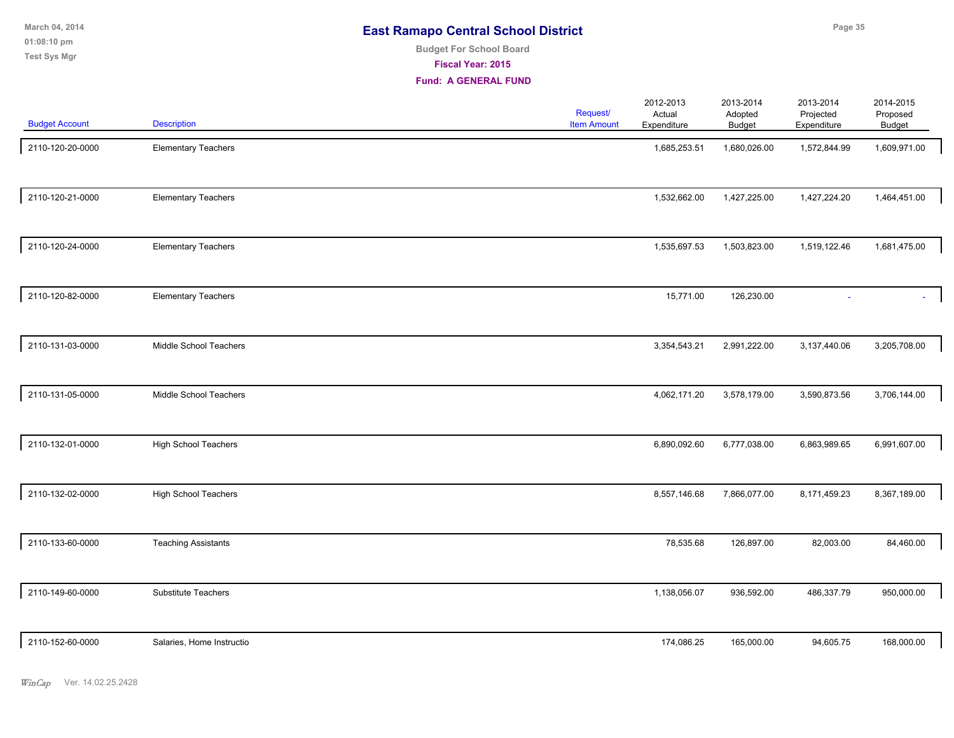| March 04, 2014        | <b>East Ramapo Central School District</b> |                | Page 35        |                |                                   |  |
|-----------------------|--------------------------------------------|----------------|----------------|----------------|-----------------------------------|--|
| $01:08:10 \text{ pm}$ | <b>Budget For School Board</b>             |                |                |                |                                   |  |
| <b>Test Sys Mgr</b>   | <b>Fiscal Year: 2015</b>                   |                |                |                |                                   |  |
|                       | <b>Fund: A GENERAL FUND</b>                |                |                |                |                                   |  |
|                       | 1.11                                       | 2012-2013<br>. | 2013-2014<br>. | 2013-2014<br>. | 2014-2015<br>$\sim$ $\sim$ $\sim$ |  |

| <b>Budget Account</b> | <b>Description</b>          | Request/<br><b>Item Amount</b> | Actual<br>Expenditure | Adopted<br><b>Budget</b> | Projected<br>Expenditure | Proposed<br>Budget |
|-----------------------|-----------------------------|--------------------------------|-----------------------|--------------------------|--------------------------|--------------------|
| 2110-120-20-0000      | <b>Elementary Teachers</b>  |                                | 1,685,253.51          | 1,680,026.00             | 1,572,844.99             | 1,609,971.00       |
| 2110-120-21-0000      | <b>Elementary Teachers</b>  |                                | 1,532,662.00          | 1,427,225.00             | 1,427,224.20             | 1,464,451.00       |
| 2110-120-24-0000      | <b>Elementary Teachers</b>  |                                | 1,535,697.53          | 1,503,823.00             | 1,519,122.46             | 1,681,475.00       |
| 2110-120-82-0000      | <b>Elementary Teachers</b>  |                                | 15,771.00             | 126,230.00               |                          |                    |
| 2110-131-03-0000      | Middle School Teachers      |                                | 3,354,543.21          | 2,991,222.00             | 3,137,440.06             | 3,205,708.00       |
| 2110-131-05-0000      | Middle School Teachers      |                                | 4,062,171.20          | 3,578,179.00             | 3,590,873.56             | 3,706,144.00       |
| 2110-132-01-0000      | <b>High School Teachers</b> |                                | 6,890,092.60          | 6,777,038.00             | 6,863,989.65             | 6,991,607.00       |
| 2110-132-02-0000      | High School Teachers        |                                | 8,557,146.68          | 7,866,077.00             | 8,171,459.23             | 8,367,189.00       |
| 2110-133-60-0000      | <b>Teaching Assistants</b>  |                                | 78,535.68             | 126,897.00               | 82,003.00                | 84,460.00          |
| 2110-149-60-0000      | Substitute Teachers         |                                | 1,138,056.07          | 936,592.00               | 486,337.79               | 950,000.00         |
| 2110-152-60-0000      | Salaries, Home Instructio   |                                | 174,086.25            | 165,000.00               | 94,605.75                | 168,000.00         |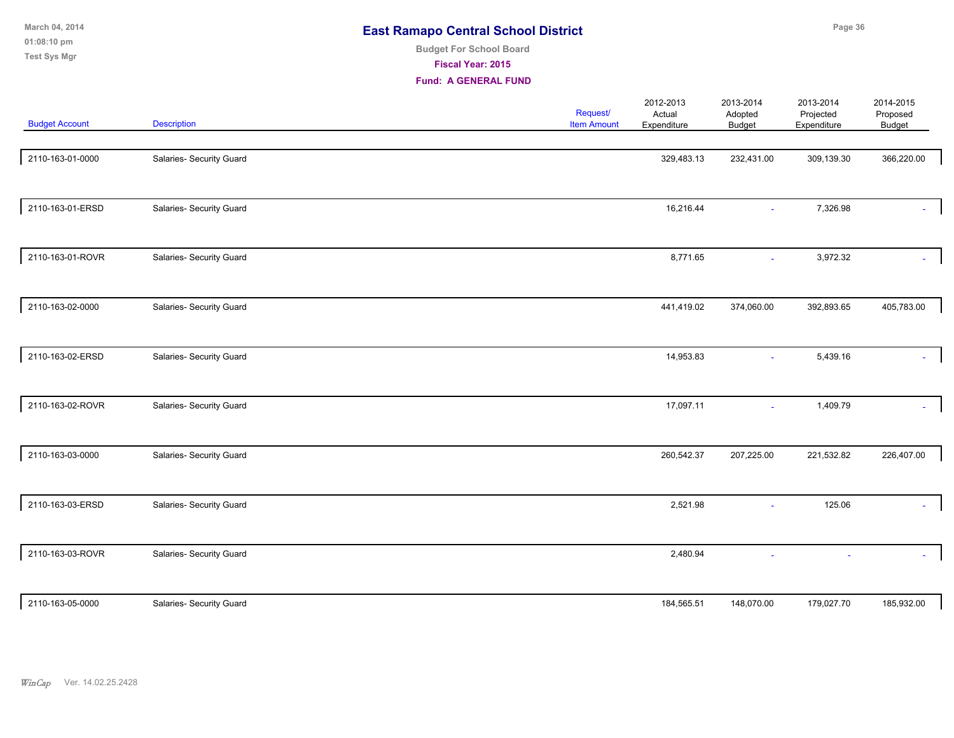| March 04, 2014<br>01:08:10 pm<br><b>Test Sys Mgr</b> |                          | <b>East Ramapo Central School District</b><br><b>Budget For School Board</b><br>Fiscal Year: 2015<br><b>Fund: A GENERAL FUND</b> |                                |                                    |                                | Page 36                               |                                        |  |
|------------------------------------------------------|--------------------------|----------------------------------------------------------------------------------------------------------------------------------|--------------------------------|------------------------------------|--------------------------------|---------------------------------------|----------------------------------------|--|
| <b>Budget Account</b>                                | Description              |                                                                                                                                  | Request/<br><b>Item Amount</b> | 2012-2013<br>Actual<br>Expenditure | 2013-2014<br>Adopted<br>Budget | 2013-2014<br>Projected<br>Expenditure | 2014-2015<br>Proposed<br><b>Budget</b> |  |
| 2110-163-01-0000                                     | Salaries- Security Guard |                                                                                                                                  |                                | 329,483.13                         | 232,431.00                     | 309,139.30                            | 366,220.00                             |  |
| 2110-163-01-ERSD                                     | Salaries- Security Guard |                                                                                                                                  |                                | 16,216.44                          |                                | 7,326.98                              |                                        |  |
| 2110-163-01-ROVR                                     | Salaries- Security Guard |                                                                                                                                  |                                | 8,771.65                           |                                | 3,972.32                              |                                        |  |
| 2110-163-02-0000                                     | Salaries- Security Guard |                                                                                                                                  |                                | 441,419.02                         | 374,060.00                     | 392,893.65                            | 405,783.00                             |  |
| 2110-163-02-ERSD                                     | Salaries- Security Guard |                                                                                                                                  |                                | 14,953.83                          |                                | 5,439.16                              |                                        |  |
| 2110-163-02-ROVR                                     | Salaries- Security Guard |                                                                                                                                  |                                | 17,097.11                          | $\sim$                         | 1,409.79                              |                                        |  |
| 2110-163-03-0000                                     | Salaries- Security Guard |                                                                                                                                  |                                | 260,542.37                         | 207,225.00                     | 221,532.82                            | 226,407.00                             |  |
| 2110-163-03-ERSD                                     | Salaries- Security Guard |                                                                                                                                  |                                | 2,521.98                           |                                | 125.06                                |                                        |  |
| 2110-163-03-ROVR                                     | Salaries- Security Guard |                                                                                                                                  |                                | 2,480.94                           |                                |                                       |                                        |  |

particle 184,565.51 148,070.00 179,027.70 Salaries- Security Guard 185,932.00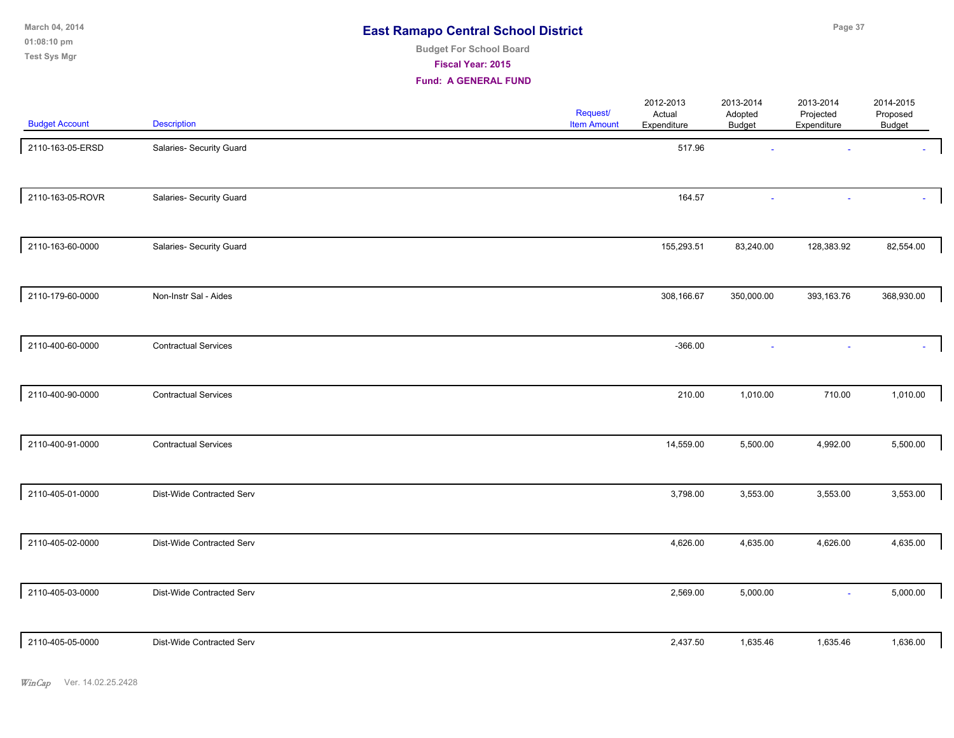**01:08:10 pm March 04, 2014 Test Sys Mgr**

# **Budget For School Board**

**Fiscal Year: 2015**

| <b>Budget Account</b> | <b>Description</b>          | Request/<br><b>Item Amount</b> | 2012-2013<br>Actual<br>Expenditure | 2013-2014<br>Adopted<br>Budget | 2013-2014<br>Projected<br>Expenditure | 2014-2015<br>Proposed<br>Budget |  |
|-----------------------|-----------------------------|--------------------------------|------------------------------------|--------------------------------|---------------------------------------|---------------------------------|--|
| 2110-163-05-ERSD      | Salaries- Security Guard    |                                | 517.96                             |                                |                                       |                                 |  |
| 2110-163-05-ROVR      | Salaries- Security Guard    |                                | 164.57                             |                                |                                       |                                 |  |
| 2110-163-60-0000      | Salaries- Security Guard    |                                | 155,293.51                         | 83,240.00                      | 128,383.92                            | 82,554.00                       |  |
| 2110-179-60-0000      | Non-Instr Sal - Aides       |                                | 308,166.67                         | 350,000.00                     | 393,163.76                            | 368,930.00                      |  |
| 2110-400-60-0000      | <b>Contractual Services</b> |                                | $-366.00$                          |                                |                                       |                                 |  |
| 2110-400-90-0000      | <b>Contractual Services</b> |                                | 210.00                             | 1,010.00                       | 710.00                                | 1,010.00                        |  |
| 2110-400-91-0000      | <b>Contractual Services</b> |                                | 14,559.00                          | 5,500.00                       | 4,992.00                              | 5,500.00                        |  |
| 2110-405-01-0000      | Dist-Wide Contracted Serv   |                                | 3,798.00                           | 3,553.00                       | 3,553.00                              | 3,553.00                        |  |
| 2110-405-02-0000      | Dist-Wide Contracted Serv   |                                | 4,626.00                           | 4,635.00                       | 4,626.00                              | 4,635.00                        |  |
| 2110-405-03-0000      | Dist-Wide Contracted Serv   |                                | 2,569.00                           | 5,000.00                       | $\sim$                                | 5,000.00                        |  |
| 2110-405-05-0000      | Dist-Wide Contracted Serv   |                                | 2,437.50                           | 1,635.46                       | 1,635.46                              | 1,636.00                        |  |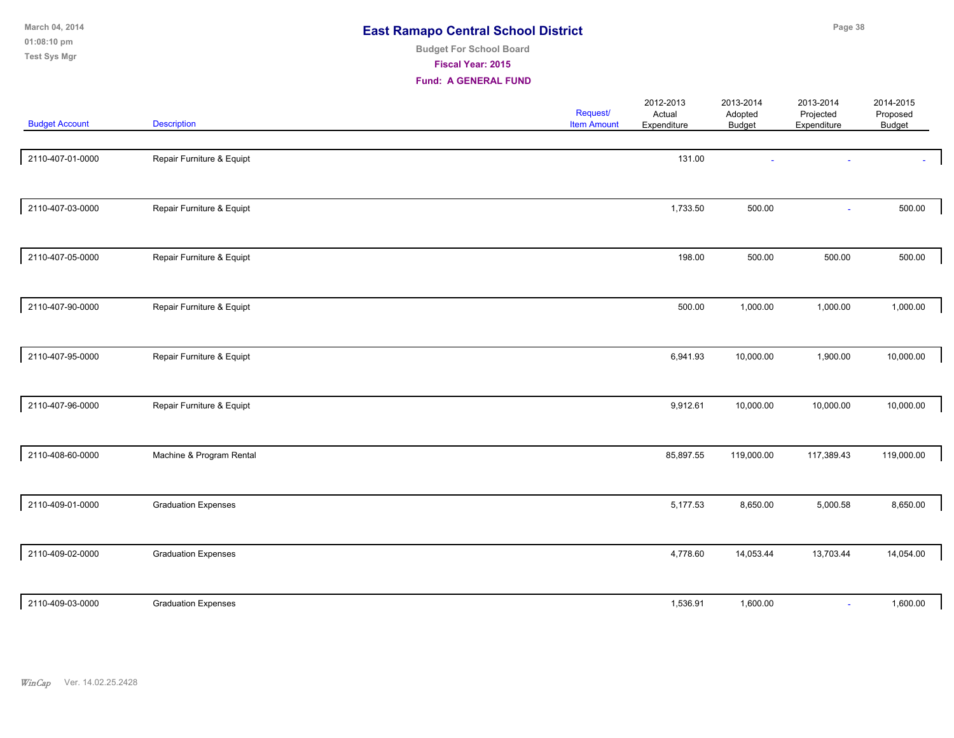| March 04, 2014<br>01:08:10 pm<br><b>Test Sys Mgr</b> |                            | <b>East Ramapo Central School District</b><br><b>Budget For School Board</b><br>Fiscal Year: 2015<br><b>Fund: A GENERAL FUND</b> |                                |                                    |                                       | Page 38                               |                                 |
|------------------------------------------------------|----------------------------|----------------------------------------------------------------------------------------------------------------------------------|--------------------------------|------------------------------------|---------------------------------------|---------------------------------------|---------------------------------|
| <b>Budget Account</b>                                | <b>Description</b>         |                                                                                                                                  | Request/<br><b>Item Amount</b> | 2012-2013<br>Actual<br>Expenditure | 2013-2014<br>Adopted<br><b>Budget</b> | 2013-2014<br>Projected<br>Expenditure | 2014-2015<br>Proposed<br>Budget |
| 2110-407-01-0000                                     | Repair Furniture & Equipt  |                                                                                                                                  |                                | 131.00                             |                                       |                                       |                                 |
| 2110-407-03-0000                                     | Repair Furniture & Equipt  |                                                                                                                                  |                                | 1,733.50                           | 500.00                                | $\sim$                                | 500.00                          |
| 2110-407-05-0000                                     | Repair Furniture & Equipt  |                                                                                                                                  |                                | 198.00                             | 500.00                                | 500.00                                | 500.00                          |
| 2110-407-90-0000                                     | Repair Furniture & Equipt  |                                                                                                                                  |                                | 500.00                             | 1,000.00                              | 1,000.00                              | 1,000.00                        |
| 2110-407-95-0000                                     | Repair Furniture & Equipt  |                                                                                                                                  |                                | 6,941.93                           | 10,000.00                             | 1,900.00                              | 10,000.00                       |
| 2110-407-96-0000                                     | Repair Furniture & Equipt  |                                                                                                                                  |                                | 9,912.61                           | 10,000.00                             | 10,000.00                             | 10,000.00                       |
| 2110-408-60-0000                                     | Machine & Program Rental   |                                                                                                                                  |                                | 85,897.55                          | 119,000.00                            | 117,389.43                            | 119,000.00                      |
| 2110-409-01-0000                                     | <b>Graduation Expenses</b> |                                                                                                                                  |                                | 5,177.53                           | 8,650.00                              | 5,000.58                              | 8,650.00                        |
| 2110-409-02-0000                                     | <b>Graduation Expenses</b> |                                                                                                                                  |                                | 4,778.60                           | 14,053.44                             | 13,703.44                             | 14,054.00                       |
| 2110-409-03-0000                                     | <b>Graduation Expenses</b> |                                                                                                                                  |                                | 1,536.91                           | 1,600.00                              |                                       | 1,600.00                        |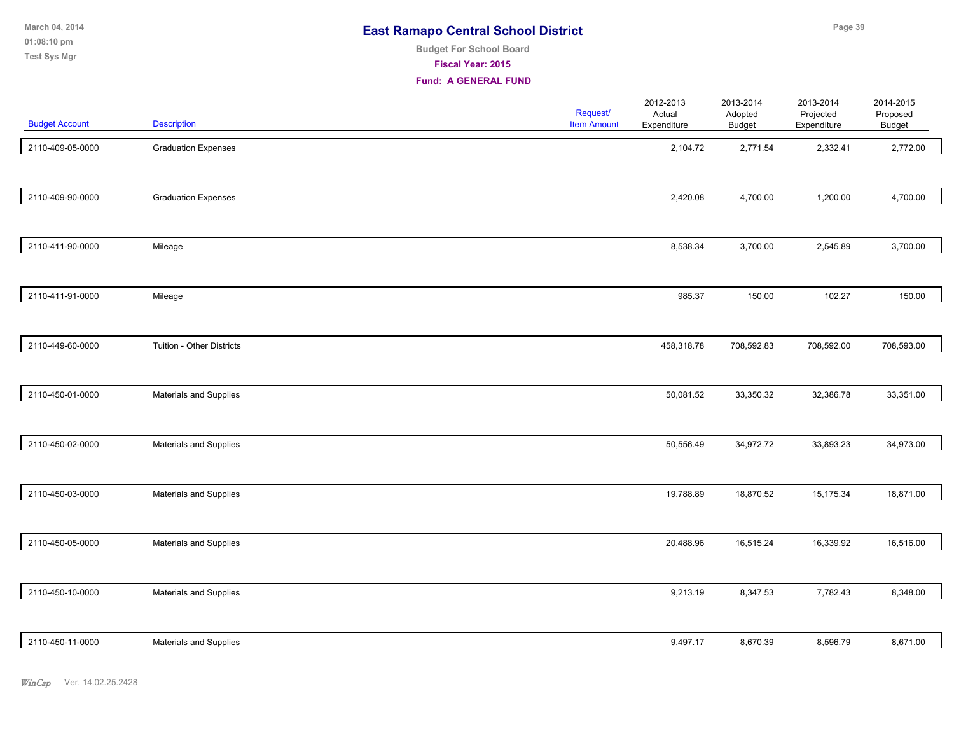**01:08:10 pm March 04, 2014 Test Sys Mgr**

# **Budget For School Board**

**Fiscal Year: 2015**

| <b>Budget Account</b> | <b>Description</b>         | Request/<br><b>Item Amount</b> | 2012-2013<br>Actual<br>Expenditure | 2013-2014<br>Adopted<br><b>Budget</b> | 2013-2014<br>Projected<br>Expenditure | 2014-2015<br>Proposed<br>Budget |
|-----------------------|----------------------------|--------------------------------|------------------------------------|---------------------------------------|---------------------------------------|---------------------------------|
| 2110-409-05-0000      | <b>Graduation Expenses</b> |                                | 2,104.72                           | 2,771.54                              | 2,332.41                              | 2,772.00                        |
| 2110-409-90-0000      | <b>Graduation Expenses</b> |                                | 2,420.08                           | 4,700.00                              | 1,200.00                              | 4,700.00                        |
| 2110-411-90-0000      | Mileage                    |                                | 8,538.34                           | 3,700.00                              | 2,545.89                              | 3,700.00                        |
| 2110-411-91-0000      | Mileage                    |                                | 985.37                             | 150.00                                | 102.27                                | 150.00                          |
| 2110-449-60-0000      | Tuition - Other Districts  |                                | 458,318.78                         | 708,592.83                            | 708,592.00                            | 708,593.00                      |
| 2110-450-01-0000      | Materials and Supplies     |                                | 50,081.52                          | 33,350.32                             | 32,386.78                             | 33,351.00                       |
| 2110-450-02-0000      | Materials and Supplies     |                                | 50,556.49                          | 34,972.72                             | 33,893.23                             | 34,973.00                       |
| 2110-450-03-0000      | Materials and Supplies     |                                | 19,788.89                          | 18,870.52                             | 15,175.34                             | 18,871.00                       |
| 2110-450-05-0000      | Materials and Supplies     |                                | 20,488.96                          | 16,515.24                             | 16,339.92                             | 16,516.00                       |
| 2110-450-10-0000      | Materials and Supplies     |                                | 9,213.19                           | 8,347.53                              | 7,782.43                              | 8,348.00                        |
| 2110-450-11-0000      | Materials and Supplies     |                                | 9,497.17                           | 8,670.39                              | 8,596.79                              | 8,671.00                        |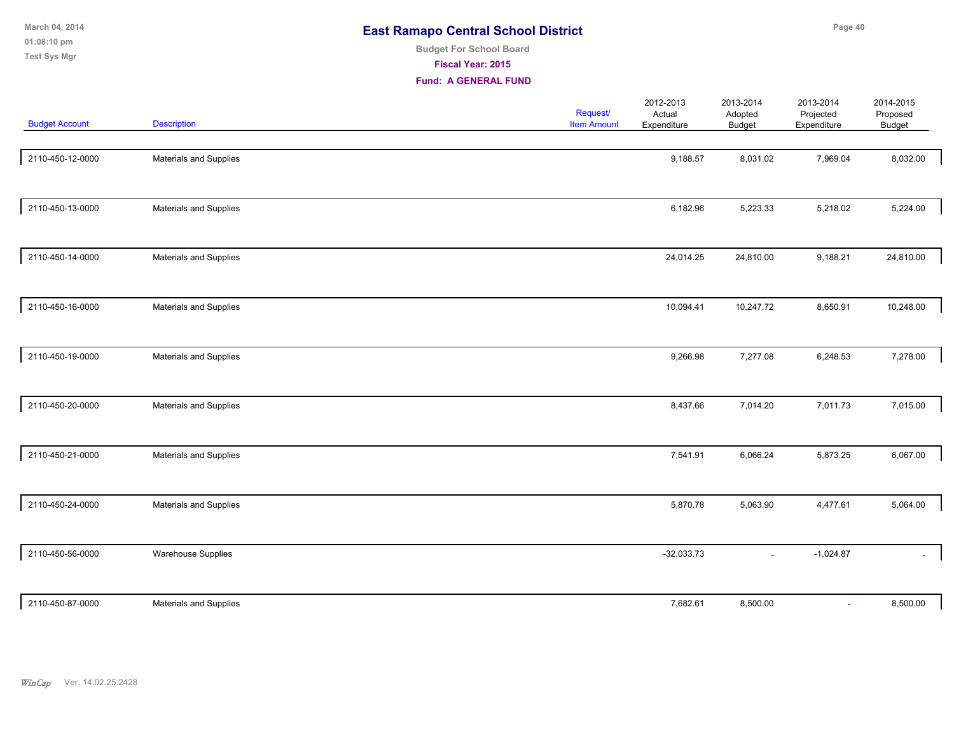| March 04, 2014<br>01:08:10 pm<br><b>Test Sys Mgr</b> |                               | <b>East Ramapo Central School District</b><br><b>Budget For School Board</b><br>Fiscal Year: 2015<br><b>Fund: A GENERAL FUND</b> |                                |                                    |                                       | Page 40                               |                                        |
|------------------------------------------------------|-------------------------------|----------------------------------------------------------------------------------------------------------------------------------|--------------------------------|------------------------------------|---------------------------------------|---------------------------------------|----------------------------------------|
| <b>Budget Account</b>                                | <b>Description</b>            |                                                                                                                                  | Request/<br><b>Item Amount</b> | 2012-2013<br>Actual<br>Expenditure | 2013-2014<br>Adopted<br><b>Budget</b> | 2013-2014<br>Projected<br>Expenditure | 2014-2015<br>Proposed<br><b>Budget</b> |
| 2110-450-12-0000                                     | Materials and Supplies        |                                                                                                                                  |                                | 9,188.57                           | 8,031.02                              | 7,969.04                              | 8,032.00                               |
| 2110-450-13-0000                                     | Materials and Supplies        |                                                                                                                                  |                                | 6,182.96                           | 5,223.33                              | 5,218.02                              | 5,224.00                               |
| 2110-450-14-0000                                     | Materials and Supplies        |                                                                                                                                  |                                | 24,014.25                          | 24,810.00                             | 9,188.21                              | 24,810.00                              |
| 2110-450-16-0000                                     | Materials and Supplies        |                                                                                                                                  |                                | 10,094.41                          | 10,247.72                             | 8,650.91                              | 10,248.00                              |
| 2110-450-19-0000                                     | Materials and Supplies        |                                                                                                                                  |                                | 9,266.98                           | 7,277.08                              | 6,248.53                              | 7,278.00                               |
| 2110-450-20-0000                                     | Materials and Supplies        |                                                                                                                                  |                                | 8,437.66                           | 7,014.20                              | 7,011.73                              | 7,015.00                               |
| 2110-450-21-0000                                     | <b>Materials and Supplies</b> |                                                                                                                                  |                                | 7,541.91                           | 6,066.24                              | 5,873.25                              | 6,067.00                               |

| 2110-450-24-0000 | <b>Materials and Supplies</b> | 5,870.78     | 5,063.90 | 4,477.61    | 5,064.00 |
|------------------|-------------------------------|--------------|----------|-------------|----------|
| 2110-450-56-0000 | <b>Warehouse Supplies</b>     | $-32,033.73$ | $\sim$   | $-1,024.87$ |          |
|                  |                               |              |          |             |          |
| 2110-450-87-0000 | <b>Materials and Supplies</b> | 7,682.61     | 8,500.00 |             | 8,500.00 |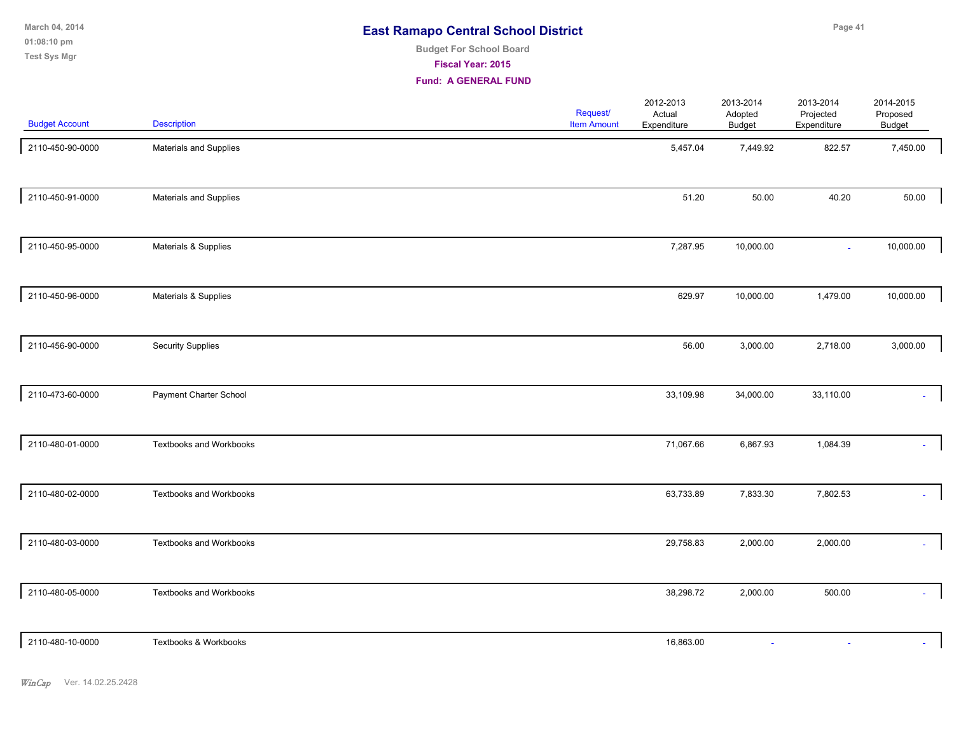**01:08:10 pm March 04, 2014 Test Sys Mgr**

# **Budget For School Board**

**Fiscal Year: 2015**

| <b>Budget Account</b> | Description                    | Request/<br><b>Item Amount</b> | 2012-2013<br>Actual<br>Expenditure | 2013-2014<br>Adopted<br><b>Budget</b> | 2013-2014<br>Projected<br>Expenditure | 2014-2015<br>Proposed<br>Budget |
|-----------------------|--------------------------------|--------------------------------|------------------------------------|---------------------------------------|---------------------------------------|---------------------------------|
| 2110-450-90-0000      | Materials and Supplies         |                                | 5,457.04                           | 7,449.92                              | 822.57                                | 7,450.00                        |
| 2110-450-91-0000      | Materials and Supplies         |                                | 51.20                              | 50.00                                 | 40.20                                 | 50.00                           |
| 2110-450-95-0000      | Materials & Supplies           |                                | 7,287.95                           | 10,000.00                             | $\sim$                                | 10,000.00                       |
| 2110-450-96-0000      | Materials & Supplies           |                                | 629.97                             | 10,000.00                             | 1,479.00                              | 10,000.00                       |
| 2110-456-90-0000      | <b>Security Supplies</b>       |                                | 56.00                              | 3,000.00                              | 2,718.00                              | 3,000.00                        |
| 2110-473-60-0000      | Payment Charter School         |                                | 33,109.98                          | 34,000.00                             | 33,110.00                             |                                 |
| 2110-480-01-0000      | <b>Textbooks and Workbooks</b> |                                | 71,067.66                          | 6,867.93                              | 1,084.39                              | ÷.                              |
| 2110-480-02-0000      | Textbooks and Workbooks        |                                | 63,733.89                          | 7,833.30                              | 7,802.53                              |                                 |
| 2110-480-03-0000      | <b>Textbooks and Workbooks</b> |                                | 29,758.83                          | 2,000.00                              | 2,000.00                              | ÷.                              |
| 2110-480-05-0000      | <b>Textbooks and Workbooks</b> |                                | 38,298.72                          | 2,000.00                              | 500.00                                | $\sim 100$                      |
| 2110-480-10-0000      | Textbooks & Workbooks          |                                | 16,863.00                          |                                       |                                       |                                 |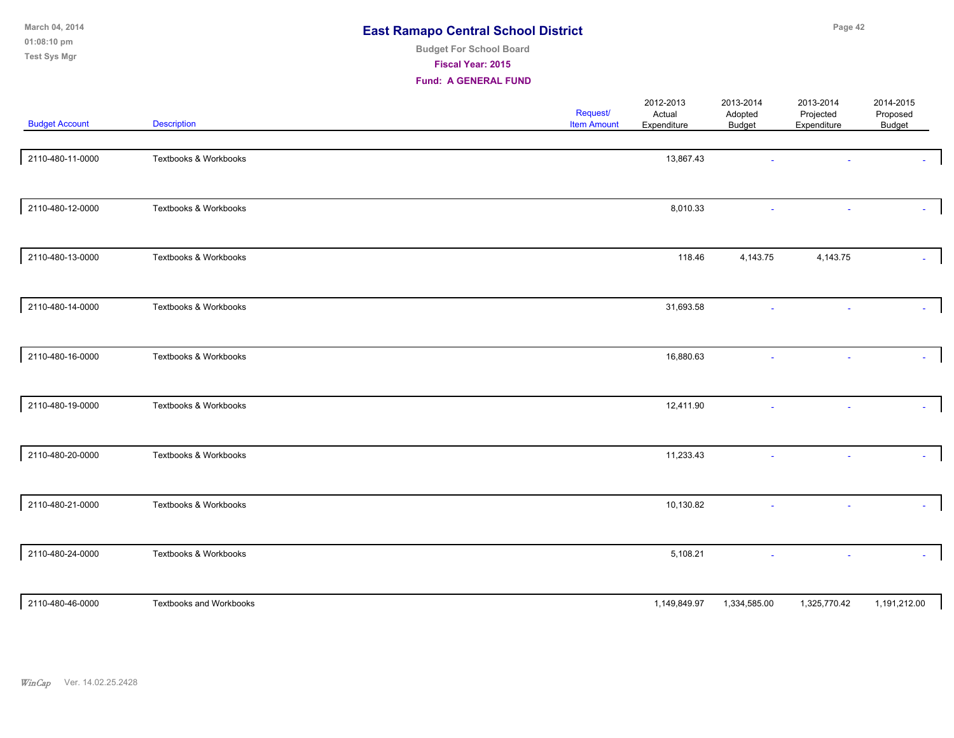| March 04, 2014<br>01:08:10 pm<br><b>Test Sys Mgr</b> |                                | <b>East Ramapo Central School District</b><br><b>Budget For School Board</b><br>Fiscal Year: 2015<br><b>Fund: A GENERAL FUND</b> |                                       |                                    |                                       | Page 42                               |                                        |  |
|------------------------------------------------------|--------------------------------|----------------------------------------------------------------------------------------------------------------------------------|---------------------------------------|------------------------------------|---------------------------------------|---------------------------------------|----------------------------------------|--|
| <b>Budget Account</b>                                | <b>Description</b>             |                                                                                                                                  | <b>Request/</b><br><b>Item Amount</b> | 2012-2013<br>Actual<br>Expenditure | 2013-2014<br>Adopted<br><b>Budget</b> | 2013-2014<br>Projected<br>Expenditure | 2014-2015<br>Proposed<br><b>Budget</b> |  |
| 2110-480-11-0000                                     | Textbooks & Workbooks          |                                                                                                                                  |                                       | 13,867.43                          |                                       |                                       |                                        |  |
| 2110-480-12-0000                                     | Textbooks & Workbooks          |                                                                                                                                  |                                       | 8,010.33                           |                                       | ÷,                                    |                                        |  |
| 2110-480-13-0000                                     | Textbooks & Workbooks          |                                                                                                                                  |                                       | 118.46                             | 4,143.75                              | 4,143.75                              | $\omega$                               |  |
| 2110-480-14-0000                                     | Textbooks & Workbooks          |                                                                                                                                  |                                       | 31,693.58                          |                                       |                                       |                                        |  |
| 2110-480-16-0000                                     | Textbooks & Workbooks          |                                                                                                                                  |                                       | 16,880.63                          |                                       | ٠                                     |                                        |  |
| 2110-480-19-0000                                     | Textbooks & Workbooks          |                                                                                                                                  |                                       | 12,411.90                          |                                       | ٠                                     |                                        |  |
| 2110-480-20-0000                                     | Textbooks & Workbooks          |                                                                                                                                  |                                       | 11,233.43                          |                                       | $\sim$                                |                                        |  |
| 2110-480-21-0000                                     | Textbooks & Workbooks          |                                                                                                                                  |                                       | 10,130.82                          |                                       |                                       |                                        |  |
| 2110-480-24-0000                                     | Textbooks & Workbooks          |                                                                                                                                  |                                       | 5,108.21                           |                                       |                                       |                                        |  |
| 2110-480-46-0000                                     | <b>Textbooks and Workbooks</b> |                                                                                                                                  |                                       | 1,149,849.97                       | 1,334,585.00                          | 1,325,770.42                          | 1,191,212.00                           |  |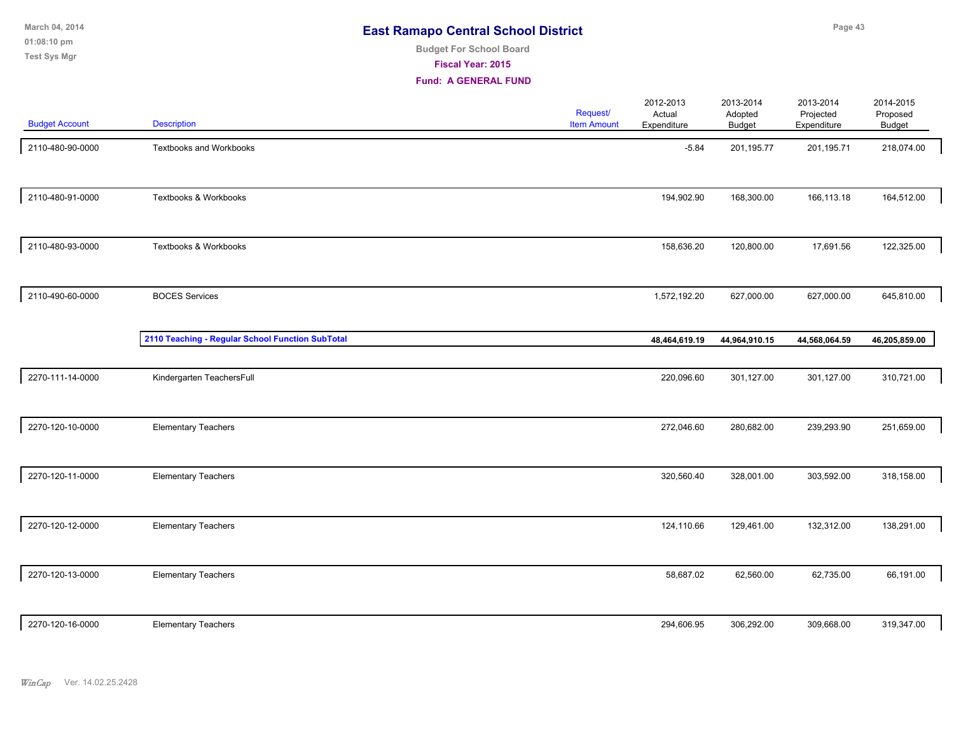# **Budget For School Board**

**Fiscal Year: 2015**

| <b>Budget Account</b> | <b>Description</b>                               | Request/<br><b>Item Amount</b> | 2012-2013<br>Actual<br>Expenditure | 2013-2014<br>Adopted<br><b>Budget</b> | 2013-2014<br>Projected<br>Expenditure | 2014-2015<br>Proposed<br>Budget |  |
|-----------------------|--------------------------------------------------|--------------------------------|------------------------------------|---------------------------------------|---------------------------------------|---------------------------------|--|
| 2110-480-90-0000      | <b>Textbooks and Workbooks</b>                   |                                | $-5.84$                            | 201,195.77                            | 201,195.71                            | 218,074.00                      |  |
| 2110-480-91-0000      | Textbooks & Workbooks                            |                                | 194,902.90                         | 168,300.00                            | 166,113.18                            | 164,512.00                      |  |
| 2110-480-93-0000      | Textbooks & Workbooks                            |                                | 158,636.20                         | 120,800.00                            | 17,691.56                             | 122,325.00                      |  |
| 2110-490-60-0000      | <b>BOCES</b> Services                            |                                | 1,572,192.20                       | 627,000.00                            | 627,000.00                            | 645,810.00                      |  |
|                       | 2110 Teaching - Regular School Function SubTotal |                                | 48,464,619.19                      | 44,964,910.15                         | 44,568,064.59                         | 46,205,859.00                   |  |
| 2270-111-14-0000      | Kindergarten TeachersFull                        |                                | 220,096.60                         | 301,127.00                            | 301,127.00                            | 310,721.00                      |  |
| 2270-120-10-0000      | <b>Elementary Teachers</b>                       |                                | 272,046.60                         | 280,682.00                            | 239,293.90                            | 251,659.00                      |  |
| 2270-120-11-0000      | <b>Elementary Teachers</b>                       |                                | 320,560.40                         | 328,001.00                            | 303,592.00                            | 318,158.00                      |  |
| 2270-120-12-0000      | <b>Elementary Teachers</b>                       |                                | 124,110.66                         | 129,461.00                            | 132,312.00                            | 138,291.00                      |  |
| 2270-120-13-0000      | <b>Elementary Teachers</b>                       |                                | 58,687.02                          | 62,560.00                             | 62,735.00                             | 66,191.00                       |  |
| 2270-120-16-0000      | <b>Elementary Teachers</b>                       |                                | 294,606.95                         | 306,292.00                            | 309,668.00                            | 319,347.00                      |  |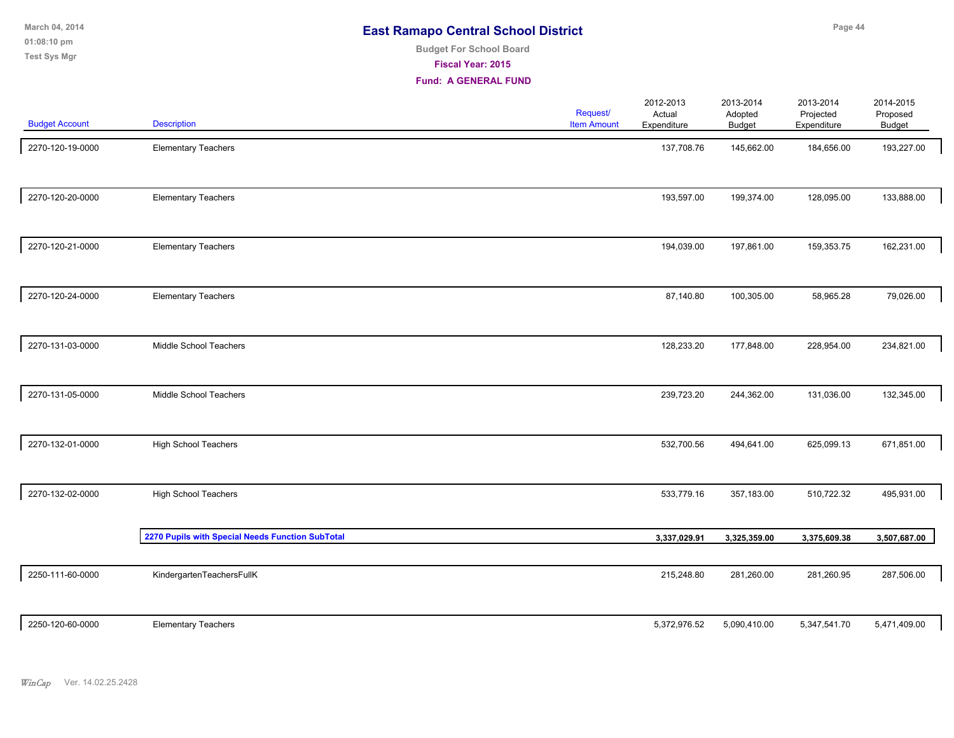**01:08:10 pm March 04, 2014 Test Sys Mgr**

# **Budget For School Board**

**Fiscal Year: 2015**

| <b>Budget Account</b> | <b>Description</b>                               | Request/<br><b>Item Amount</b> | 2012-2013<br>Actual<br>Expenditure | 2013-2014<br>Adopted<br><b>Budget</b> | 2013-2014<br>Projected<br>Expenditure | 2014-2015<br>Proposed<br><b>Budget</b> |  |
|-----------------------|--------------------------------------------------|--------------------------------|------------------------------------|---------------------------------------|---------------------------------------|----------------------------------------|--|
| 2270-120-19-0000      | <b>Elementary Teachers</b>                       |                                | 137,708.76                         | 145,662.00                            | 184,656.00                            | 193,227.00                             |  |
| 2270-120-20-0000      | <b>Elementary Teachers</b>                       |                                | 193,597.00                         | 199,374.00                            | 128,095.00                            | 133,888.00                             |  |
| 2270-120-21-0000      | <b>Elementary Teachers</b>                       |                                | 194,039.00                         | 197,861.00                            | 159,353.75                            | 162,231.00                             |  |
| 2270-120-24-0000      | <b>Elementary Teachers</b>                       |                                | 87,140.80                          | 100,305.00                            | 58,965.28                             | 79,026.00                              |  |
| 2270-131-03-0000      | Middle School Teachers                           |                                | 128,233.20                         | 177,848.00                            | 228,954.00                            | 234,821.00                             |  |
| 2270-131-05-0000      | Middle School Teachers                           |                                | 239,723.20                         | 244,362.00                            | 131,036.00                            | 132,345.00                             |  |
| 2270-132-01-0000      | <b>High School Teachers</b>                      |                                | 532,700.56                         | 494,641.00                            | 625,099.13                            | 671,851.00                             |  |
| 2270-132-02-0000      | <b>High School Teachers</b>                      |                                | 533,779.16                         | 357,183.00                            | 510,722.32                            | 495,931.00                             |  |
|                       | 2270 Pupils with Special Needs Function SubTotal |                                | 3,337,029.91                       | 3,325,359.00                          | 3,375,609.38                          | 3,507,687.00                           |  |
| 2250-111-60-0000      | KindergartenTeachersFullK                        |                                | 215,248.80                         | 281,260.00                            | 281,260.95                            | 287,506.00                             |  |
| 2250-120-60-0000      | <b>Elementary Teachers</b>                       |                                | 5,372,976.52                       | 5,090,410.00                          | 5,347,541.70                          | 5,471,409.00                           |  |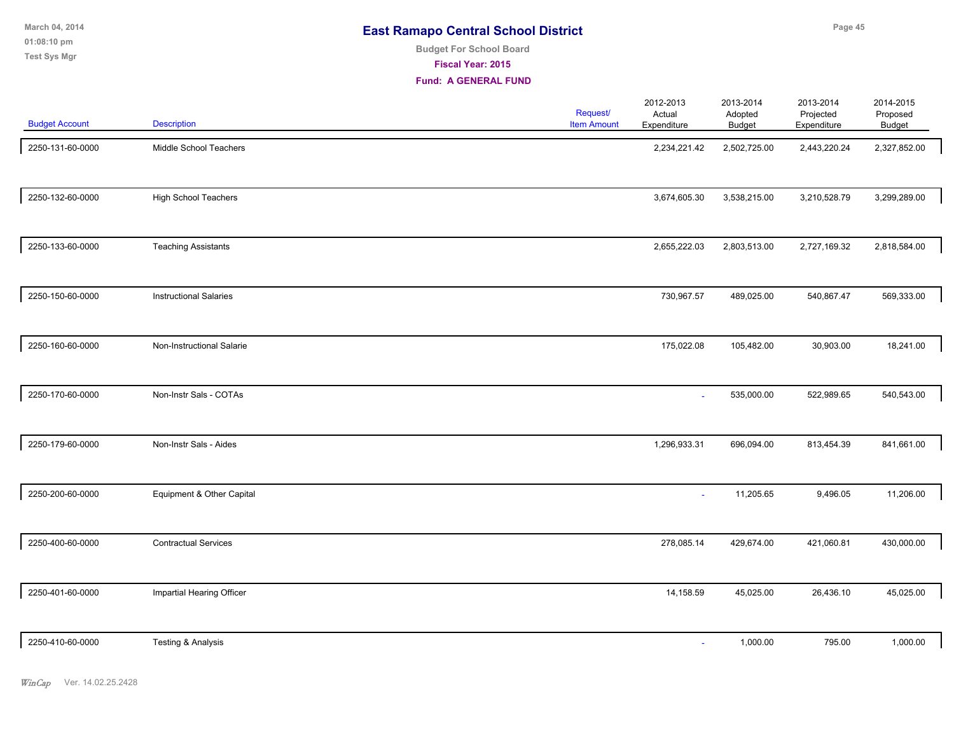| <b>East Ramapo Central School District</b> |  |
|--------------------------------------------|--|
|--------------------------------------------|--|

#### **Budget For School Board**

**Fiscal Year: 2015**

| <b>Budget Account</b> | <b>Description</b>            | Request/<br><b>Item Amount</b> | 2012-2013<br>Actual<br>Expenditure | 2013-2014<br>Adopted<br>Budget | 2013-2014<br>Projected<br>Expenditure | 2014-2015<br>Proposed<br><b>Budget</b> |  |
|-----------------------|-------------------------------|--------------------------------|------------------------------------|--------------------------------|---------------------------------------|----------------------------------------|--|
| 2250-131-60-0000      | Middle School Teachers        |                                | 2,234,221.42                       | 2,502,725.00                   | 2,443,220.24                          | 2,327,852.00                           |  |
| 2250-132-60-0000      | <b>High School Teachers</b>   |                                | 3,674,605.30                       | 3,538,215.00                   | 3,210,528.79                          | 3,299,289.00                           |  |
| 2250-133-60-0000      | <b>Teaching Assistants</b>    |                                | 2,655,222.03                       | 2,803,513.00                   | 2,727,169.32                          | 2,818,584.00                           |  |
| 2250-150-60-0000      | <b>Instructional Salaries</b> |                                | 730,967.57                         | 489,025.00                     | 540,867.47                            | 569,333.00                             |  |
| 2250-160-60-0000      | Non-Instructional Salarie     |                                | 175,022.08                         | 105,482.00                     | 30,903.00                             | 18,241.00                              |  |
| 2250-170-60-0000      | Non-Instr Sals - COTAs        |                                | $\sim$                             | 535,000.00                     | 522,989.65                            | 540,543.00                             |  |
| 2250-179-60-0000      | Non-Instr Sals - Aides        |                                | 1,296,933.31                       | 696,094.00                     | 813,454.39                            | 841,661.00                             |  |
| 2250-200-60-0000      | Equipment & Other Capital     |                                | $\sim$                             | 11,205.65                      | 9,496.05                              | 11,206.00                              |  |
| 2250-400-60-0000      | <b>Contractual Services</b>   |                                | 278,085.14                         | 429,674.00                     | 421,060.81                            | 430,000.00                             |  |
| 2250-401-60-0000      | Impartial Hearing Officer     |                                | 14,158.59                          | 45,025.00                      | 26,436.10                             | 45,025.00                              |  |
| 2250-410-60-0000      | Testing & Analysis            |                                | $\sim$                             | 1,000.00                       | 795.00                                | 1,000.00                               |  |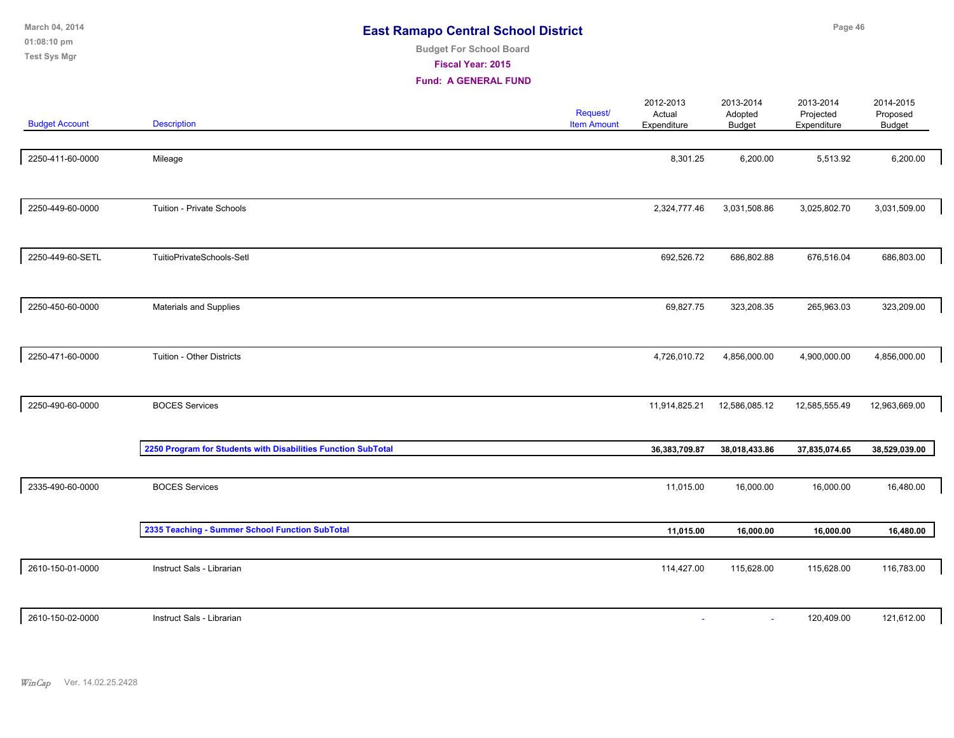| March 04, 2014<br>01:08:10 pm<br><b>Test Sys Mgr</b> | <b>East Ramapo Central School District</b><br><b>Budget For School Board</b><br>Fiscal Year: 2015<br><b>Fund: A GENERAL FUND</b> |  |                                |                                    |                                       | Page 46                               |                                 |  |  |  |
|------------------------------------------------------|----------------------------------------------------------------------------------------------------------------------------------|--|--------------------------------|------------------------------------|---------------------------------------|---------------------------------------|---------------------------------|--|--|--|
| <b>Budget Account</b>                                | <b>Description</b>                                                                                                               |  | Request/<br><b>Item Amount</b> | 2012-2013<br>Actual<br>Expenditure | 2013-2014<br>Adopted<br><b>Budget</b> | 2013-2014<br>Projected<br>Expenditure | 2014-2015<br>Proposed<br>Budget |  |  |  |
| 2250-411-60-0000                                     | Mileage                                                                                                                          |  |                                | 8,301.25                           | 6,200.00                              | 5,513.92                              | 6,200.00                        |  |  |  |
| 2250-449-60-0000                                     | Tuition - Private Schools                                                                                                        |  |                                | 2,324,777.46                       | 3,031,508.86                          | 3,025,802.70                          | 3,031,509.00                    |  |  |  |
| 2250-449-60-SETL                                     | TuitioPrivateSchools-Setl                                                                                                        |  |                                | 692,526.72                         | 686,802.88                            | 676,516.04                            | 686,803.00                      |  |  |  |
| 2250-450-60-0000                                     | Materials and Supplies                                                                                                           |  |                                | 69,827.75                          | 323,208.35                            | 265,963.03                            | 323,209.00                      |  |  |  |
| 2250-471-60-0000                                     | Tuition - Other Districts                                                                                                        |  |                                | 4,726,010.72                       | 4,856,000.00                          | 4,900,000.00                          | 4,856,000.00                    |  |  |  |
| 2250-490-60-0000                                     | <b>BOCES Services</b>                                                                                                            |  |                                | 11,914,825.21                      | 12,586,085.12                         | 12,585,555.49                         | 12,963,669.00                   |  |  |  |
|                                                      | 2250 Program for Students with Disabilities Function SubTotal                                                                    |  |                                | 36, 383, 709.87                    | 38,018,433.86                         | 37,835,074.65                         | 38,529,039.00                   |  |  |  |
| 2335-490-60-0000                                     | <b>BOCES Services</b>                                                                                                            |  |                                | 11,015.00                          | 16,000.00                             | 16,000.00                             | 16,480.00                       |  |  |  |
|                                                      | 2335 Teaching - Summer School Function SubTotal                                                                                  |  |                                | 11,015.00                          | 16,000.00                             | 16,000.00                             | 16,480.00                       |  |  |  |
| 2610-150-01-0000                                     | Instruct Sals - Librarian                                                                                                        |  |                                | 114,427.00                         | 115,628.00                            | 115,628.00                            | 116,783.00                      |  |  |  |
| 2610-150-02-0000                                     | Instruct Sals - Librarian                                                                                                        |  |                                | $\sim$                             | $\overline{\phantom{a}}$              | 120,409.00                            | 121,612.00                      |  |  |  |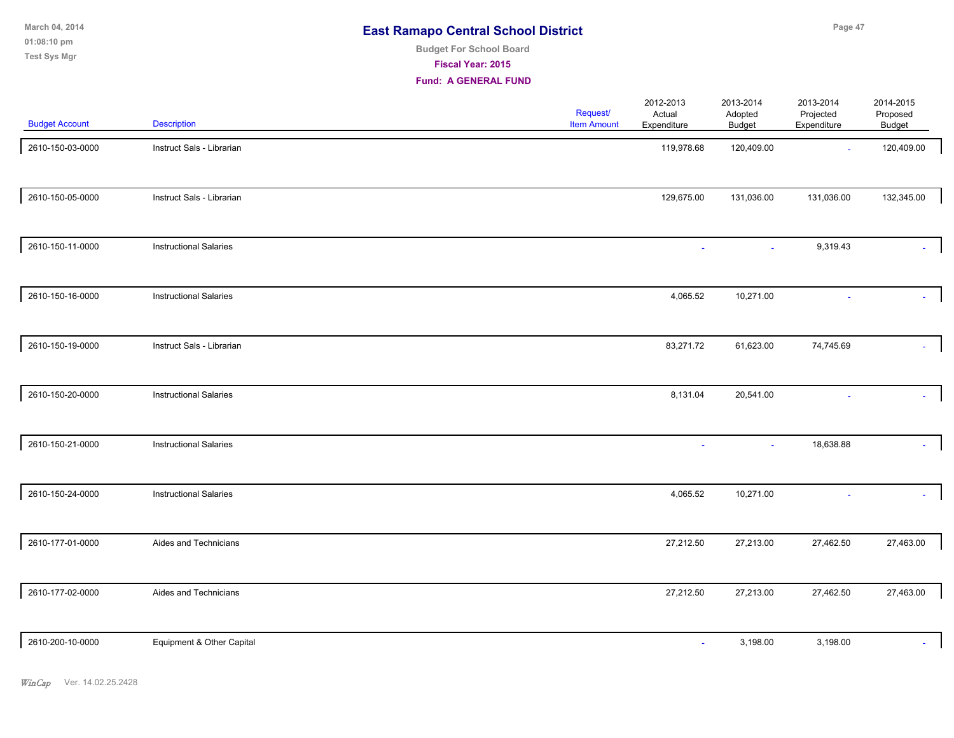| March 04, 2014        |                    | <b>East Ramapo Central School District</b> |                    |                     |                      |                        | Page 47               |  |  |
|-----------------------|--------------------|--------------------------------------------|--------------------|---------------------|----------------------|------------------------|-----------------------|--|--|
| $01:08:10 \text{ pm}$ |                    | <b>Budget For School Board</b>             |                    |                     |                      |                        |                       |  |  |
| Test Sys Mgr          |                    | Fiscal Year: 2015                          |                    |                     |                      |                        |                       |  |  |
|                       |                    | <b>Fund: A GENERAL FUND</b>                |                    |                     |                      |                        |                       |  |  |
|                       |                    |                                            | <b>Request/</b>    | 2012-2013<br>Actual | 2013-2014<br>Adopted | 2013-2014<br>Projected | 2014-2015<br>Proposed |  |  |
| <b>Budget Account</b> | <b>Description</b> |                                            | <b>Item Amount</b> | Expenditure         | Budget               | Expenditure            | Budget                |  |  |

| 2610-150-03-0000 | Instruct Sals - Librarian     | 119,978.68 | 120,409.00 | $\sim$     | 120,409.00 |
|------------------|-------------------------------|------------|------------|------------|------------|
| 2610-150-05-0000 | Instruct Sals - Librarian     | 129,675.00 | 131,036.00 | 131,036.00 | 132,345.00 |
| 2610-150-11-0000 | <b>Instructional Salaries</b> |            | $\sim$     | 9,319.43   |            |
| 2610-150-16-0000 | <b>Instructional Salaries</b> | 4,065.52   | 10,271.00  |            |            |
| 2610-150-19-0000 | Instruct Sals - Librarian     | 83,271.72  | 61,623.00  | 74,745.69  |            |
| 2610-150-20-0000 | <b>Instructional Salaries</b> | 8,131.04   | 20,541.00  |            | $\sim$     |
| 2610-150-21-0000 | <b>Instructional Salaries</b> |            | $\omega$   | 18,638.88  |            |
| 2610-150-24-0000 | <b>Instructional Salaries</b> | 4,065.52   | 10,271.00  |            |            |
| 2610-177-01-0000 | Aides and Technicians         | 27,212.50  | 27,213.00  | 27,462.50  | 27,463.00  |
| 2610-177-02-0000 | Aides and Technicians         | 27,212.50  | 27,213.00  | 27,462.50  | 27,463.00  |
| 2610-200-10-0000 | Equipment & Other Capital     |            | 3,198.00   | 3,198.00   |            |
|                  |                               |            |            |            |            |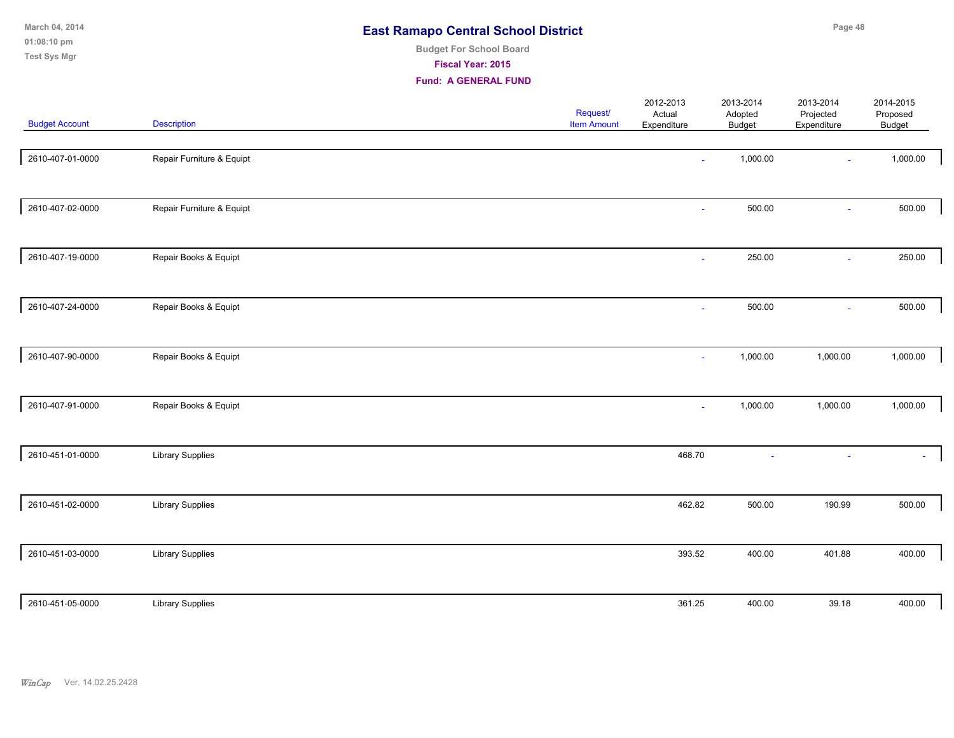| March 04, 2014<br>01:08:10 pm<br><b>Test Sys Mgr</b> |                           | <b>East Ramapo Central School District</b><br><b>Budget For School Board</b><br>Fiscal Year: 2015<br><b>Fund: A GENERAL FUND</b> |                                |                                    |                                       |                                       | Page 48                         |  |  |  |  |
|------------------------------------------------------|---------------------------|----------------------------------------------------------------------------------------------------------------------------------|--------------------------------|------------------------------------|---------------------------------------|---------------------------------------|---------------------------------|--|--|--|--|
| <b>Budget Account</b>                                | <b>Description</b>        |                                                                                                                                  | Request/<br><b>Item Amount</b> | 2012-2013<br>Actual<br>Expenditure | 2013-2014<br>Adopted<br><b>Budget</b> | 2013-2014<br>Projected<br>Expenditure | 2014-2015<br>Proposed<br>Budget |  |  |  |  |
| 2610-407-01-0000                                     | Repair Furniture & Equipt |                                                                                                                                  |                                |                                    | 1,000.00                              |                                       | 1,000.00                        |  |  |  |  |
| 2610-407-02-0000                                     | Repair Furniture & Equipt |                                                                                                                                  |                                | $\sim$                             | 500.00                                | $\omega$                              | 500.00                          |  |  |  |  |
| 2610-407-19-0000                                     | Repair Books & Equipt     |                                                                                                                                  |                                | $\sim$                             | 250.00                                | $\omega$                              | 250.00                          |  |  |  |  |
| 2610-407-24-0000                                     | Repair Books & Equipt     |                                                                                                                                  |                                |                                    | 500.00                                |                                       | 500.00                          |  |  |  |  |
| 2610-407-90-0000                                     | Repair Books & Equipt     |                                                                                                                                  |                                |                                    | 1,000.00                              | 1,000.00                              | 1,000.00                        |  |  |  |  |
| 2610-407-91-0000                                     | Repair Books & Equipt     |                                                                                                                                  |                                | ÷                                  | 1,000.00                              | 1,000.00                              | 1,000.00                        |  |  |  |  |
| 2610-451-01-0000                                     | <b>Library Supplies</b>   |                                                                                                                                  |                                | 468.70                             |                                       |                                       |                                 |  |  |  |  |
| 2610-451-02-0000                                     | <b>Library Supplies</b>   |                                                                                                                                  |                                | 462.82                             | 500.00                                | 190.99                                | 500.00                          |  |  |  |  |
| 2610-451-03-0000                                     | <b>Library Supplies</b>   |                                                                                                                                  |                                | 393.52                             | 400.00                                | 401.88                                | 400.00                          |  |  |  |  |
| 2610-451-05-0000                                     | <b>Library Supplies</b>   |                                                                                                                                  |                                | 361.25                             | 400.00                                | 39.18                                 | 400.00                          |  |  |  |  |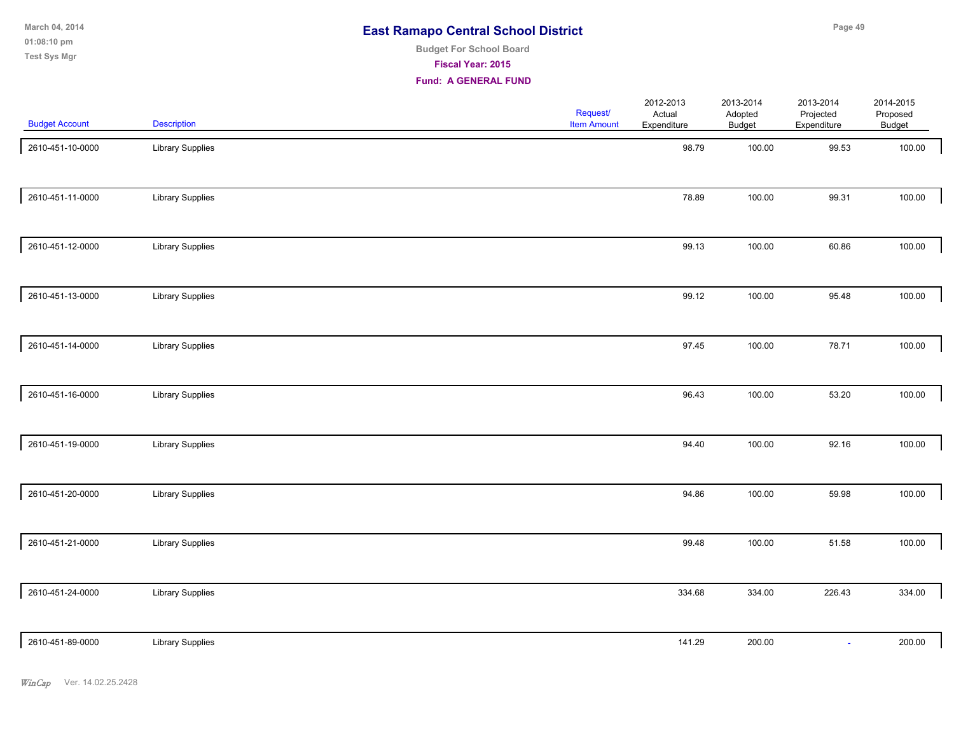**01:08:10 pm March 04, 2014 Test Sys Mgr**

# **Budget For School Board**

**Fiscal Year: 2015**

| <b>Budget Account</b> | <b>Description</b>      | Request/<br><b>Item Amount</b> | 2012-2013<br>Actual<br>Expenditure | 2013-2014<br>Adopted<br><b>Budget</b> | 2013-2014<br>Projected<br>Expenditure | 2014-2015<br>Proposed<br>Budget |  |
|-----------------------|-------------------------|--------------------------------|------------------------------------|---------------------------------------|---------------------------------------|---------------------------------|--|
| 2610-451-10-0000      | <b>Library Supplies</b> |                                | 98.79                              | 100.00                                | 99.53                                 | 100.00                          |  |
| 2610-451-11-0000      | <b>Library Supplies</b> |                                | 78.89                              | 100.00                                | 99.31                                 | 100.00                          |  |
| 2610-451-12-0000      | <b>Library Supplies</b> |                                | 99.13                              | 100.00                                | 60.86                                 | 100.00                          |  |
| 2610-451-13-0000      | <b>Library Supplies</b> |                                | 99.12                              | 100.00                                | 95.48                                 | 100.00                          |  |
| 2610-451-14-0000      | <b>Library Supplies</b> |                                | 97.45                              | 100.00                                | 78.71                                 | 100.00                          |  |
| 2610-451-16-0000      | <b>Library Supplies</b> |                                | 96.43                              | 100.00                                | 53.20                                 | 100.00                          |  |
| 2610-451-19-0000      | <b>Library Supplies</b> |                                | 94.40                              | 100.00                                | 92.16                                 | 100.00                          |  |
| 2610-451-20-0000      | <b>Library Supplies</b> |                                | 94.86                              | 100.00                                | 59.98                                 | 100.00                          |  |
| 2610-451-21-0000      | <b>Library Supplies</b> |                                | 99.48                              | 100.00                                | 51.58                                 | 100.00                          |  |
| 2610-451-24-0000      | Library Supplies        |                                | 334.68                             | 334.00                                | 226.43                                | 334.00                          |  |
| 2610-451-89-0000      | <b>Library Supplies</b> |                                | 141.29                             | 200.00                                | $\sim$                                | 200.00                          |  |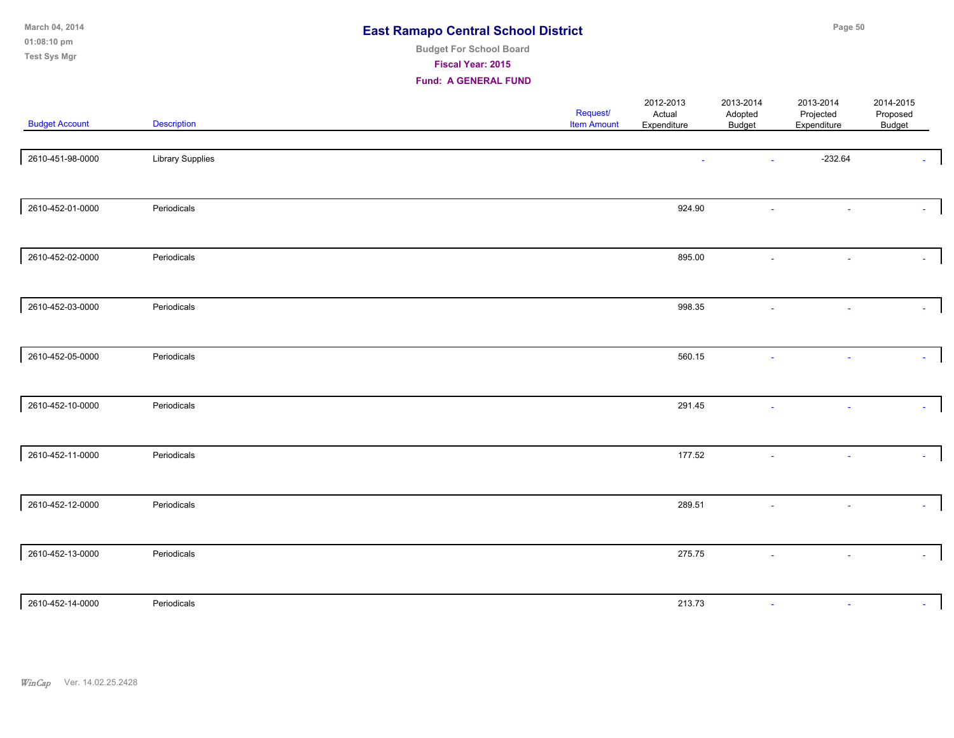| March 04, 2014<br>01:08:10 pm<br>Test Sys Mgr |                         | <b>East Ramapo Central School District</b><br><b>Budget For School Board</b><br>Fiscal Year: 2015<br><b>Fund: A GENERAL FUND</b> |                     |                      | Page 50                |                       |  |
|-----------------------------------------------|-------------------------|----------------------------------------------------------------------------------------------------------------------------------|---------------------|----------------------|------------------------|-----------------------|--|
| <b>Budget Account</b>                         | Description             | Request/<br><b>Item Amount</b>                                                                                                   | 2012-2013<br>Actual | 2013-2014<br>Adopted | 2013-2014<br>Projected | 2014-2015<br>Proposed |  |
|                                               |                         |                                                                                                                                  | Expenditure         | <b>Budget</b>        | Expenditure            | Budget                |  |
| 2610-451-98-0000                              | <b>Library Supplies</b> |                                                                                                                                  |                     |                      | $-232.64$              |                       |  |
| 2610-452-01-0000                              | Periodicals             |                                                                                                                                  | 924.90              |                      | ÷.                     |                       |  |
| 2610-452-02-0000                              | Periodicals             |                                                                                                                                  | 895.00              |                      |                        |                       |  |
| 2610-452-03-0000                              | Periodicals             |                                                                                                                                  | 998.35              |                      |                        |                       |  |
| 2610-452-05-0000                              | Periodicals             |                                                                                                                                  | 560.15              |                      |                        |                       |  |
| 2610-452-10-0000                              | Periodicals             |                                                                                                                                  | 291.45              |                      |                        |                       |  |
| 2610-452-11-0000                              | Periodicals             |                                                                                                                                  | 177.52              |                      | $\mathbf{r}$           |                       |  |
| 2610-452-12-0000                              | Periodicals             |                                                                                                                                  | 289.51              |                      | $\omega$               |                       |  |
| 2610-452-13-0000                              | Periodicals             |                                                                                                                                  | 275.75              | $\sim$               | ÷.                     | $\Delta$              |  |
| 2610-452-14-0000                              | Periodicals             |                                                                                                                                  | 213.73              |                      |                        | $\sim$                |  |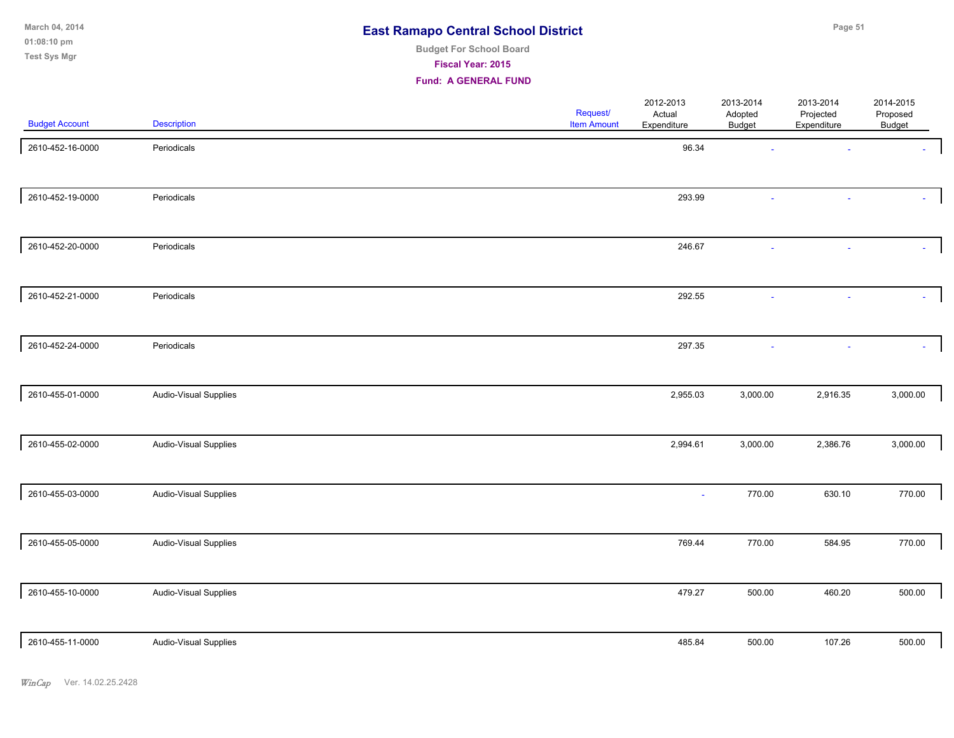| March 04, 2014 | <b>East Ramapo Central School District</b> | Page 51 |
|----------------|--------------------------------------------|---------|
| 01:08:10 pm    | <b>Budget For School Board</b>             |         |
| Test Sys Mgr   | <b>Fiscal Year: 2015</b>                   |         |
|                | <b>Fund: A GENERAL FUND</b>                |         |

| <b>Budget Account</b> | <b>Description</b>    | Request/<br><b>Item Amount</b> | 2012-2013<br>Actual<br>Expenditure | 2013-2014<br>Adopted<br><b>Budget</b> | 2013-2014<br>Projected<br>Expenditure | 2014-2015<br>Proposed<br>Budget |
|-----------------------|-----------------------|--------------------------------|------------------------------------|---------------------------------------|---------------------------------------|---------------------------------|
| 2610-452-16-0000      | Periodicals           |                                | 96.34                              |                                       |                                       |                                 |
| 2610-452-19-0000      | Periodicals           |                                | 293.99                             |                                       |                                       |                                 |
| 2610-452-20-0000      | Periodicals           |                                | 246.67                             |                                       |                                       |                                 |
| 2610-452-21-0000      | Periodicals           |                                | 292.55                             |                                       |                                       |                                 |
| 2610-452-24-0000      | Periodicals           |                                | 297.35                             |                                       |                                       | $\sim$                          |
| 2610-455-01-0000      | Audio-Visual Supplies |                                | 2,955.03                           | 3,000.00                              | 2,916.35                              | 3,000.00                        |
| 2610-455-02-0000      | Audio-Visual Supplies |                                | 2,994.61                           | 3,000.00                              | 2,386.76                              | 3,000.00                        |
| 2610-455-03-0000      | Audio-Visual Supplies |                                | $\sim$                             | 770.00                                | 630.10                                | 770.00                          |
| 2610-455-05-0000      | Audio-Visual Supplies |                                | 769.44                             | 770.00                                | 584.95                                | 770.00                          |
| 2610-455-10-0000      | Audio-Visual Supplies |                                | 479.27                             | 500.00                                | 460.20                                | 500.00                          |
| 2610-455-11-0000      | Audio-Visual Supplies |                                | 485.84                             | 500.00                                | 107.26                                | 500.00                          |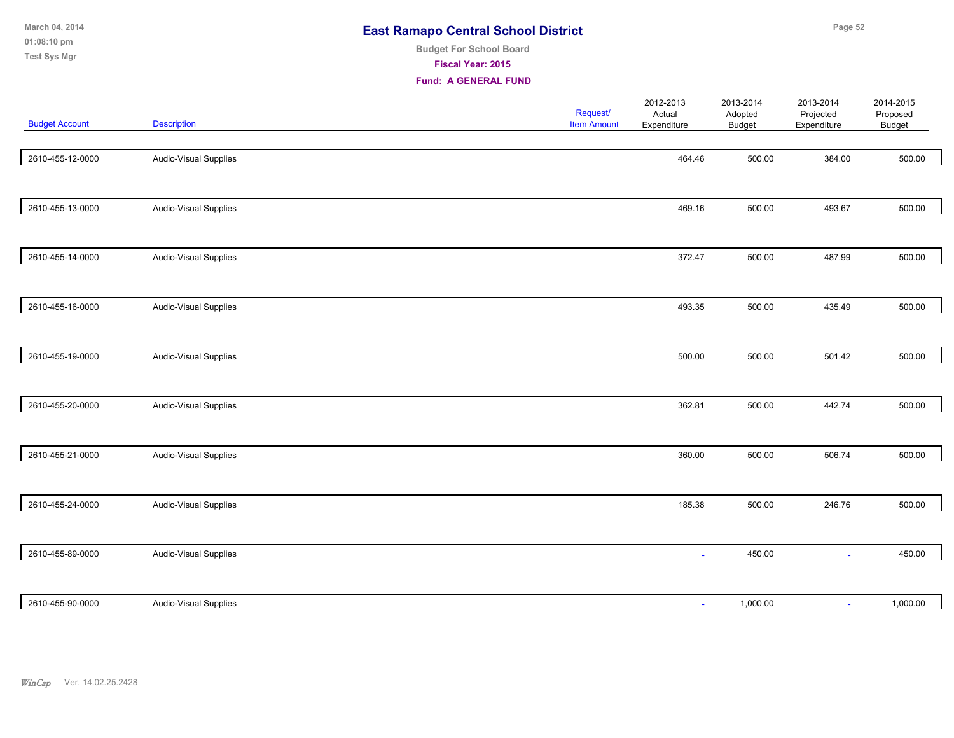| March 04, 2014<br>01:08:10 pm<br><b>Test Sys Mgr</b> |                              | <b>Budget For School Board</b><br><b>Fiscal Year: 2015</b><br><b>Fund: A GENERAL FUND</b> | <b>East Ramapo Central School District</b> |                                    |                                | Page 52                               |                                 |  |  |
|------------------------------------------------------|------------------------------|-------------------------------------------------------------------------------------------|--------------------------------------------|------------------------------------|--------------------------------|---------------------------------------|---------------------------------|--|--|
| <b>Budget Account</b>                                | <b>Description</b>           |                                                                                           | <b>Request/</b><br><b>Item Amount</b>      | 2012-2013<br>Actual<br>Expenditure | 2013-2014<br>Adopted<br>Budget | 2013-2014<br>Projected<br>Expenditure | 2014-2015<br>Proposed<br>Budget |  |  |
| 2610-455-12-0000                                     | <b>Audio-Visual Supplies</b> |                                                                                           |                                            | 464.46                             | 500.00                         | 384.00                                | 500.00                          |  |  |
| 2610-455-13-0000                                     | <b>Audio-Visual Supplies</b> |                                                                                           |                                            | 469.16                             | 500.00                         | 493.67                                | 500.00                          |  |  |

| 2610-455-13-0000 | Audio-Visual Supplies |  | 469.16 | 500.00   | 493.67 | 500.00   |
|------------------|-----------------------|--|--------|----------|--------|----------|
|                  |                       |  |        |          |        |          |
| 2610-455-14-0000 | Audio-Visual Supplies |  | 372.47 | 500.00   | 487.99 | 500.00   |
|                  |                       |  |        |          |        |          |
| 2610-455-16-0000 | Audio-Visual Supplies |  | 493.35 | 500.00   | 435.49 | 500.00   |
|                  |                       |  |        |          |        |          |
| 2610-455-19-0000 | Audio-Visual Supplies |  | 500.00 | 500.00   | 501.42 | 500.00   |
|                  |                       |  |        |          |        |          |
| 2610-455-20-0000 | Audio-Visual Supplies |  | 362.81 | 500.00   | 442.74 | 500.00   |
|                  |                       |  |        |          |        |          |
| 2610-455-21-0000 | Audio-Visual Supplies |  | 360.00 | 500.00   | 506.74 | 500.00   |
|                  |                       |  |        |          |        |          |
| 2610-455-24-0000 | Audio-Visual Supplies |  | 185.38 | 500.00   | 246.76 | 500.00   |
|                  |                       |  |        |          |        |          |
| 2610-455-89-0000 | Audio-Visual Supplies |  |        | 450.00   | $\sim$ | 450.00   |
|                  |                       |  |        |          |        |          |
| 2610-455-90-0000 | Audio-Visual Supplies |  | $\sim$ | 1,000.00 | $\sim$ | 1,000.00 |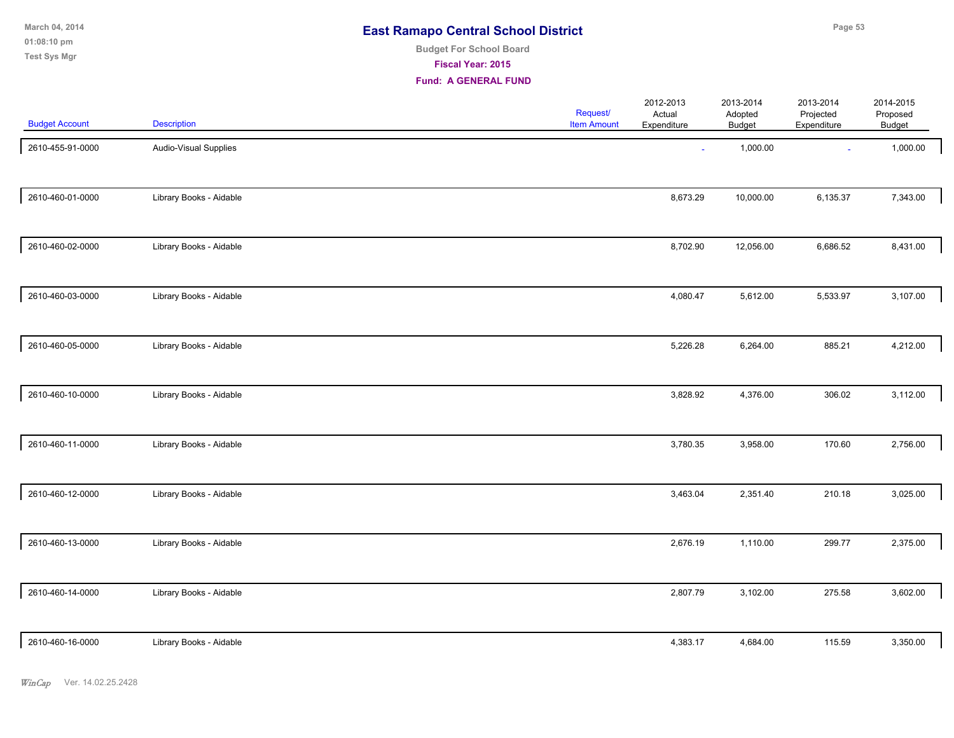**01:08:10 pm March 04, 2014 Test Sys Mgr**

# **Budget For School Board**

**Fiscal Year: 2015**

| <b>Budget Account</b> | <b>Description</b>      | Request/<br><b>Item Amount</b> | 2012-2013<br>Actual<br>Expenditure | 2013-2014<br>Adopted<br><b>Budget</b> | 2013-2014<br>Projected<br>Expenditure | 2014-2015<br>Proposed<br>Budget |  |
|-----------------------|-------------------------|--------------------------------|------------------------------------|---------------------------------------|---------------------------------------|---------------------------------|--|
| 2610-455-91-0000      | Audio-Visual Supplies   |                                | $\sim$                             | 1,000.00                              | $\sim$                                | 1,000.00                        |  |
| 2610-460-01-0000      | Library Books - Aidable |                                | 8,673.29                           | 10,000.00                             | 6,135.37                              | 7,343.00                        |  |
| 2610-460-02-0000      | Library Books - Aidable |                                | 8,702.90                           | 12,056.00                             | 6,686.52                              | 8,431.00                        |  |
| 2610-460-03-0000      | Library Books - Aidable |                                | 4,080.47                           | 5,612.00                              | 5,533.97                              | 3,107.00                        |  |
| 2610-460-05-0000      | Library Books - Aidable |                                | 5,226.28                           | 6,264.00                              | 885.21                                | 4,212.00                        |  |
| 2610-460-10-0000      | Library Books - Aidable |                                | 3,828.92                           | 4,376.00                              | 306.02                                | 3,112.00                        |  |
| 2610-460-11-0000      | Library Books - Aidable |                                | 3,780.35                           | 3,958.00                              | 170.60                                | 2,756.00                        |  |
| 2610-460-12-0000      | Library Books - Aidable |                                | 3,463.04                           | 2,351.40                              | 210.18                                | 3,025.00                        |  |
| 2610-460-13-0000      | Library Books - Aidable |                                | 2,676.19                           | 1,110.00                              | 299.77                                | 2,375.00                        |  |
| 2610-460-14-0000      | Library Books - Aidable |                                | 2,807.79                           | 3,102.00                              | 275.58                                | 3,602.00                        |  |
| 2610-460-16-0000      | Library Books - Aidable |                                | 4,383.17                           | 4,684.00                              | 115.59                                | 3,350.00                        |  |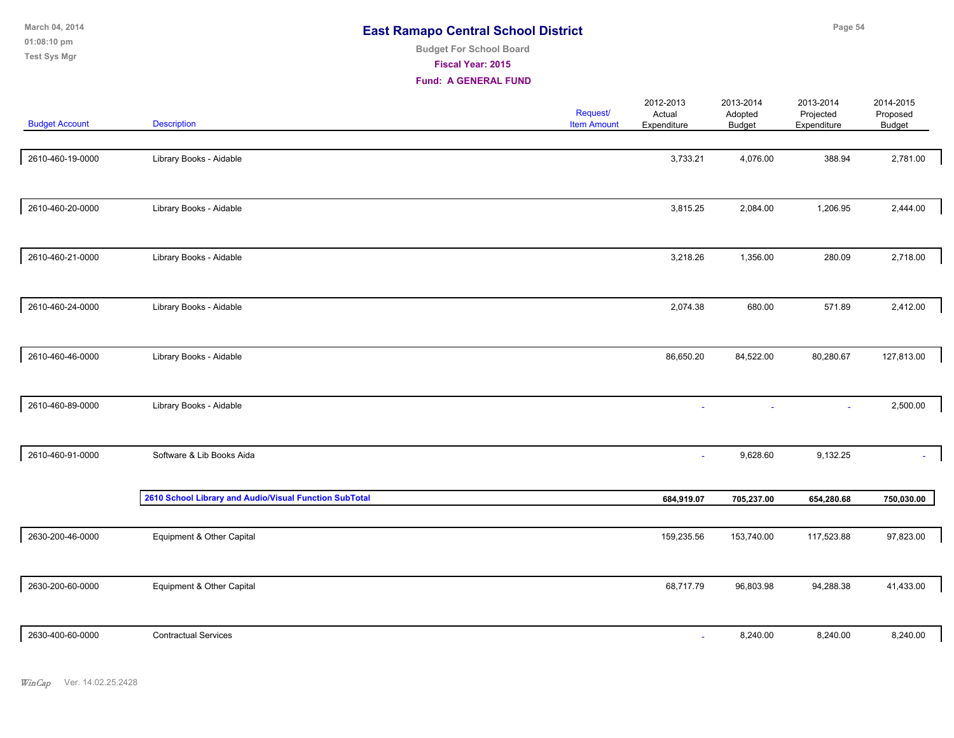| March 04, 2014<br>01:08:10 pm<br><b>Test Sys Mgr</b> |                         | <b>East Ramapo Central School District</b><br><b>Budget For School Board</b><br>Fiscal Year: 2015<br><b>Fund: A GENERAL FUND</b> |                                |                                    |                                | Page 54                               |                                 |
|------------------------------------------------------|-------------------------|----------------------------------------------------------------------------------------------------------------------------------|--------------------------------|------------------------------------|--------------------------------|---------------------------------------|---------------------------------|
| <b>Budget Account</b>                                | <b>Description</b>      |                                                                                                                                  | Request/<br><b>Item Amount</b> | 2012-2013<br>Actual<br>Expenditure | 2013-2014<br>Adopted<br>Budget | 2013-2014<br>Projected<br>Expenditure | 2014-2015<br>Proposed<br>Budget |
| 2610-460-19-0000                                     | Library Books - Aidable |                                                                                                                                  |                                | 3,733.21                           | 4,076.00                       | 388.94                                | 2,781.00                        |
| 2610-460-20-0000                                     | Library Books - Aidable |                                                                                                                                  |                                | 3,815.25                           | 2,084.00                       | 1,206.95                              | 2,444.00                        |
| 2610-460-21-0000                                     | Library Books - Aidable |                                                                                                                                  |                                | 3,218.26                           | 1,356.00                       | 280.09                                | 2,718.00                        |
| 2610-460-24-0000                                     | Library Books - Aidable |                                                                                                                                  |                                | 2,074.38                           | 680.00                         | 571.89                                | 2,412.00                        |

| Library Books - Aidable                                | 86,650.20               | 84,522.00  | 80,280.67  | 127,813.00 |
|--------------------------------------------------------|-------------------------|------------|------------|------------|
|                                                        |                         |            |            | 2,500.00   |
|                                                        |                         |            |            |            |
| Software & Lib Books Aida                              | ٠                       | 9,628.60   | 9,132.25   | $\sim$     |
| 2610 School Library and Audio/Visual Function SubTotal | 684,919.07              | 705,237.00 | 654,280.68 | 750,030.00 |
| Equipment & Other Capital                              | 159,235.56              | 153,740.00 | 117,523.88 | 97,823.00  |
| Equipment & Other Capital                              | 68,717.79               | 96,803.98  | 94,288.38  | 41,433.00  |
|                                                        | Library Books - Aidable | $\sim$     | $\sim$     | $\sim$     |

| 2630-400-60-0000 | <b>Contractual Services</b> | 3,240.00<br>the contract of the contract of the contract of | 8,240.00 | 8,240.00 |
|------------------|-----------------------------|-------------------------------------------------------------|----------|----------|
|                  |                             |                                                             |          |          |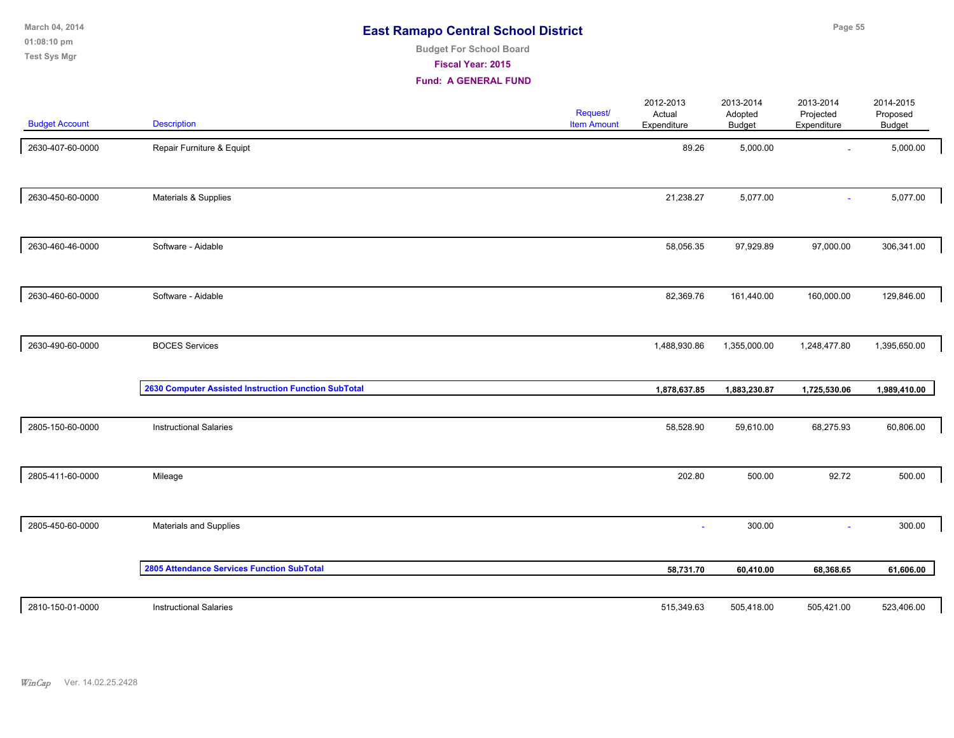**01:08:10 pm March 04, 2014 Test Sys Mgr**

# **Budget For School Board**

**Fiscal Year: 2015**

| <b>Budget Account</b> | <b>Description</b>                                   | Request/<br><b>Item Amount</b> | 2012-2013<br>Actual<br>Expenditure | 2013-2014<br>Adopted<br><b>Budget</b> | 2013-2014<br>Projected<br>Expenditure | 2014-2015<br>Proposed<br>Budget |  |
|-----------------------|------------------------------------------------------|--------------------------------|------------------------------------|---------------------------------------|---------------------------------------|---------------------------------|--|
| 2630-407-60-0000      | Repair Furniture & Equipt                            |                                | 89.26                              | 5,000.00                              | $\sim$                                | 5,000.00                        |  |
| 2630-450-60-0000      | Materials & Supplies                                 |                                | 21,238.27                          | 5,077.00                              |                                       | 5,077.00                        |  |
| 2630-460-46-0000      | Software - Aidable                                   |                                | 58,056.35                          | 97,929.89                             | 97,000.00                             | 306,341.00                      |  |
| 2630-460-60-0000      | Software - Aidable                                   |                                | 82,369.76                          | 161,440.00                            | 160,000.00                            | 129,846.00                      |  |
| 2630-490-60-0000      | <b>BOCES Services</b>                                |                                | 1,488,930.86                       | 1,355,000.00                          | 1,248,477.80                          | 1,395,650.00                    |  |
|                       | 2630 Computer Assisted Instruction Function SubTotal |                                | 1,878,637.85                       | 1,883,230.87                          | 1,725,530.06                          | 1,989,410.00                    |  |
| 2805-150-60-0000      | <b>Instructional Salaries</b>                        |                                | 58,528.90                          | 59,610.00                             | 68,275.93                             | 60,806.00                       |  |
| 2805-411-60-0000      | Mileage                                              |                                | 202.80                             | 500.00                                | 92.72                                 | 500.00                          |  |
| 2805-450-60-0000      | Materials and Supplies                               |                                |                                    | 300.00                                | $\sim$                                | 300.00                          |  |
|                       | <b>2805 Attendance Services Function SubTotal</b>    |                                | 58,731.70                          | 60,410.00                             | 68,368.65                             | 61,606.00                       |  |
| 2810-150-01-0000      | <b>Instructional Salaries</b>                        |                                | 515,349.63                         | 505,418.00                            | 505,421.00                            | 523,406.00                      |  |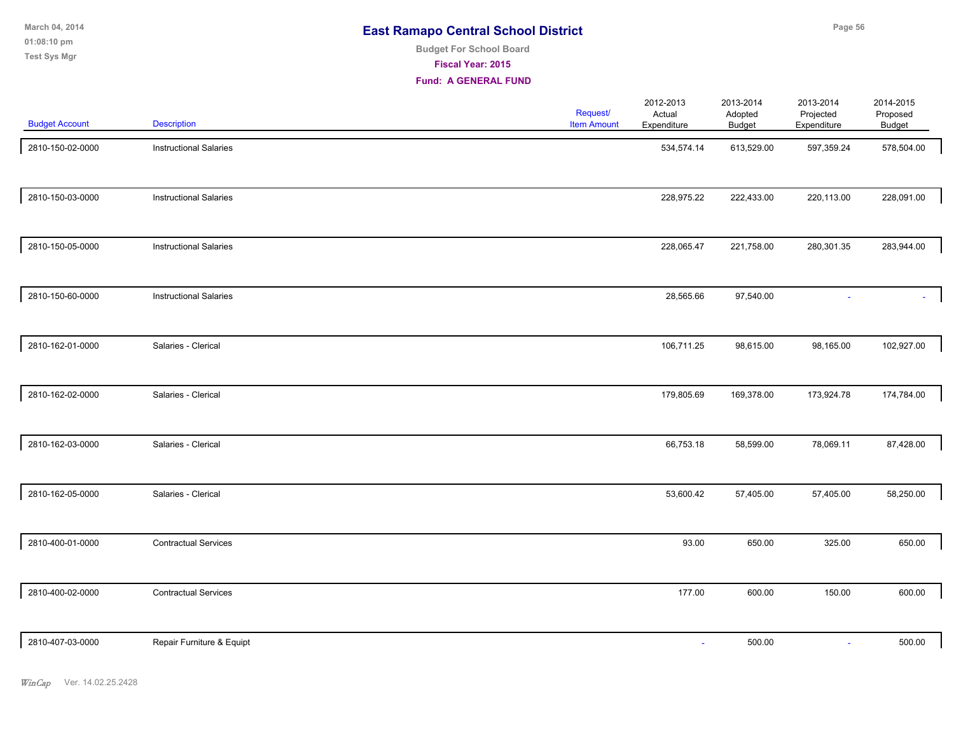| <b>East Ramapo Central School District</b> |  |
|--------------------------------------------|--|
|--------------------------------------------|--|

# **Budget For School Board**

**Fiscal Year: 2015**

| <b>Budget Account</b> | <b>Description</b>            | Request/<br><b>Item Amount</b> | 2012-2013<br>Actual<br>Expenditure | 2013-2014<br>Adopted<br>Budget | 2013-2014<br>Projected<br>Expenditure | 2014-2015<br>Proposed<br>Budget |
|-----------------------|-------------------------------|--------------------------------|------------------------------------|--------------------------------|---------------------------------------|---------------------------------|
| 2810-150-02-0000      | <b>Instructional Salaries</b> |                                | 534,574.14                         | 613,529.00                     | 597,359.24                            | 578,504.00                      |
| 2810-150-03-0000      | <b>Instructional Salaries</b> |                                | 228,975.22                         | 222,433.00                     | 220,113.00                            | 228,091.00                      |
| 2810-150-05-0000      | <b>Instructional Salaries</b> |                                | 228,065.47                         | 221,758.00                     | 280,301.35                            | 283,944.00                      |
| 2810-150-60-0000      | <b>Instructional Salaries</b> |                                | 28,565.66                          | 97,540.00                      |                                       |                                 |
| 2810-162-01-0000      | Salaries - Clerical           |                                | 106,711.25                         | 98,615.00                      | 98,165.00                             | 102,927.00                      |
| 2810-162-02-0000      | Salaries - Clerical           |                                | 179,805.69                         | 169,378.00                     | 173,924.78                            | 174,784.00                      |
| 2810-162-03-0000      | Salaries - Clerical           |                                | 66,753.18                          | 58,599.00                      | 78,069.11                             | 87,428.00                       |
| 2810-162-05-0000      | Salaries - Clerical           |                                | 53,600.42                          | 57,405.00                      | 57,405.00                             | 58,250.00                       |
| 2810-400-01-0000      | <b>Contractual Services</b>   |                                | 93.00                              | 650.00                         | 325.00                                | 650.00                          |
| 2810-400-02-0000      | <b>Contractual Services</b>   |                                | 177.00                             | 600.00                         | 150.00                                | 600.00                          |
| 2810-407-03-0000      | Repair Furniture & Equipt     |                                | $\blacksquare$                     | 500.00                         | $\omega$                              | 500.00                          |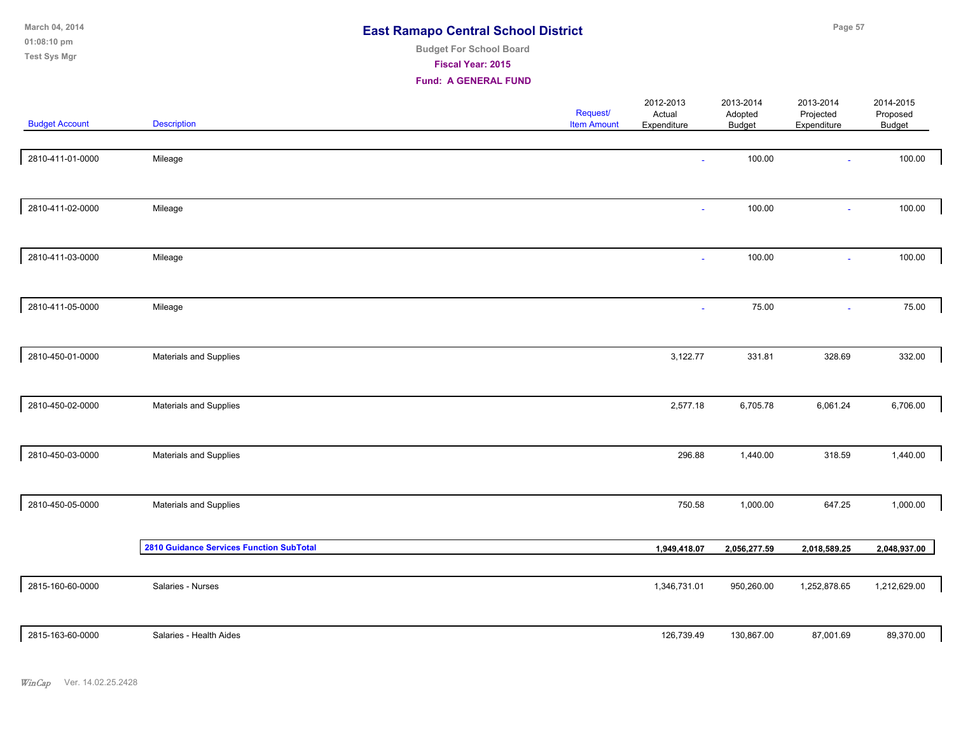| March 04, 2014<br>01:08:10 pm<br><b>Test Sys Mgr</b> |                                                 | <b>East Ramapo Central School District</b><br><b>Budget For School Board</b><br>Fiscal Year: 2015<br><b>Fund: A GENERAL FUND</b> |                                       |                                    | Page 57                               |                                       |                                 |  |
|------------------------------------------------------|-------------------------------------------------|----------------------------------------------------------------------------------------------------------------------------------|---------------------------------------|------------------------------------|---------------------------------------|---------------------------------------|---------------------------------|--|
| <b>Budget Account</b>                                | <b>Description</b>                              |                                                                                                                                  | <b>Request/</b><br><b>Item Amount</b> | 2012-2013<br>Actual<br>Expenditure | 2013-2014<br>Adopted<br><b>Budget</b> | 2013-2014<br>Projected<br>Expenditure | 2014-2015<br>Proposed<br>Budget |  |
| 2810-411-01-0000                                     | Mileage                                         |                                                                                                                                  |                                       |                                    | 100.00                                | $\sim$                                | 100.00                          |  |
| 2810-411-02-0000                                     | Mileage                                         |                                                                                                                                  |                                       | $\sim$                             | 100.00                                | $\omega$                              | 100.00                          |  |
| 2810-411-03-0000                                     | Mileage                                         |                                                                                                                                  |                                       | $\sim$                             | 100.00                                | $\sim$                                | 100.00                          |  |
| 2810-411-05-0000                                     | Mileage                                         |                                                                                                                                  |                                       | $\overline{\phantom{a}}$           | 75.00                                 | $\sim$                                | 75.00                           |  |
| 2810-450-01-0000                                     | Materials and Supplies                          |                                                                                                                                  |                                       | 3,122.77                           | 331.81                                | 328.69                                | 332.00                          |  |
| 2810-450-02-0000                                     | Materials and Supplies                          |                                                                                                                                  |                                       | 2,577.18                           | 6,705.78                              | 6,061.24                              | 6,706.00                        |  |
| 2810-450-03-0000                                     | Materials and Supplies                          |                                                                                                                                  |                                       | 296.88                             | 1,440.00                              | 318.59                                | 1,440.00                        |  |
| 2810-450-05-0000                                     | Materials and Supplies                          |                                                                                                                                  |                                       | 750.58                             | 1,000.00                              | 647.25                                | 1,000.00                        |  |
|                                                      | <b>2810 Guidance Services Function SubTotal</b> |                                                                                                                                  |                                       | 1,949,418.07                       | 2,056,277.59                          | 2,018,589.25                          | 2,048,937.00                    |  |
| 2815-160-60-0000                                     | Salaries - Nurses                               |                                                                                                                                  |                                       | 1,346,731.01                       | 950,260.00                            | 1,252,878.65                          | 1,212,629.00                    |  |
| 2815-163-60-0000                                     | Salaries - Health Aides                         |                                                                                                                                  |                                       | 126,739.49                         | 130,867.00                            | 87,001.69                             | 89,370.00                       |  |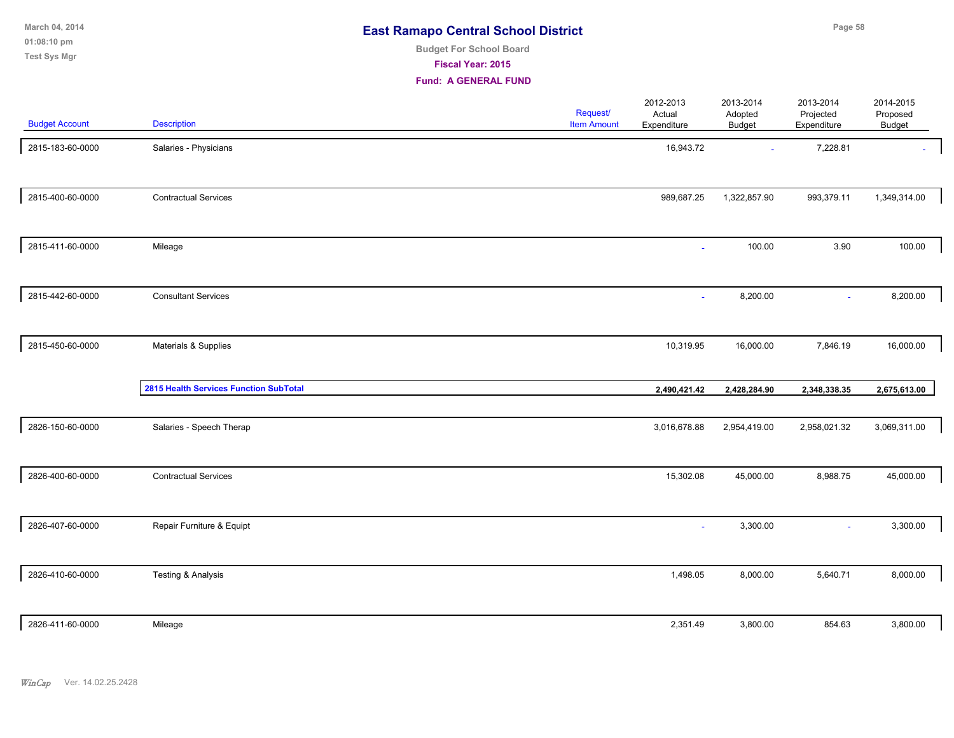| March 04, 2014 | <b>East Ramapo Central School District</b> | Page 58 |
|----------------|--------------------------------------------|---------|
| $01:08:10$ pm  | <b>Budget For School Board</b>             |         |
| Test Sys Mgr   | <b>Fiscal Year: 2015</b>                   |         |

| <b>Budget Account</b> | Description                            | Request/<br><b>Item Amount</b> | 2012-2013<br>Actual<br>Expenditure | 2013-2014<br>Adopted<br><b>Budget</b> | 2013-2014<br>Projected<br>Expenditure | 2014-2015<br>Proposed<br>Budget |  |
|-----------------------|----------------------------------------|--------------------------------|------------------------------------|---------------------------------------|---------------------------------------|---------------------------------|--|
| 2815-183-60-0000      | Salaries - Physicians                  |                                | 16,943.72                          | $\sim$                                | 7,228.81                              |                                 |  |
| 2815-400-60-0000      | <b>Contractual Services</b>            |                                | 989,687.25                         | 1,322,857.90                          | 993,379.11                            | 1,349,314.00                    |  |
| 2815-411-60-0000      | Mileage                                |                                | $\omega$                           | 100.00                                | 3.90                                  | 100.00                          |  |
| 2815-442-60-0000      | <b>Consultant Services</b>             |                                |                                    | 8,200.00                              | $\sim$                                | 8,200.00                        |  |
| 2815-450-60-0000      | Materials & Supplies                   |                                | 10,319.95                          | 16,000.00                             | 7,846.19                              | 16,000.00                       |  |
|                       | 2815 Health Services Function SubTotal |                                | 2,490,421.42                       | 2,428,284.90                          | 2,348,338.35                          | 2,675,613.00                    |  |
| 2826-150-60-0000      | Salaries - Speech Therap               |                                | 3,016,678.88                       | 2,954,419.00                          | 2,958,021.32                          | 3,069,311.00                    |  |
| 2826-400-60-0000      | <b>Contractual Services</b>            |                                | 15,302.08                          | 45,000.00                             | 8,988.75                              | 45,000.00                       |  |
| 2826-407-60-0000      | Repair Furniture & Equipt              |                                |                                    | 3,300.00                              | ÷.                                    | 3,300.00                        |  |
| 2826-410-60-0000      | Testing & Analysis                     |                                | 1,498.05                           | 8,000.00                              | 5,640.71                              | 8,000.00                        |  |
| 2826-411-60-0000      | Mileage                                |                                | 2,351.49                           | 3,800.00                              | 854.63                                | 3,800.00                        |  |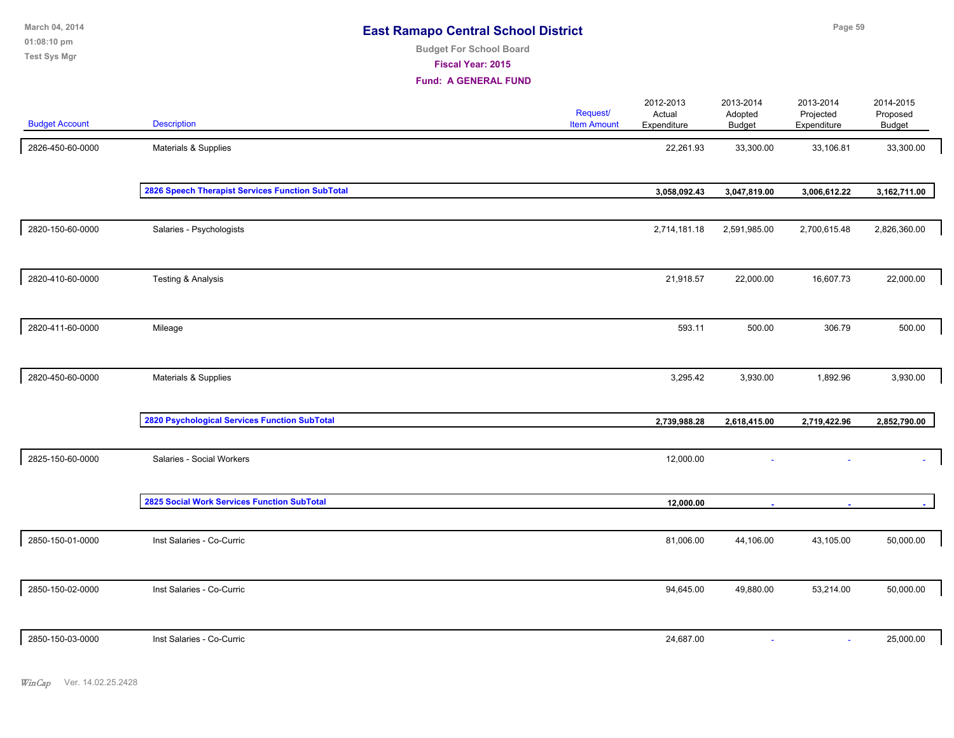| March 04, 2014<br>01:08:10 pm<br>Test Sys Mgr |                                                  | <b>East Ramapo Central School District</b><br><b>Budget For School Board</b><br>Fiscal Year: 2015<br><b>Fund: A GENERAL FUND</b> |                                |                                    | Page 59                               |                                       |                                        |  |  |
|-----------------------------------------------|--------------------------------------------------|----------------------------------------------------------------------------------------------------------------------------------|--------------------------------|------------------------------------|---------------------------------------|---------------------------------------|----------------------------------------|--|--|
| <b>Budget Account</b>                         | <b>Description</b>                               |                                                                                                                                  | Request/<br><b>Item Amount</b> | 2012-2013<br>Actual<br>Expenditure | 2013-2014<br>Adopted<br><b>Budget</b> | 2013-2014<br>Projected<br>Expenditure | 2014-2015<br>Proposed<br><b>Budget</b> |  |  |
| 2826-450-60-0000                              | Materials & Supplies                             |                                                                                                                                  |                                | 22,261.93                          | 33,300.00                             | 33,106.81                             | 33,300.00                              |  |  |
|                                               | 2826 Speech Therapist Services Function SubTotal |                                                                                                                                  |                                | 3,058,092.43                       | 3,047,819.00                          | 3,006,612.22                          | 3,162,711.00                           |  |  |
| 2820-150-60-0000                              | Salaries - Psychologists                         |                                                                                                                                  |                                | 2,714,181.18                       | 2,591,985.00                          | 2,700,615.48                          | 2,826,360.00                           |  |  |
| 2820-410-60-0000                              | Testing & Analysis                               |                                                                                                                                  |                                | 21,918.57                          | 22,000.00                             | 16,607.73                             | 22,000.00                              |  |  |
| 2820-411-60-0000                              | Mileage                                          |                                                                                                                                  |                                | 593.11                             | 500.00                                | 306.79                                | 500.00                                 |  |  |
| 2820-450-60-0000                              | Materials & Supplies                             |                                                                                                                                  |                                | 3,295.42                           | 3,930.00                              | 1,892.96                              | 3,930.00                               |  |  |
|                                               | 2820 Psychological Services Function SubTotal    |                                                                                                                                  |                                | 2,739,988.28                       | 2,618,415.00                          | 2,719,422.96                          | 2,852,790.00                           |  |  |
| 2825-150-60-0000                              | Salaries - Social Workers                        |                                                                                                                                  |                                | 12,000.00                          |                                       |                                       |                                        |  |  |
|                                               | 2825 Social Work Services Function SubTotal      |                                                                                                                                  |                                | 12,000.00                          |                                       |                                       |                                        |  |  |
| 2850-150-01-0000                              | Inst Salaries - Co-Curric                        |                                                                                                                                  |                                | 81,006.00                          | 44,106.00                             | 43,105.00                             | 50,000.00                              |  |  |
| 2850-150-02-0000                              | Inst Salaries - Co-Curric                        |                                                                                                                                  |                                | 94,645.00                          | 49,880.00                             | 53,214.00                             | 50,000.00                              |  |  |
| 2850-150-03-0000                              | Inst Salaries - Co-Curric                        |                                                                                                                                  |                                | 24,687.00                          |                                       | $\sim$                                | 25,000.00                              |  |  |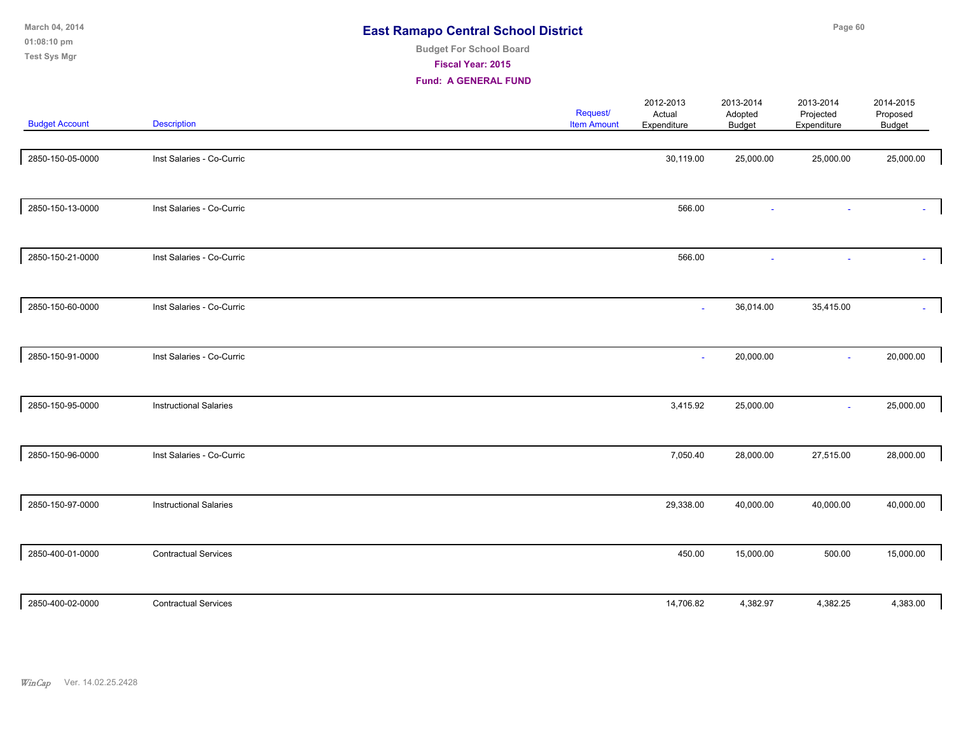| March 04, 2014<br>01:08:10 pm<br><b>Test Sys Mgr</b> |                               | <b>East Ramapo Central School District</b><br><b>Budget For School Board</b><br>Fiscal Year: 2015<br><b>Fund: A GENERAL FUND</b> |                                |                                    | Page 60                               |                                       |                                        |  |  |
|------------------------------------------------------|-------------------------------|----------------------------------------------------------------------------------------------------------------------------------|--------------------------------|------------------------------------|---------------------------------------|---------------------------------------|----------------------------------------|--|--|
| <b>Budget Account</b>                                | <b>Description</b>            |                                                                                                                                  | Request/<br><b>Item Amount</b> | 2012-2013<br>Actual<br>Expenditure | 2013-2014<br>Adopted<br><b>Budget</b> | 2013-2014<br>Projected<br>Expenditure | 2014-2015<br>Proposed<br><b>Budget</b> |  |  |
| 2850-150-05-0000                                     | Inst Salaries - Co-Curric     |                                                                                                                                  |                                | 30,119.00                          | 25,000.00                             | 25,000.00                             | 25,000.00                              |  |  |
| 2850-150-13-0000                                     | Inst Salaries - Co-Curric     |                                                                                                                                  |                                | 566.00                             | ä,                                    |                                       |                                        |  |  |
| 2850-150-21-0000                                     | Inst Salaries - Co-Curric     |                                                                                                                                  |                                | 566.00                             | $\sim$                                | ÷,                                    | A.                                     |  |  |
| 2850-150-60-0000                                     | Inst Salaries - Co-Curric     |                                                                                                                                  |                                | $\sim$                             | 36,014.00                             | 35,415.00                             |                                        |  |  |
| 2850-150-91-0000                                     | Inst Salaries - Co-Curric     |                                                                                                                                  |                                |                                    | 20,000.00                             | ä,                                    | 20,000.00                              |  |  |
| 2850-150-95-0000                                     | <b>Instructional Salaries</b> |                                                                                                                                  |                                | 3,415.92                           | 25,000.00                             |                                       | 25,000.00                              |  |  |
| 2850-150-96-0000                                     | Inst Salaries - Co-Curric     |                                                                                                                                  |                                | 7,050.40                           | 28,000.00                             | 27,515.00                             | 28,000.00                              |  |  |
| 2850-150-97-0000                                     | <b>Instructional Salaries</b> |                                                                                                                                  |                                | 29,338.00                          | 40,000.00                             | 40,000.00                             | 40,000.00                              |  |  |
| 2850-400-01-0000                                     | <b>Contractual Services</b>   |                                                                                                                                  |                                | 450.00                             | 15,000.00                             | 500.00                                | 15,000.00                              |  |  |
| 2850-400-02-0000                                     | <b>Contractual Services</b>   |                                                                                                                                  |                                | 14,706.82                          | 4,382.97                              | 4,382.25                              | 4,383.00                               |  |  |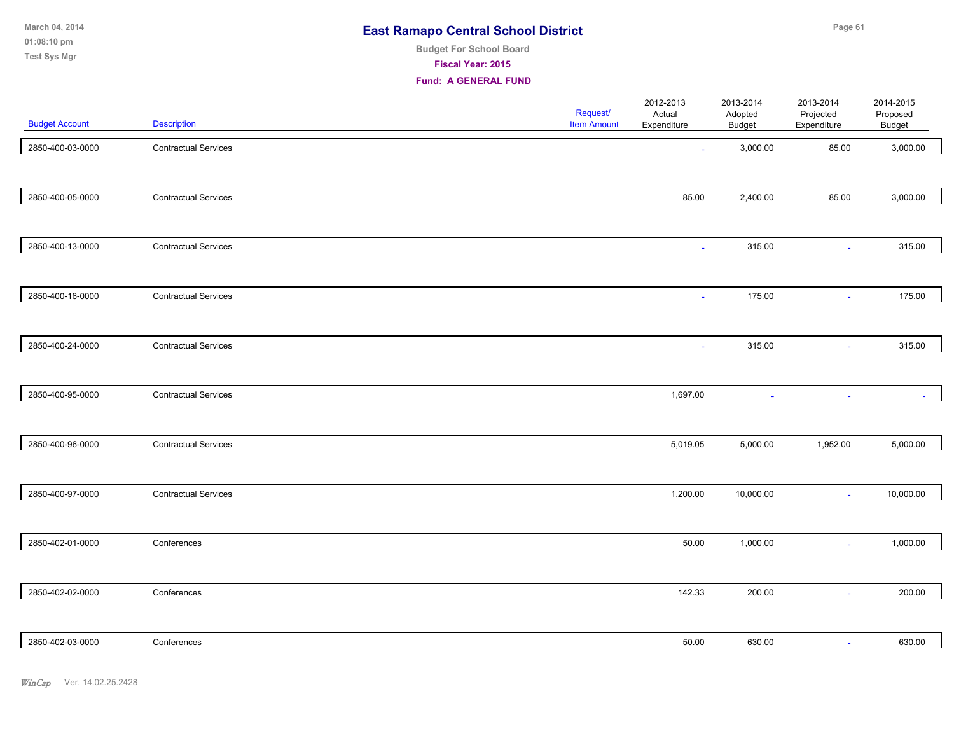**Page 61**

**01:08:10 pm March 04, 2014 Test Sys Mgr**

# **Budget For School Board**

**Fiscal Year: 2015**

| <b>Budget Account</b> | <b>Description</b>          | Request/<br><b>Item Amount</b> | 2012-2013<br>Actual<br>Expenditure | 2013-2014<br>Adopted<br>Budget | 2013-2014<br>Projected<br>Expenditure | 2014-2015<br>Proposed<br>Budget |
|-----------------------|-----------------------------|--------------------------------|------------------------------------|--------------------------------|---------------------------------------|---------------------------------|
| 2850-400-03-0000      | <b>Contractual Services</b> |                                | $\sim$                             | 3,000.00                       | 85.00                                 | 3,000.00                        |
| 2850-400-05-0000      | <b>Contractual Services</b> |                                | 85.00                              | 2,400.00                       | 85.00                                 | 3,000.00                        |
| 2850-400-13-0000      | <b>Contractual Services</b> |                                | $\sim$                             | 315.00                         | $\sim$                                | 315.00                          |
| 2850-400-16-0000      | <b>Contractual Services</b> |                                | $\blacksquare$                     | 175.00                         | $\sim$                                | 175.00                          |
| 2850-400-24-0000      | <b>Contractual Services</b> |                                | $\sim$                             | 315.00                         | $\omega$                              | 315.00                          |
| 2850-400-95-0000      | <b>Contractual Services</b> |                                | 1,697.00                           | $\sim$                         |                                       |                                 |
| 2850-400-96-0000      | <b>Contractual Services</b> |                                | 5,019.05                           | 5,000.00                       | 1,952.00                              | 5,000.00                        |
| 2850-400-97-0000      | <b>Contractual Services</b> |                                | 1,200.00                           | 10,000.00                      | $\sim$                                | 10,000.00                       |
| 2850-402-01-0000      | Conferences                 |                                | 50.00                              | 1,000.00                       | $\sim$                                | 1,000.00                        |
| 2850-402-02-0000      | Conferences                 |                                | 142.33                             | 200.00                         | $\sim$                                | 200.00                          |
| 2850-402-03-0000      | Conferences                 |                                | 50.00                              | 630.00                         | $\omega$                              | 630.00                          |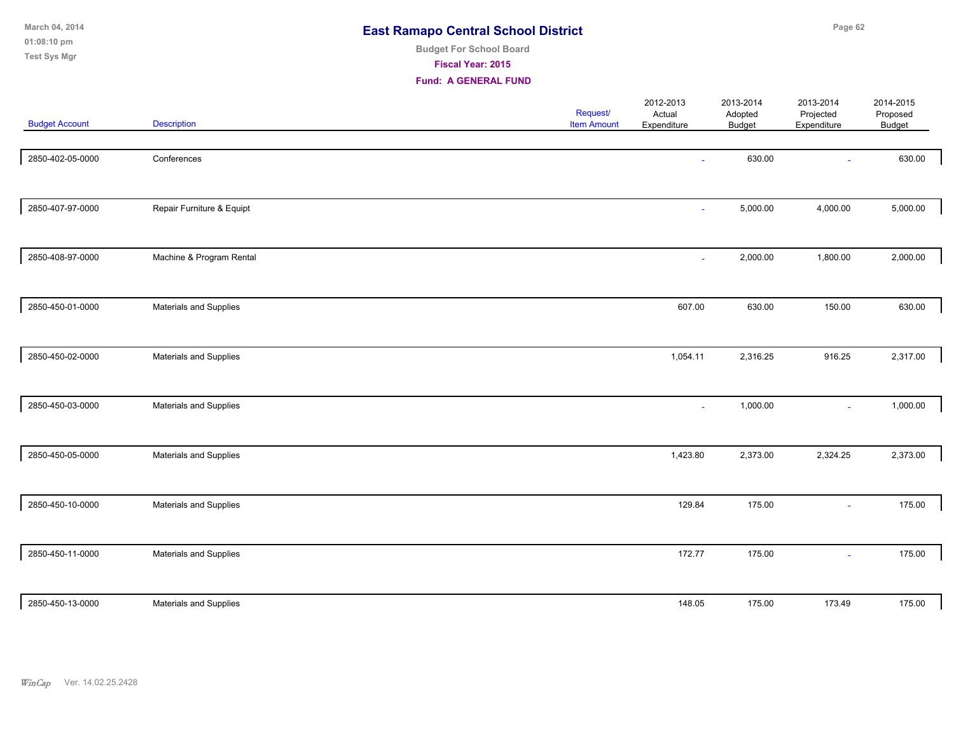| March 04, 2014<br>01:08:10 pm<br><b>Test Sys Mgr</b> |                           | <b>East Ramapo Central School District</b><br><b>Budget For School Board</b><br>Fiscal Year: 2015<br><b>Fund: A GENERAL FUND</b> |                                |                                    |                                       | Page 62                               |                                        |  |  |  |
|------------------------------------------------------|---------------------------|----------------------------------------------------------------------------------------------------------------------------------|--------------------------------|------------------------------------|---------------------------------------|---------------------------------------|----------------------------------------|--|--|--|
| <b>Budget Account</b>                                | Description               |                                                                                                                                  | Request/<br><b>Item Amount</b> | 2012-2013<br>Actual<br>Expenditure | 2013-2014<br>Adopted<br><b>Budget</b> | 2013-2014<br>Projected<br>Expenditure | 2014-2015<br>Proposed<br><b>Budget</b> |  |  |  |
| 2850-402-05-0000                                     | Conferences               |                                                                                                                                  |                                |                                    | 630.00                                |                                       | 630.00                                 |  |  |  |
| 2850-407-97-0000                                     | Repair Furniture & Equipt |                                                                                                                                  |                                | ä,                                 | 5,000.00                              | 4,000.00                              | 5,000.00                               |  |  |  |
| 2850-408-97-0000                                     | Machine & Program Rental  |                                                                                                                                  |                                | $\overline{\phantom{a}}$           | 2,000.00                              | 1,800.00                              | 2,000.00                               |  |  |  |
| 2850-450-01-0000                                     | Materials and Supplies    |                                                                                                                                  |                                | 607.00                             | 630.00                                | 150.00                                | 630.00                                 |  |  |  |
| 2850-450-02-0000                                     | Materials and Supplies    |                                                                                                                                  |                                | 1,054.11                           | 2,316.25                              | 916.25                                | 2,317.00                               |  |  |  |
| 2850-450-03-0000                                     | Materials and Supplies    |                                                                                                                                  |                                |                                    | 1,000.00                              | ٠                                     | 1,000.00                               |  |  |  |
| 2850-450-05-0000                                     | Materials and Supplies    |                                                                                                                                  |                                | 1,423.80                           | 2,373.00                              | 2,324.25                              | 2,373.00                               |  |  |  |
| 2850-450-10-0000                                     | Materials and Supplies    |                                                                                                                                  |                                | 129.84                             | 175.00                                | $\omega$                              | 175.00                                 |  |  |  |
| 2850-450-11-0000                                     | Materials and Supplies    |                                                                                                                                  |                                | 172.77                             | 175.00                                | $\omega$                              | 175.00                                 |  |  |  |
| 2850-450-13-0000                                     | Materials and Supplies    |                                                                                                                                  |                                | 148.05                             | 175.00                                | 173.49                                | 175.00                                 |  |  |  |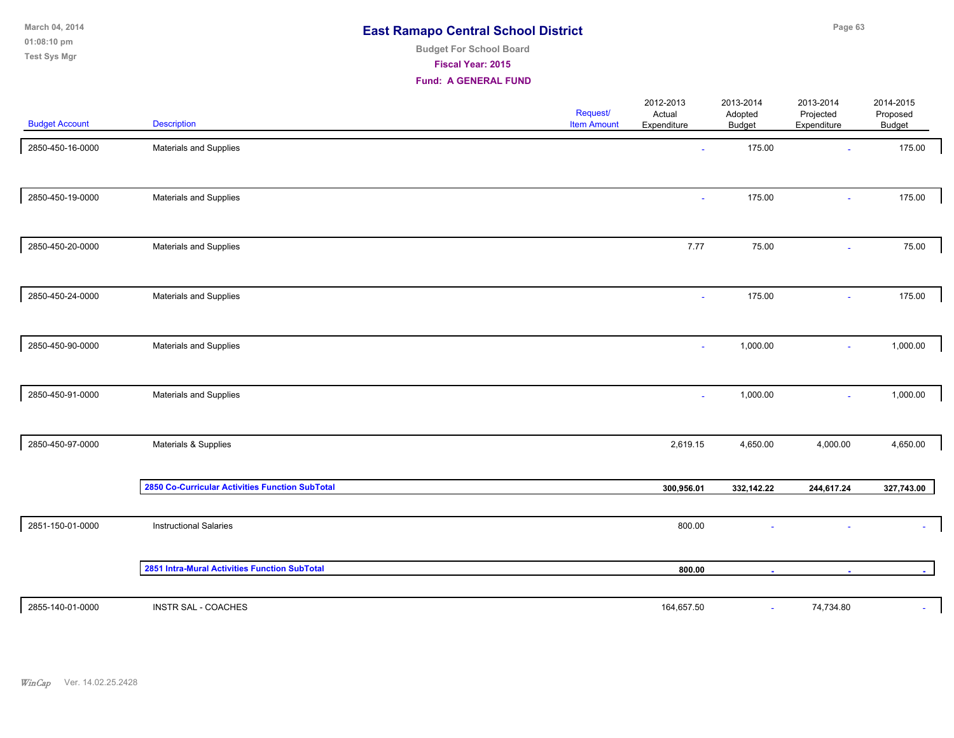| March 04, 2014 | <b>East Ramapo Central School District</b> | Page 63 |
|----------------|--------------------------------------------|---------|
| $01:08:10$ pm  | <b>Budget For School Board</b>             |         |
| Test Sys Mgr   | Fiscal Year: 2015                          |         |

| <b>Budget Account</b> | <b>Description</b>                              | Request/<br><b>Item Amount</b> | 2012-2013<br>Actual<br>Expenditure | 2013-2014<br>Adopted<br><b>Budget</b> | 2013-2014<br>Projected<br>Expenditure | 2014-2015<br>Proposed<br>Budget |
|-----------------------|-------------------------------------------------|--------------------------------|------------------------------------|---------------------------------------|---------------------------------------|---------------------------------|
| 2850-450-16-0000      | Materials and Supplies                          |                                | $\sim$                             | 175.00                                | $\sim$                                | 175.00                          |
| 2850-450-19-0000      | Materials and Supplies                          |                                | $\mathbf{r}$                       | 175.00                                | $\sim$                                | 175.00                          |
| 2850-450-20-0000      | Materials and Supplies                          |                                | 7.77                               | 75.00                                 | ÷                                     | 75.00                           |
| 2850-450-24-0000      | Materials and Supplies                          |                                | $\sim$                             | 175.00                                | $\sim$                                | 175.00                          |
| 2850-450-90-0000      | Materials and Supplies                          |                                | $\mathbf{r}$                       | 1,000.00                              | ÷.                                    | 1,000.00                        |
| 2850-450-91-0000      | Materials and Supplies                          |                                | ÷,                                 | 1,000.00                              | $\sim$                                | 1,000.00                        |
| 2850-450-97-0000      | Materials & Supplies                            |                                | 2,619.15                           | 4,650.00                              | 4,000.00                              | 4,650.00                        |
|                       | 2850 Co-Curricular Activities Function SubTotal |                                | 300,956.01                         | 332,142.22                            | 244,617.24                            | 327,743.00                      |
| 2851-150-01-0000      | <b>Instructional Salaries</b>                   |                                | 800.00                             | $\sim$                                | $\sim$                                |                                 |
|                       | 2851 Intra-Mural Activities Function SubTotal   |                                | 800.00                             |                                       |                                       |                                 |
| 2855-140-01-0000      | INSTR SAL - COACHES                             |                                | 164,657.50                         | $\sim$                                | 74,734.80                             | $\sim$                          |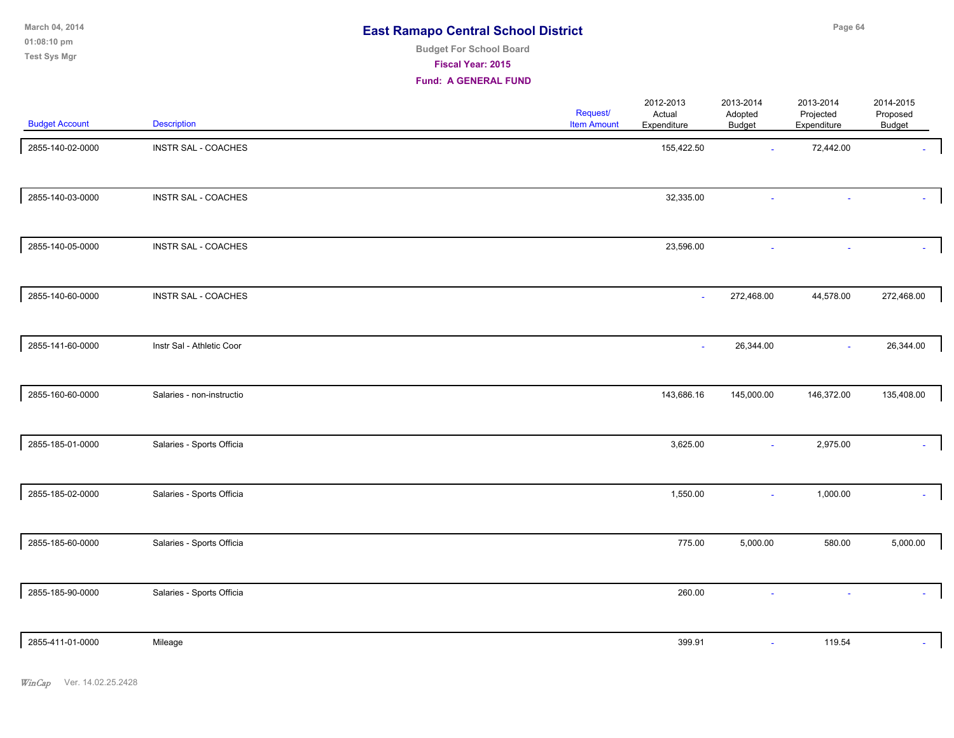**01:08:10 pm March 04, 2014 Test Sys Mgr**

# **Budget For School Board**

**Fiscal Year: 2015**

| <b>Budget Account</b> | <b>Description</b>        | Request/<br><b>Item Amount</b> | 2012-2013<br>Actual<br>Expenditure | 2013-2014<br>Adopted<br>Budget | 2013-2014<br>Projected<br>Expenditure | 2014-2015<br>Proposed<br>Budget |
|-----------------------|---------------------------|--------------------------------|------------------------------------|--------------------------------|---------------------------------------|---------------------------------|
| 2855-140-02-0000      | INSTR SAL - COACHES       |                                | 155,422.50                         | $\sim$                         | 72,442.00                             |                                 |
| 2855-140-03-0000      | INSTR SAL - COACHES       |                                | 32,335.00                          |                                |                                       |                                 |
| 2855-140-05-0000      | INSTR SAL - COACHES       |                                | 23,596.00                          |                                |                                       |                                 |
| 2855-140-60-0000      | INSTR SAL - COACHES       |                                | $\sim$                             | 272,468.00                     | 44,578.00                             | 272,468.00                      |
| 2855-141-60-0000      | Instr Sal - Athletic Coor |                                |                                    | 26,344.00                      | $\sim$                                | 26,344.00                       |
| 2855-160-60-0000      | Salaries - non-instructio |                                | 143,686.16                         | 145,000.00                     | 146,372.00                            | 135,408.00                      |
| 2855-185-01-0000      | Salaries - Sports Officia |                                | 3,625.00                           | $\omega$                       | 2,975.00                              |                                 |
| 2855-185-02-0000      | Salaries - Sports Officia |                                | 1,550.00                           | ÷,                             | 1,000.00                              |                                 |
| 2855-185-60-0000      | Salaries - Sports Officia |                                | 775.00                             | 5,000.00                       | 580.00                                | 5,000.00                        |
| 2855-185-90-0000      | Salaries - Sports Officia |                                | 260.00                             |                                |                                       | ÷.                              |
| 2855-411-01-0000      | Mileage                   |                                | 399.91                             | $\omega$                       | 119.54                                |                                 |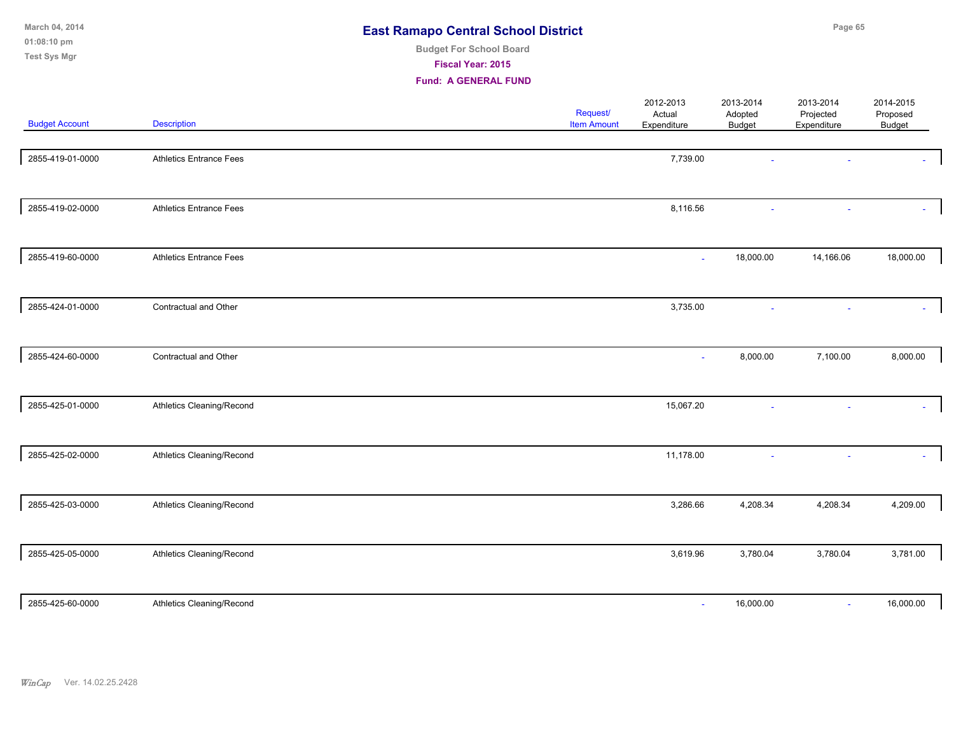| March 04, 2014<br>01:08:10 pm<br><b>Test Sys Mgr</b> |                                | <b>East Ramapo Central School District</b><br><b>Budget For School Board</b><br>Fiscal Year: 2015<br><b>Fund: A GENERAL FUND</b> |                                |                                    |                                |                                       | Page 65<br>2014-2015<br>Proposed<br>Budget<br>18,000.00<br>8,000.00<br>7,100.00<br>$\sim$<br>4,209.00<br>4,208.34<br>3,781.00<br>3,780.04 |  |
|------------------------------------------------------|--------------------------------|----------------------------------------------------------------------------------------------------------------------------------|--------------------------------|------------------------------------|--------------------------------|---------------------------------------|-------------------------------------------------------------------------------------------------------------------------------------------|--|
| <b>Budget Account</b>                                | <b>Description</b>             |                                                                                                                                  | Request/<br><b>Item Amount</b> | 2012-2013<br>Actual<br>Expenditure | 2013-2014<br>Adopted<br>Budget | 2013-2014<br>Projected<br>Expenditure |                                                                                                                                           |  |
| 2855-419-01-0000                                     | <b>Athletics Entrance Fees</b> |                                                                                                                                  |                                | 7,739.00                           |                                |                                       |                                                                                                                                           |  |
| 2855-419-02-0000                                     | <b>Athletics Entrance Fees</b> |                                                                                                                                  |                                | 8,116.56                           |                                |                                       |                                                                                                                                           |  |
| 2855-419-60-0000                                     | <b>Athletics Entrance Fees</b> |                                                                                                                                  |                                | $\sim$                             | 18,000.00                      | 14,166.06                             |                                                                                                                                           |  |
| 2855-424-01-0000                                     | Contractual and Other          |                                                                                                                                  |                                | 3,735.00                           |                                |                                       |                                                                                                                                           |  |
| 2855-424-60-0000                                     | Contractual and Other          |                                                                                                                                  |                                | ÷,                                 | 8,000.00                       |                                       |                                                                                                                                           |  |
| 2855-425-01-0000                                     | Athletics Cleaning/Recond      |                                                                                                                                  |                                | 15,067.20                          | ÷.                             |                                       |                                                                                                                                           |  |
| 2855-425-02-0000                                     | Athletics Cleaning/Recond      |                                                                                                                                  |                                | 11,178.00                          |                                |                                       |                                                                                                                                           |  |
| 2855-425-03-0000                                     | Athletics Cleaning/Recond      |                                                                                                                                  |                                | 3,286.66                           | 4,208.34                       |                                       |                                                                                                                                           |  |
| 2855-425-05-0000                                     | Athletics Cleaning/Recond      |                                                                                                                                  |                                | 3,619.96                           | 3,780.04                       |                                       |                                                                                                                                           |  |
| 2855-425-60-0000                                     | Athletics Cleaning/Recond      |                                                                                                                                  |                                | $\overline{\phantom{a}}$           | 16,000.00                      | ٠                                     | 16,000.00                                                                                                                                 |  |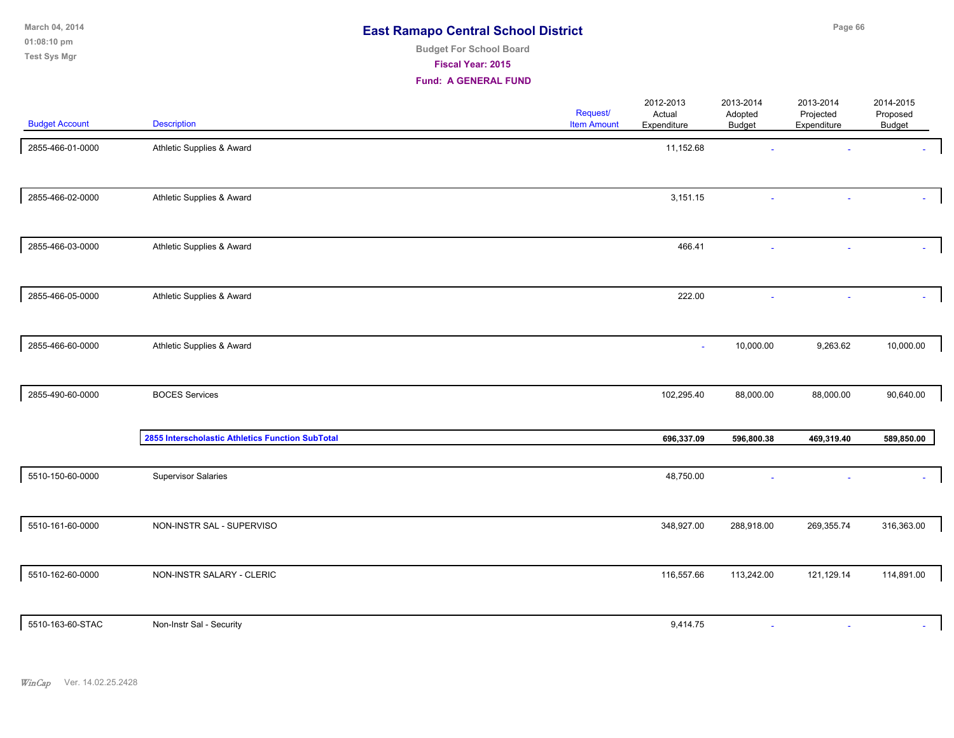**01:08:10 pm March 04, 2014 Test Sys Mgr**

# **Budget For School Board**

**Fiscal Year: 2015**

| <b>Budget Account</b> | <b>Description</b>                               | Request/<br><b>Item Amount</b> | 2012-2013<br>Actual<br>Expenditure | 2013-2014<br>Adopted<br><b>Budget</b> | 2013-2014<br>Projected<br>Expenditure | 2014-2015<br>Proposed<br>Budget |
|-----------------------|--------------------------------------------------|--------------------------------|------------------------------------|---------------------------------------|---------------------------------------|---------------------------------|
| 2855-466-01-0000      | Athletic Supplies & Award                        |                                | 11,152.68                          |                                       |                                       |                                 |
| 2855-466-02-0000      | Athletic Supplies & Award                        |                                | 3,151.15                           |                                       |                                       |                                 |
| 2855-466-03-0000      | Athletic Supplies & Award                        |                                | 466.41                             |                                       |                                       |                                 |
| 2855-466-05-0000      | Athletic Supplies & Award                        |                                | 222.00                             |                                       |                                       |                                 |
| 2855-466-60-0000      | Athletic Supplies & Award                        |                                | $\sim$                             | 10,000.00                             | 9,263.62                              | 10,000.00                       |
| 2855-490-60-0000      | <b>BOCES Services</b>                            |                                | 102,295.40                         | 88,000.00                             | 88,000.00                             | 90,640.00                       |
|                       | 2855 Interscholastic Athletics Function SubTotal |                                | 696,337.09                         | 596,800.38                            | 469,319.40                            | 589,850.00                      |
| 5510-150-60-0000      | <b>Supervisor Salaries</b>                       |                                | 48,750.00                          |                                       |                                       |                                 |
| 5510-161-60-0000      | NON-INSTR SAL - SUPERVISO                        |                                | 348,927.00                         | 288,918.00                            | 269,355.74                            | 316,363.00                      |
| 5510-162-60-0000      | NON-INSTR SALARY - CLERIC                        |                                | 116,557.66                         | 113,242.00                            | 121,129.14                            | 114,891.00                      |
| 5510-163-60-STAC      | Non-Instr Sal - Security                         |                                | 9,414.75                           | $\sim$                                |                                       |                                 |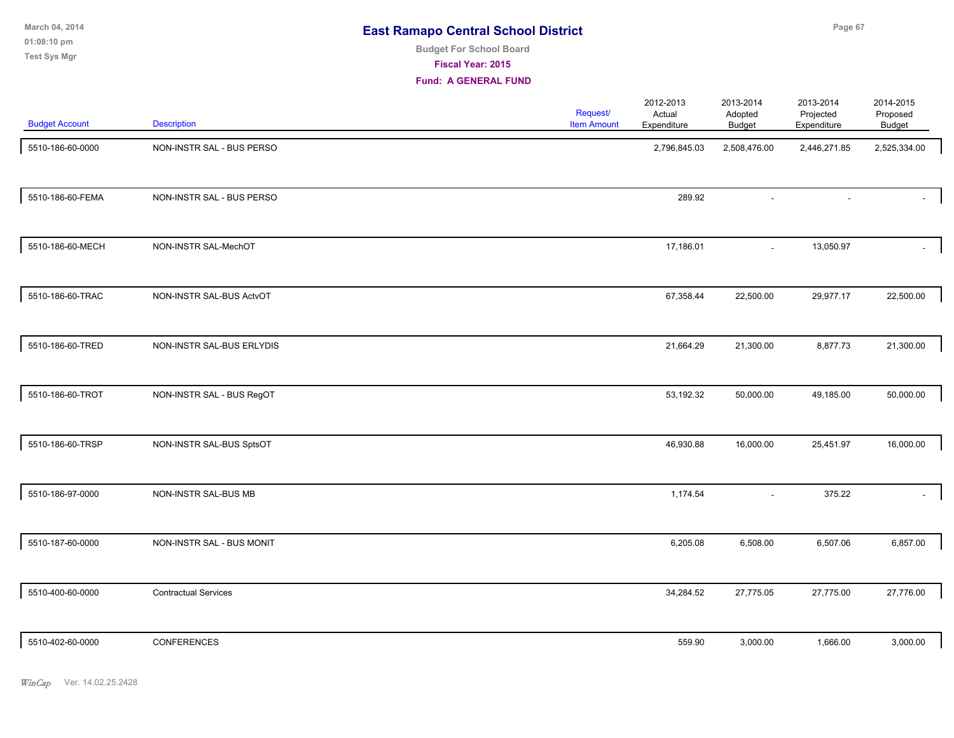**01:08:10 pm March 04, 2014 Test Sys Mgr**

# **Budget For School Board**

**Fiscal Year: 2015**

| <b>Budget Account</b> | <b>Description</b>          | Request/<br><b>Item Amount</b> | 2012-2013<br>Actual<br>Expenditure | 2013-2014<br>Adopted<br><b>Budget</b> | 2013-2014<br>Projected<br>Expenditure | 2014-2015<br>Proposed<br>Budget |
|-----------------------|-----------------------------|--------------------------------|------------------------------------|---------------------------------------|---------------------------------------|---------------------------------|
| 5510-186-60-0000      | NON-INSTR SAL - BUS PERSO   |                                | 2,796,845.03                       | 2,508,476.00                          | 2,446,271.85                          | 2,525,334.00                    |
| 5510-186-60-FEMA      | NON-INSTR SAL - BUS PERSO   |                                | 289.92                             |                                       |                                       |                                 |
| 5510-186-60-MECH      | NON-INSTR SAL-MechOT        |                                | 17,186.01                          | $\sim$                                | 13,050.97                             |                                 |
| 5510-186-60-TRAC      | NON-INSTR SAL-BUS ActvOT    |                                | 67,358.44                          | 22,500.00                             | 29,977.17                             | 22,500.00                       |
| 5510-186-60-TRED      | NON-INSTR SAL-BUS ERLYDIS   |                                | 21,664.29                          | 21,300.00                             | 8,877.73                              | 21,300.00                       |
| 5510-186-60-TROT      | NON-INSTR SAL - BUS RegOT   |                                | 53,192.32                          | 50,000.00                             | 49,185.00                             | 50,000.00                       |
| 5510-186-60-TRSP      | NON-INSTR SAL-BUS SptsOT    |                                | 46,930.88                          | 16,000.00                             | 25,451.97                             | 16,000.00                       |
| 5510-186-97-0000      | NON-INSTR SAL-BUS MB        |                                | 1,174.54                           | $\sim$                                | 375.22                                |                                 |
| 5510-187-60-0000      | NON-INSTR SAL - BUS MONIT   |                                | 6,205.08                           | 6,508.00                              | 6,507.06                              | 6,857.00                        |
| 5510-400-60-0000      | <b>Contractual Services</b> |                                | 34,284.52                          | 27,775.05                             | 27,775.00                             | 27,776.00                       |
| 5510-402-60-0000      | CONFERENCES                 |                                | 559.90                             | 3,000.00                              | 1,666.00                              | 3,000.00                        |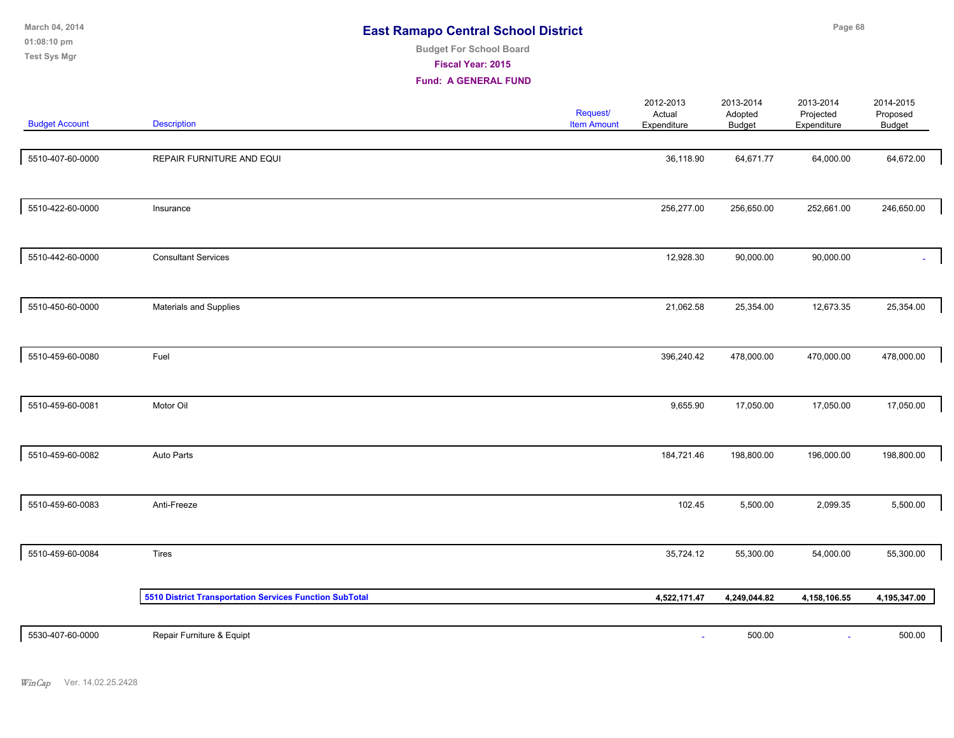| March 04, 2014<br>01:08:10 pm<br><b>Test Sys Mgr</b> |                                                         | <b>East Ramapo Central School District</b><br><b>Budget For School Board</b><br>Fiscal Year: 2015<br><b>Fund: A GENERAL FUND</b> |                                |                                    |                                       | Page 68                               |                                        |  |
|------------------------------------------------------|---------------------------------------------------------|----------------------------------------------------------------------------------------------------------------------------------|--------------------------------|------------------------------------|---------------------------------------|---------------------------------------|----------------------------------------|--|
| <b>Budget Account</b>                                | Description                                             |                                                                                                                                  | Request/<br><b>Item Amount</b> | 2012-2013<br>Actual<br>Expenditure | 2013-2014<br>Adopted<br><b>Budget</b> | 2013-2014<br>Projected<br>Expenditure | 2014-2015<br>Proposed<br><b>Budget</b> |  |
| 5510-407-60-0000                                     | REPAIR FURNITURE AND EQUI                               |                                                                                                                                  |                                | 36,118.90                          | 64,671.77                             | 64,000.00                             | 64,672.00                              |  |
| 5510-422-60-0000                                     | Insurance                                               |                                                                                                                                  |                                | 256,277.00                         | 256,650.00                            | 252,661.00                            | 246,650.00                             |  |
| 5510-442-60-0000                                     | <b>Consultant Services</b>                              |                                                                                                                                  |                                | 12,928.30                          | 90,000.00                             | 90,000.00                             |                                        |  |
| 5510-450-60-0000                                     | Materials and Supplies                                  |                                                                                                                                  |                                | 21,062.58                          | 25,354.00                             | 12,673.35                             | 25,354.00                              |  |
| 5510-459-60-0080                                     | Fuel                                                    |                                                                                                                                  |                                | 396,240.42                         | 478,000.00                            | 470,000.00                            | 478,000.00                             |  |
| 5510-459-60-0081                                     | Motor Oil                                               |                                                                                                                                  |                                | 9,655.90                           | 17,050.00                             | 17,050.00                             | 17,050.00                              |  |
| 5510-459-60-0082                                     | Auto Parts                                              |                                                                                                                                  |                                | 184,721.46                         | 198,800.00                            | 196,000.00                            | 198,800.00                             |  |
| 5510-459-60-0083                                     | Anti-Freeze                                             |                                                                                                                                  |                                | 102.45                             | 5,500.00                              | 2,099.35                              | 5,500.00                               |  |
| 5510-459-60-0084                                     | Tires                                                   |                                                                                                                                  |                                | 35,724.12                          | 55,300.00                             | 54,000.00                             | 55,300.00                              |  |
|                                                      | 5510 District Transportation Services Function SubTotal |                                                                                                                                  |                                | 4,522,171.47                       | 4,249,044.82                          | 4,158,106.55                          | 4,195,347.00                           |  |
| 5530-407-60-0000                                     | Repair Furniture & Equipt                               |                                                                                                                                  |                                | ä,                                 | 500.00                                |                                       | 500.00                                 |  |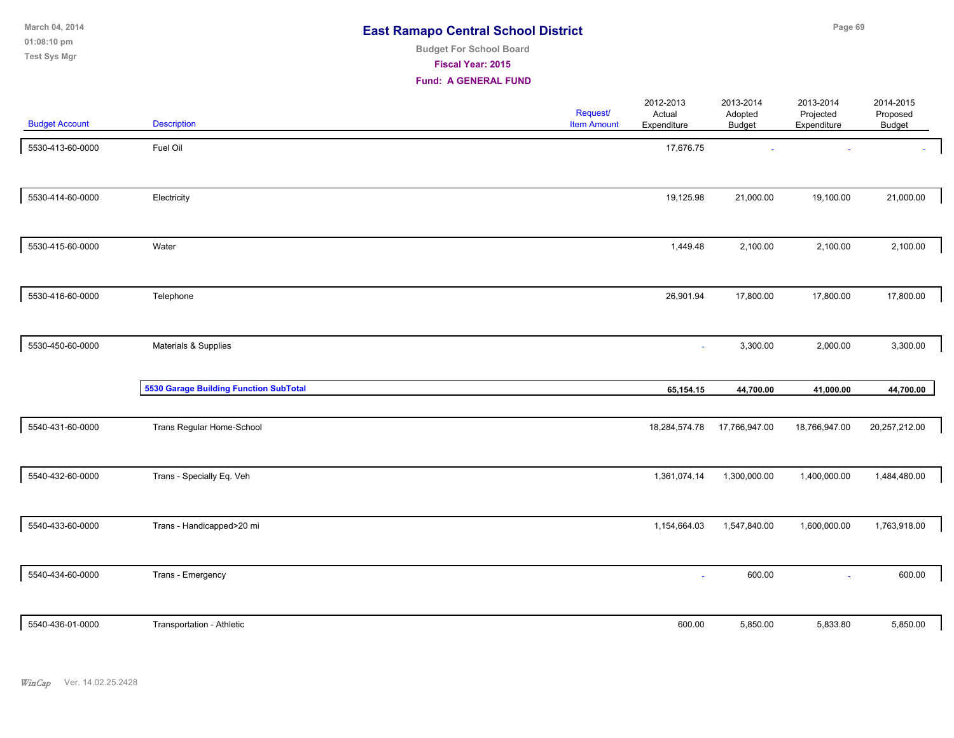| March 04, 2014      | <b>East Ramapo Central School District</b> | Page 69 |
|---------------------|--------------------------------------------|---------|
| $01:08:10$ pm       | <b>Budget For School Board</b>             |         |
| <b>Test Sys Mgr</b> | <b>Fiscal Year: 2015</b>                   |         |

| <b>Budget Account</b> | <b>Description</b>                            | Request/<br><b>Item Amount</b> | 2012-2013<br>2013-2014<br>Actual<br>Adopted<br>Expenditure<br><b>Budget</b> | 2013-2014<br>Projected<br>Expenditure | 2014-2015<br>Proposed<br>Budget |  |
|-----------------------|-----------------------------------------------|--------------------------------|-----------------------------------------------------------------------------|---------------------------------------|---------------------------------|--|
| 5530-413-60-0000      | Fuel Oil                                      |                                | 17,676.75                                                                   |                                       |                                 |  |
| 5530-414-60-0000      | Electricity                                   |                                | 19,125.98<br>21,000.00                                                      | 19,100.00                             | 21,000.00                       |  |
| 5530-415-60-0000      | Water                                         |                                | 1,449.48<br>2,100.00                                                        | 2,100.00                              | 2,100.00                        |  |
| 5530-416-60-0000      | Telephone                                     |                                | 26,901.94<br>17,800.00                                                      | 17,800.00                             | 17,800.00                       |  |
| 5530-450-60-0000      | Materials & Supplies                          |                                | 3,300.00<br>$\blacksquare$                                                  | 2,000.00                              | 3,300.00                        |  |
|                       | <b>5530 Garage Building Function SubTotal</b> |                                | 65,154.15<br>44,700.00                                                      | 41,000.00                             | 44,700.00                       |  |
| 5540-431-60-0000      | Trans Regular Home-School                     |                                | 18,284,574.78<br>17,766,947.00                                              | 18,766,947.00                         | 20,257,212.00                   |  |
| 5540-432-60-0000      | Trans - Specially Eq. Veh                     |                                | 1,361,074.14<br>1,300,000.00                                                | 1,400,000.00                          | 1,484,480.00                    |  |
| 5540-433-60-0000      | Trans - Handicapped>20 mi                     |                                | 1,154,664.03<br>1,547,840.00                                                | 1,600,000.00                          | 1,763,918.00                    |  |
| 5540-434-60-0000      | Trans - Emergency                             |                                | 600.00<br>÷                                                                 |                                       | 600.00                          |  |
| 5540-436-01-0000      | Transportation - Athletic                     |                                | 600.00<br>5,850.00                                                          | 5,833.80                              | 5,850.00                        |  |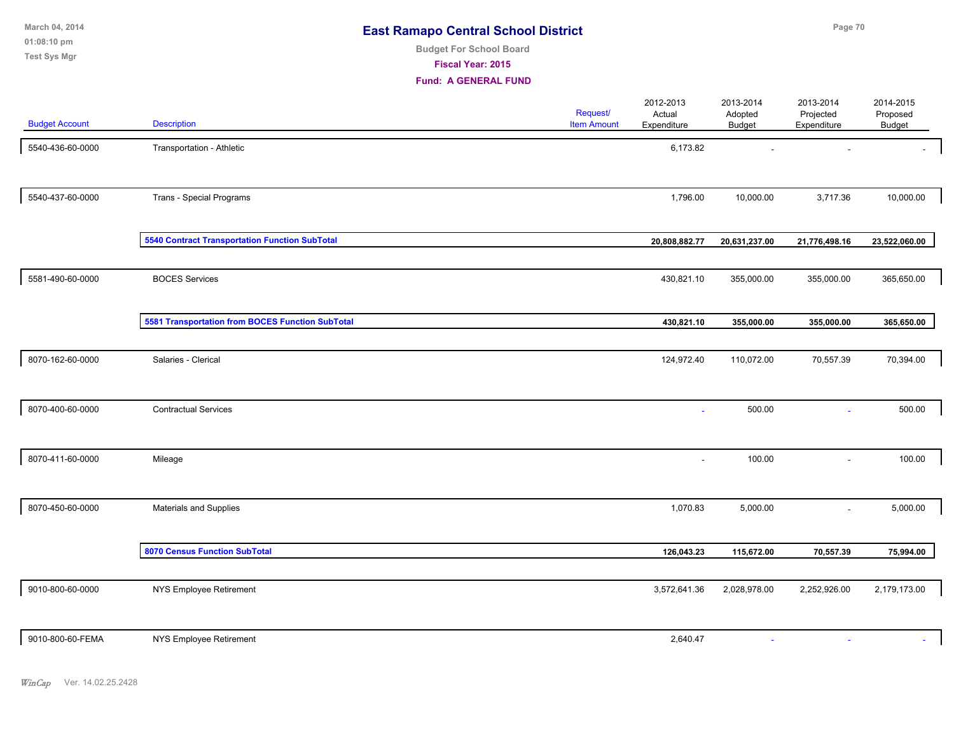|  | <b>East Ramapo Central School District</b> |  |
|--|--------------------------------------------|--|
|--|--------------------------------------------|--|

#### **Budget For School Board**

**Fiscal Year: 2015**

| <b>Budget Account</b> | <b>Description</b>                                    | Request/<br><b>Item Amount</b> | 2012-2013<br>Actual<br>Expenditure | 2013-2014<br>Adopted<br><b>Budget</b> | 2013-2014<br>Projected<br>Expenditure | 2014-2015<br>Proposed<br><b>Budget</b> |
|-----------------------|-------------------------------------------------------|--------------------------------|------------------------------------|---------------------------------------|---------------------------------------|----------------------------------------|
|                       |                                                       |                                |                                    |                                       |                                       |                                        |
| 5540-436-60-0000      | Transportation - Athletic                             |                                | 6,173.82                           |                                       |                                       |                                        |
| 5540-437-60-0000      | Trans - Special Programs                              |                                | 1,796.00                           | 10,000.00                             | 3,717.36                              | 10,000.00                              |
|                       | <b>5540 Contract Transportation Function SubTotal</b> |                                | 20,808,882.77                      | 20,631,237.00                         | 21,776,498.16                         | 23,522,060.00                          |
| 5581-490-60-0000      | <b>BOCES Services</b>                                 |                                | 430,821.10                         | 355,000.00                            | 355,000.00                            | 365,650.00                             |
|                       | 5581 Transportation from BOCES Function SubTotal      |                                | 430,821.10                         | 355,000.00                            | 355,000.00                            | 365,650.00                             |
| 8070-162-60-0000      | Salaries - Clerical                                   |                                | 124,972.40                         | 110,072.00                            | 70,557.39                             | 70,394.00                              |
| 8070-400-60-0000      | <b>Contractual Services</b>                           |                                |                                    | 500.00                                | $\sim$                                | 500.00                                 |
| 8070-411-60-0000      | Mileage                                               |                                | $\sim$                             | 100.00                                | $\sim$                                | 100.00                                 |
| 8070-450-60-0000      | Materials and Supplies                                |                                | 1,070.83                           | 5,000.00                              | $\sim$                                | 5,000.00                               |
|                       | 8070 Census Function SubTotal                         |                                | 126,043.23                         | 115,672.00                            | 70,557.39                             | 75,994.00                              |
| 9010-800-60-0000      | NYS Employee Retirement                               |                                | 3,572,641.36                       | 2,028,978.00                          | 2,252,926.00                          | 2,179,173.00                           |
| 9010-800-60-FEMA      |                                                       |                                |                                    |                                       |                                       |                                        |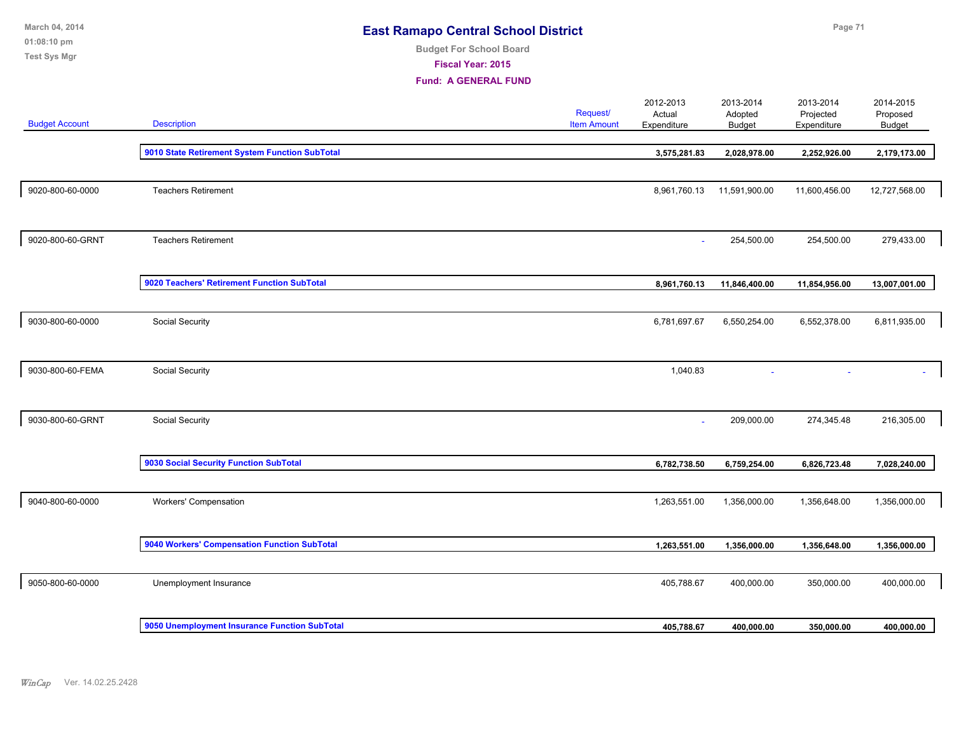| March 04, 2014<br>01:08:10 pm<br><b>Test Sys Mgr</b> | <b>East Ramapo Central School District</b><br><b>Budget For School Board</b><br>Fiscal Year: 2015<br><b>Fund: A GENERAL FUND</b> |  |                                | Page 71                            |                                       |                                       |                                        |
|------------------------------------------------------|----------------------------------------------------------------------------------------------------------------------------------|--|--------------------------------|------------------------------------|---------------------------------------|---------------------------------------|----------------------------------------|
| <b>Budget Account</b>                                | <b>Description</b>                                                                                                               |  | Request/<br><b>Item Amount</b> | 2012-2013<br>Actual<br>Expenditure | 2013-2014<br>Adopted<br><b>Budget</b> | 2013-2014<br>Projected<br>Expenditure | 2014-2015<br>Proposed<br><b>Budget</b> |
|                                                      | 9010 State Retirement System Function SubTotal                                                                                   |  |                                | 3,575,281.83                       | 2,028,978.00                          | 2,252,926.00                          | 2,179,173.00                           |
| 9020-800-60-0000                                     | <b>Teachers Retirement</b>                                                                                                       |  |                                | 8,961,760.13                       | 11,591,900.00                         | 11,600,456.00                         | 12,727,568.00                          |
| 9020-800-60-GRNT                                     | <b>Teachers Retirement</b>                                                                                                       |  |                                |                                    | 254,500.00                            | 254,500.00                            | 279,433.00                             |
|                                                      | 9020 Teachers' Retirement Function SubTotal                                                                                      |  |                                | 8,961,760.13                       | 11,846,400.00                         | 11,854,956.00                         | 13,007,001.00                          |
| 9030-800-60-0000                                     | Social Security                                                                                                                  |  |                                | 6,781,697.67                       | 6,550,254.00                          | 6,552,378.00                          | 6,811,935.00                           |
| 9030-800-60-FEMA                                     | Social Security                                                                                                                  |  |                                | 1,040.83                           |                                       |                                       |                                        |
| 9030-800-60-GRNT                                     | Social Security                                                                                                                  |  |                                | $\sim$                             | 209,000.00                            | 274,345.48                            | 216,305.00                             |
|                                                      | 9030 Social Security Function SubTotal                                                                                           |  |                                | 6,782,738.50                       | 6,759,254.00                          | 6,826,723.48                          | 7,028,240.00                           |
| 9040-800-60-0000                                     | Workers' Compensation                                                                                                            |  |                                | 1,263,551.00                       | 1,356,000.00                          | 1,356,648.00                          | 1,356,000.00                           |
|                                                      | 9040 Workers' Compensation Function SubTotal                                                                                     |  |                                | 1,263,551.00                       | 1,356,000.00                          | 1,356,648.00                          | 1,356,000.00                           |
| 9050-800-60-0000                                     | Unemployment Insurance                                                                                                           |  |                                | 405,788.67                         | 400,000.00                            | 350,000.00                            | 400,000.00                             |
|                                                      | 9050 Unemployment Insurance Function SubTotal                                                                                    |  |                                | 405,788.67                         | 400,000.00                            | 350,000.00                            | 400,000.00                             |
|                                                      |                                                                                                                                  |  |                                |                                    |                                       |                                       |                                        |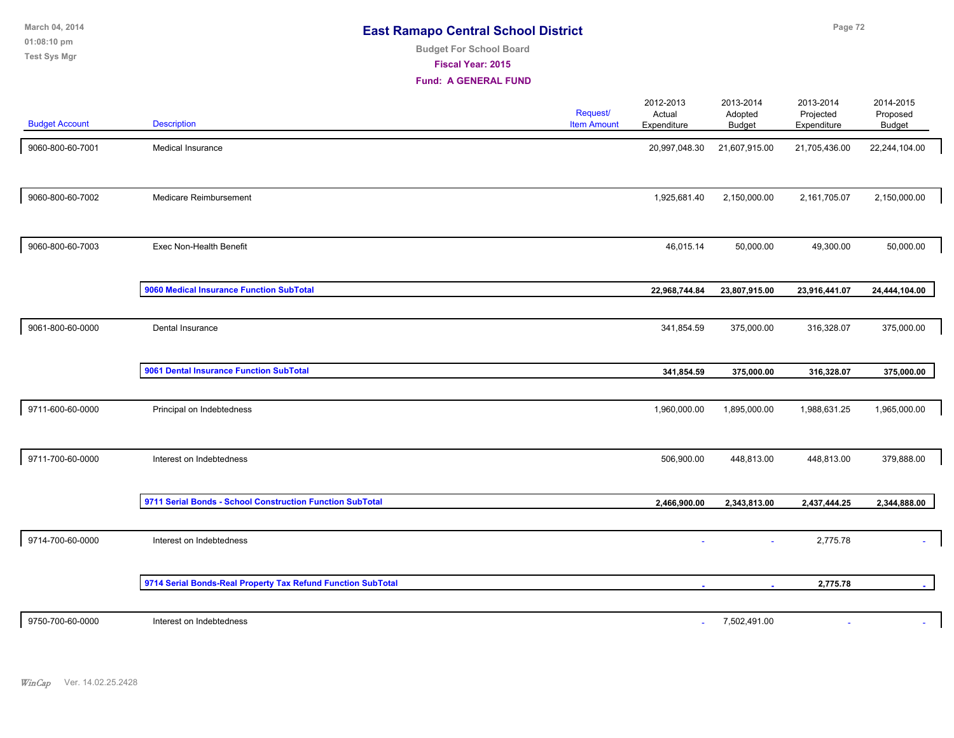| March 04, 2014<br>01:08:10 pm<br><b>Test Sys Mgr</b> | <b>East Ramapo Central School District</b><br><b>Budget For School Board</b><br><b>Fiscal Year: 2015</b><br><b>Fund: A GENERAL FUND</b> |  |                                |                                    | Page 72                               |                                       |                                        |  |
|------------------------------------------------------|-----------------------------------------------------------------------------------------------------------------------------------------|--|--------------------------------|------------------------------------|---------------------------------------|---------------------------------------|----------------------------------------|--|
| <b>Budget Account</b>                                | <b>Description</b>                                                                                                                      |  | Request/<br><b>Item Amount</b> | 2012-2013<br>Actual<br>Expenditure | 2013-2014<br>Adopted<br><b>Budget</b> | 2013-2014<br>Projected<br>Expenditure | 2014-2015<br>Proposed<br><b>Budget</b> |  |
| 9060-800-60-7001                                     | Medical Insurance                                                                                                                       |  |                                | 20,997,048.30                      | 21,607,915.00                         | 21,705,436.00                         | 22,244,104.00                          |  |
| 9060-800-60-7002                                     | Medicare Reimbursement                                                                                                                  |  |                                | 1,925,681.40                       | 2,150,000.00                          | 2,161,705.07                          | 2,150,000.00                           |  |
| 9060-800-60-7003                                     | Exec Non-Health Benefit                                                                                                                 |  |                                | 46,015.14                          | 50,000.00                             | 49,300.00                             | 50,000.00                              |  |
|                                                      | 9060 Medical Insurance Function SubTotal                                                                                                |  |                                | 22,968,744.84                      | 23,807,915.00                         | 23,916,441.07                         | 24,444,104.00                          |  |
| 9061-800-60-0000                                     | Dental Insurance                                                                                                                        |  |                                | 341,854.59                         | 375,000.00                            | 316,328.07                            | 375,000.00                             |  |
|                                                      | 9061 Dental Insurance Function SubTotal                                                                                                 |  |                                | 341,854.59                         | 375,000.00                            | 316,328.07                            | 375,000.00                             |  |
| 9711-600-60-0000                                     | Principal on Indebtedness                                                                                                               |  |                                | 1,960,000.00                       | 1,895,000.00                          | 1,988,631.25                          | 1,965,000.00                           |  |
| 9711-700-60-0000                                     | Interest on Indebtedness                                                                                                                |  |                                | 506,900.00                         | 448,813.00                            | 448,813.00                            | 379,888.00                             |  |
|                                                      | 9711 Serial Bonds - School Construction Function SubTotal                                                                               |  |                                | 2,466,900.00                       | 2,343,813.00                          | 2,437,444.25                          | 2,344,888.00                           |  |
| 9714-700-60-0000                                     | Interest on Indebtedness                                                                                                                |  |                                |                                    | $\sim$                                | 2,775.78                              |                                        |  |
|                                                      | 9714 Serial Bonds-Real Property Tax Refund Function SubTotal                                                                            |  |                                |                                    |                                       | 2,775.78                              |                                        |  |

9750-700-60-0000 Interest on Indebtedness - 7,502,491.00 - -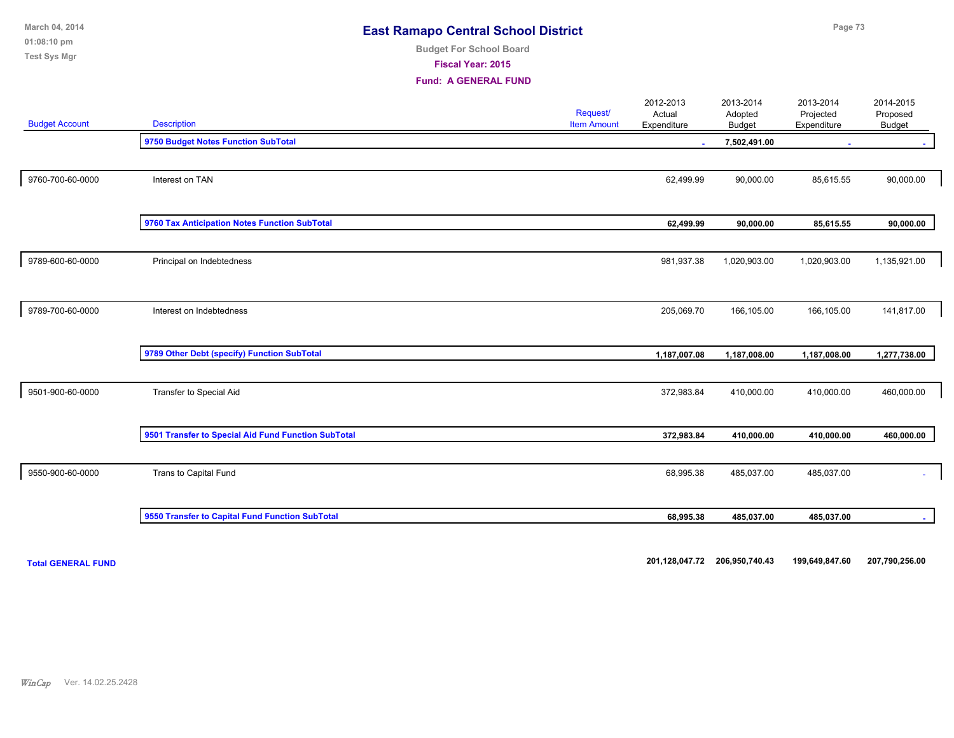| March 04, 2014<br>01:08:10 pm<br><b>Test Sys Mgr</b> | <b>East Ramapo Central School District</b><br><b>Budget For School Board</b><br>Fiscal Year: 2015<br><b>Fund: A GENERAL FUND</b> |  |                                |                                    |                                | Page 73                               |                                 |  |  |
|------------------------------------------------------|----------------------------------------------------------------------------------------------------------------------------------|--|--------------------------------|------------------------------------|--------------------------------|---------------------------------------|---------------------------------|--|--|
| <b>Budget Account</b>                                | <b>Description</b>                                                                                                               |  | Request/<br><b>Item Amount</b> | 2012-2013<br>Actual<br>Expenditure | 2013-2014<br>Adopted<br>Budget | 2013-2014<br>Projected<br>Expenditure | 2014-2015<br>Proposed<br>Budget |  |  |
|                                                      | 9750 Budget Notes Function SubTotal                                                                                              |  |                                |                                    | 7,502,491.00                   |                                       |                                 |  |  |
| 9760-700-60-0000                                     | Interest on TAN                                                                                                                  |  |                                | 62,499.99                          | 90,000.00                      | 85,615.55                             | 90,000.00                       |  |  |
|                                                      | 9760 Tax Anticipation Notes Function SubTotal                                                                                    |  |                                | 62,499.99                          | 90,000.00                      | 85,615.55                             | 90,000.00                       |  |  |
| 9789-600-60-0000                                     | Principal on Indebtedness                                                                                                        |  |                                | 981,937.38                         | 1,020,903.00                   | 1,020,903.00                          | 1,135,921.00                    |  |  |
| 9789-700-60-0000                                     | Interest on Indebtedness                                                                                                         |  |                                | 205,069.70                         | 166,105.00                     | 166,105.00                            | 141,817.00                      |  |  |
|                                                      | 9789 Other Debt (specify) Function SubTotal                                                                                      |  |                                | 1,187,007.08                       | 1,187,008.00                   | 1,187,008.00                          | 1,277,738.00                    |  |  |
| 9501-900-60-0000                                     | Transfer to Special Aid                                                                                                          |  |                                | 372,983.84                         | 410,000.00                     | 410,000.00                            | 460,000.00                      |  |  |
|                                                      | 9501 Transfer to Special Aid Fund Function SubTotal                                                                              |  |                                | 372,983.84                         | 410,000.00                     | 410,000.00                            | 460,000.00                      |  |  |
| 9550-900-60-0000                                     | Trans to Capital Fund                                                                                                            |  |                                | 68,995.38                          | 485,037.00                     | 485,037.00                            |                                 |  |  |
|                                                      | 9550 Transfer to Capital Fund Function SubTotal                                                                                  |  |                                | 68,995.38                          | 485,037.00                     | 485,037.00                            |                                 |  |  |

**Total GENERAL FUND 201,128,047.72 206,950,740.43 199,649,847.60 207,790,256.00**